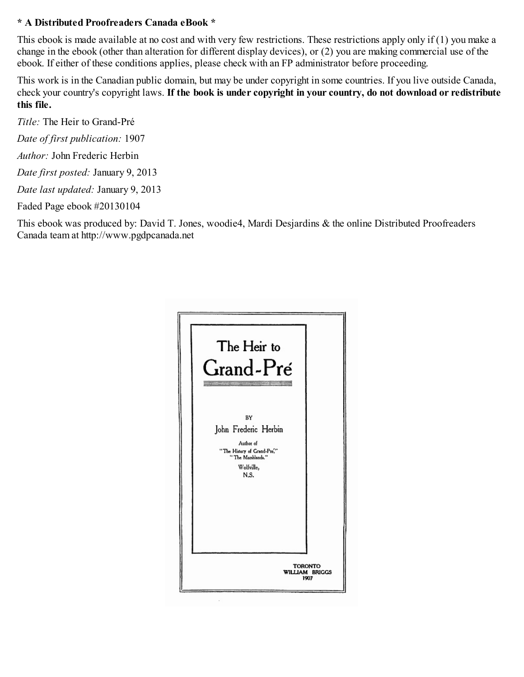#### **\* A Distributed Proofreaders Canada eBook \***

This ebook is made available at no cost and with very few restrictions. These restrictions apply only if (1) you make a change in the ebook (other than alteration for different display devices), or (2) you are making commercial use of the ebook. If either of these conditions applies, please check with an FP administrator before proceeding.

This work is in the Canadian public domain, but may be under copyright in some countries. If you live outside Canada, check your country's copyright laws. **If the book is under copyright in your country, do not download or redistribute this file.**

*Title:* The Heir to Grand-Pré

*Date of first publication:* 1907

*Author:* John Frederic Herbin

*Date first posted:* January 9, 2013

*Date last updated:* January 9, 2013

Faded Page ebook #20130104

This ebook was produced by: David T. Jones, woodie4, Mardi Desjardins & the online Distributed Proofreaders Canada team at http://www.pgdpcanada.net

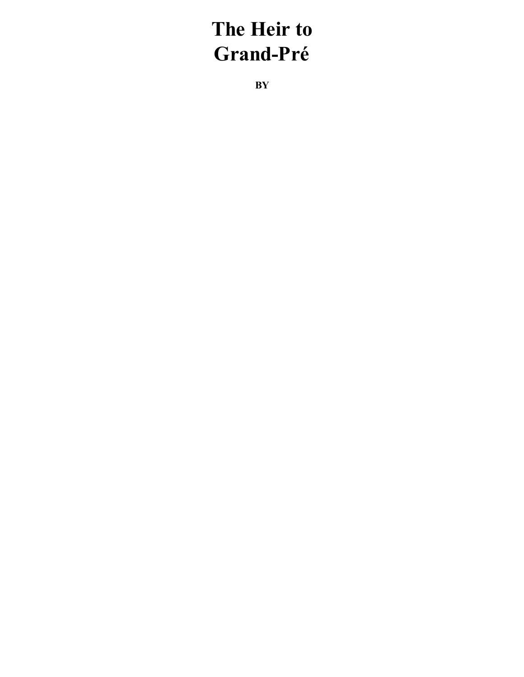# **The Heir to Grand-Pré**

**BY**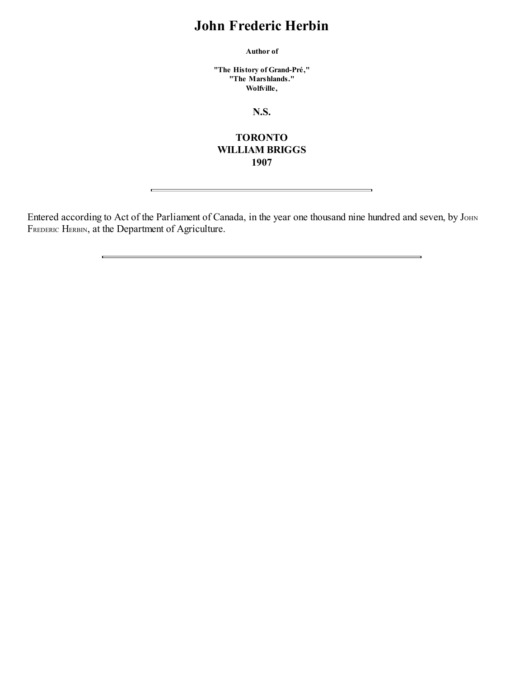### **John Frederic Herbin**

**Author of**

**"The History of Grand-Pré," "The Marshlands." Wolfville,**

**N.S.**

#### **TORONTO WILLIAM BRIGGS 1907**

Entered according to Act of the Parliament of Canada, in the year one thousand nine hundred and seven, by JOHN FREDERIC HERBIN, at the Department of Agriculture.

 $\overline{\phantom{0}}$ 

 $\equiv$ 

 $\mathbf{r}$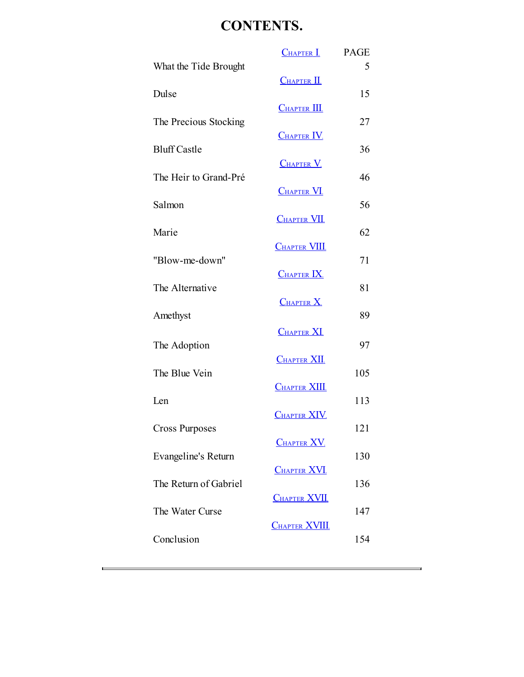## **CONTENTS.**

|                       | <b>CHAPTER I.</b>       | <b>PAGE</b> |
|-----------------------|-------------------------|-------------|
| What the Tide Brought |                         | 5           |
| Dulse                 | $CHAPTER$ <sup>II</sup> | 15          |
|                       | $C$ HAPTER $III$        |             |
| The Precious Stocking |                         | 27          |
|                       | $CHAPTER$ IV            |             |
| <b>Bluff Castle</b>   | <b>CHAPTER V</b>        | 36          |
| The Heir to Grand-Pré |                         | 46          |
|                       | <b>CHAPTER VI.</b>      |             |
| Salmon                | <b>CHAPTER VII.</b>     | 56          |
| Marie                 |                         | 62          |
|                       | <b>CHAPTER VIII</b>     |             |
| "Blow-me-down"        | <b>CHAPTER IX</b>       | 71          |
| The Alternative       |                         | 81          |
|                       | CHAPTER X               |             |
| Amethyst              |                         | 89          |
| The Adoption          | <b>CHAPTER XI</b>       | 97          |
|                       | <b>CHAPTER XII</b>      |             |
| The Blue Vein         |                         | 105         |
| Len                   | <b>CHAPTER XIII</b>     | 113         |
|                       | <b>CHAPTER XIV</b>      |             |
| <b>Cross Purposes</b> |                         | 121         |
|                       | <b>CHAPTER XV.</b>      |             |
| Evangeline's Return   | <b>CHAPTER XVI</b>      | 130         |
| The Return of Gabriel |                         | 136         |
|                       | <b>CHAPTER XVII</b>     |             |
| The Water Curse       | <b>CHAPTER XVIII</b>    | 147         |
| Conclusion            |                         | 154         |
|                       |                         |             |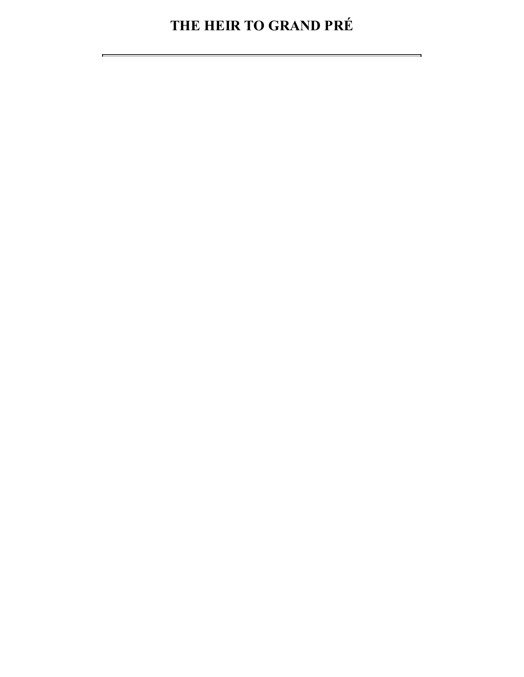# **THE HEIR TO GRAND PRÉ**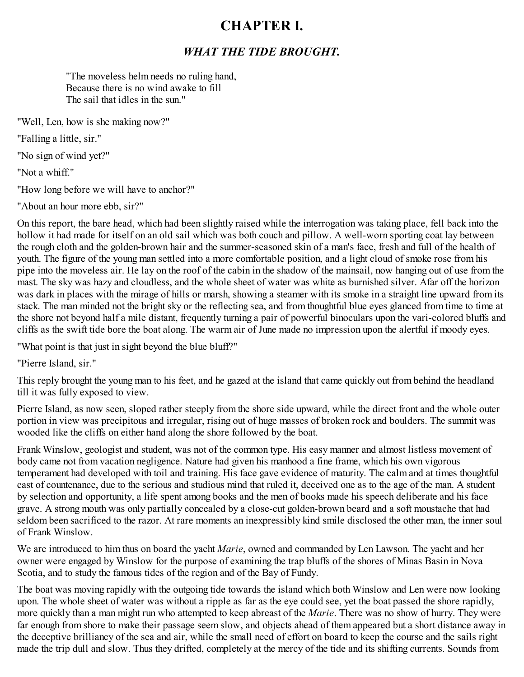### <span id="page-5-0"></span>**CHAPTER I.**

#### *WHAT THE TIDE BROUGHT.*

"The moveless helm needs no ruling hand, Because there is no wind awake to fill The sail that idles in the sun."

"Well, Len, how is she making now?"

"Falling a little, sir."

"No sign of wind yet?"

"Not a whiff."

"How long before we will have to anchor?"

"About an hour more ebb, sir?"

On this report, the bare head, which had been slightly raised while the interrogation was taking place, fell back into the hollow it had made for itself on an old sail which was both couch and pillow. A well-worn sporting coat lay between the rough cloth and the golden-brown hair and the summer-seasoned skin of a man's face, fresh and full of the health of youth. The figure of the young man settled into a more comfortable position, and a light cloud of smoke rose from his pipe into the moveless air. He lay on the roof of the cabin in the shadow of the mainsail, now hanging out of use from the mast. The sky was hazy and cloudless, and the whole sheet of water was white as burnished silver. Afar off the horizon was dark in places with the mirage of hills or marsh, showing a steamer with its smoke in a straight line upward from its stack. The man minded not the bright sky or the reflecting sea, and from thoughtful blue eyes glanced from time to time at the shore not beyond half a mile distant, frequently turning a pair of powerful binoculars upon the vari-colored bluffs and cliffs as the swift tide bore the boat along. The warm air of June made no impression upon the alertful if moody eyes.

"What point is that just in sight beyond the blue bluff?"

"Pierre Island, sir."

This reply brought the young man to his feet, and he gazed at the island that came quickly out from behind the headland till it was fully exposed to view.

Pierre Island, as now seen, sloped rather steeply from the shore side upward, while the direct front and the whole outer portion in view was precipitous and irregular, rising out of huge masses of broken rock and boulders. The summit was wooded like the cliffs on either hand along the shore followed by the boat.

Frank Winslow, geologist and student, was not of the common type. His easy manner and almost listless movement of body came not from vacation negligence. Nature had given his manhood a fine frame, which his own vigorous temperament had developed with toil and training. His face gave evidence of maturity. The calm and at times thoughtful cast of countenance, due to the serious and studious mind that ruled it, deceived one as to the age of the man. A student by selection and opportunity, a life spent among books and the men of books made his speech deliberate and his face grave. A strong mouth was only partially concealed by a close-cut golden-brown beard and a soft moustache that had seldom been sacrificed to the razor. At rare moments an inexpressibly kind smile disclosed the other man, the inner soul of Frank Winslow.

We are introduced to him thus on board the yacht *Marie*, owned and commanded by Len Lawson. The yacht and her owner were engaged by Winslow for the purpose of examining the trap bluffs of the shores of Minas Basin in Nova Scotia, and to study the famous tides of the region and of the Bay of Fundy.

The boat was moving rapidly with the outgoing tide towards the island which both Winslow and Len were now looking upon. The whole sheet of water was without a ripple as far as the eye could see, yet the boat passed the shore rapidly, more quickly than a man might run who attempted to keep abreast of the *Marie*. There was no show of hurry. They were far enough from shore to make their passage seem slow, and objects ahead of them appeared but a short distance away in the deceptive brilliancy of the sea and air, while the small need of effort on board to keep the course and the sails right made the trip dull and slow. Thus they drifted, completely at the mercy of the tide and its shifting currents. Sounds from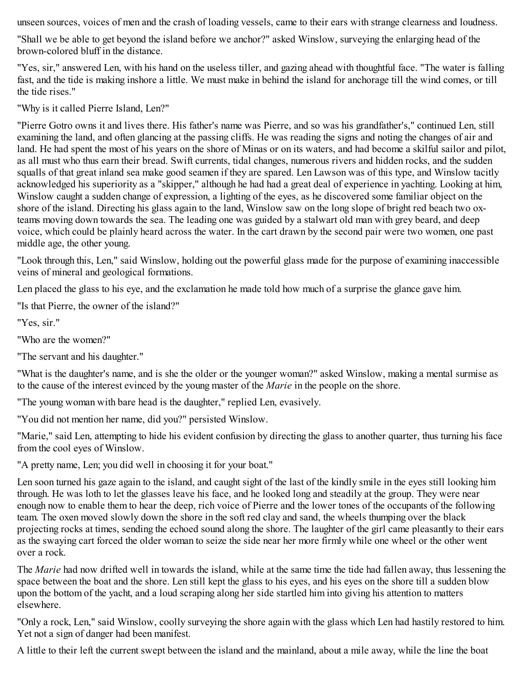unseen sources, voices of men and the crash of loading vessels, came to their ears with strange clearness and loudness.

"Shall we be able to get beyond the island before we anchor?" asked Winslow, surveying the enlarging head of the brown-colored bluff in the distance.

"Yes, sir," answered Len, with his hand on the useless tiller, and gazing ahead with thoughtful face. "The water is falling fast, and the tide is making inshore a little. We must make in behind the island for anchorage till the wind comes, or till the tide rises."

"Why is it called Pierre Island, Len?"

"Pierre Gotro owns it and lives there. His father's name was Pierre, and so was his grandfather's," continued Len, still examining the land, and often glancing at the passing cliffs. He was reading the signs and noting the changes of air and land. He had spent the most of his years on the shore of Minas or on its waters, and had become a skilful sailor and pilot, as all must who thus earn their bread. Swift currents, tidal changes, numerous rivers and hidden rocks, and the sudden squalls of that great inland sea make good seamen if they are spared. Len Lawson was of this type, and Winslow tacitly acknowledged his superiority as a "skipper," although he had had a great deal of experience in yachting. Looking at him, Winslow caught a sudden change of expression, a lighting of the eyes, as he discovered some familiar object on the shore of the island. Directing his glass again to the land, Winslow saw on the long slope of bright red beach two oxteams moving down towards the sea. The leading one was guided by a stalwart old man with grey beard, and deep voice, which could be plainly heard across the water. In the cart drawn by the second pair were two women, one past middle age, the other young.

"Look through this, Len," said Winslow, holding out the powerful glass made for the purpose of examining inaccessible veins of mineral and geological formations.

Len placed the glass to his eye, and the exclamation he made told how much of a surprise the glance gave him.

"Is that Pierre, the owner of the island?"

"Yes, sir."

"Who are the women?"

"The servant and his daughter."

"What is the daughter's name, and is she the older or the younger woman?" asked Winslow, making a mental surmise as to the cause of the interest evinced by the young master of the *Marie* in the people on the shore.

"The young woman with bare head is the daughter," replied Len, evasively.

"You did not mention her name, did you?" persisted Winslow.

"Marie," said Len, attempting to hide his evident confusion by directing the glass to another quarter, thus turning his face from the cool eyes of Winslow.

"A pretty name, Len; you did well in choosing it for your boat."

Len soon turned his gaze again to the island, and caught sight of the last of the kindly smile in the eyes still looking him through. He was loth to let the glasses leave his face, and he looked long and steadily at the group. They were near enough now to enable them to hear the deep, rich voice of Pierre and the lower tones of the occupants of the following team. The oxen moved slowly down the shore in the soft red clay and sand, the wheels thumping over the black projecting rocks at times, sending the echoed sound along the shore. The laughter of the girl came pleasantly to their ears as the swaying cart forced the older woman to seize the side near her more firmly while one wheel or the other went over a rock.

The *Marie* had now drifted well in towards the island, while at the same time the tide had fallen away, thus lessening the space between the boat and the shore. Len still kept the glass to his eyes, and his eyes on the shore till a sudden blow upon the bottom of the yacht, and a loud scraping along her side startled him into giving his attention to matters elsewhere.

"Only a rock, Len," said Winslow, coolly surveying the shore again with the glass which Len had hastily restored to him. Yet not a sign of danger had been manifest.

A little to their left the current swept between the island and the mainland, about a mile away, while the line the boat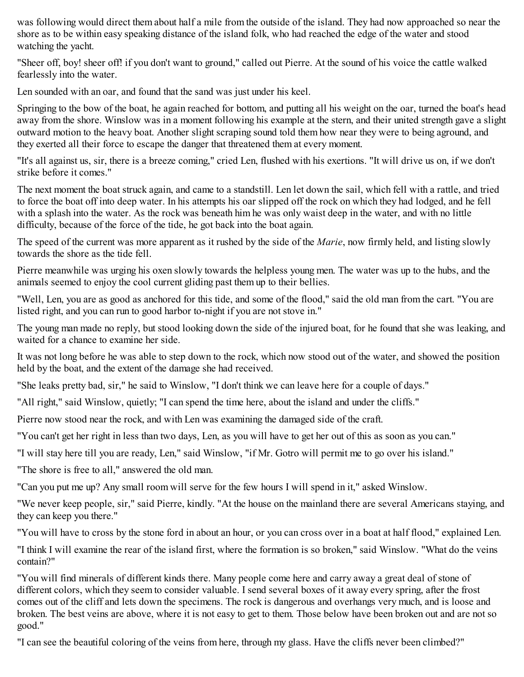was following would direct them about half a mile from the outside of the island. They had now approached so near the shore as to be within easy speaking distance of the island folk, who had reached the edge of the water and stood watching the yacht.

"Sheer off, boy! sheer off! if you don't want to ground," called out Pierre. At the sound of his voice the cattle walked fearlessly into the water.

Len sounded with an oar, and found that the sand was just under his keel.

Springing to the bow of the boat, he again reached for bottom, and putting all his weight on the oar, turned the boat's head away from the shore. Winslow was in a moment following his example at the stern, and their united strength gave a slight outward motion to the heavy boat. Another slight scraping sound told them how near they were to being aground, and they exerted all their force to escape the danger that threatened them at every moment.

"It's all against us, sir, there is a breeze coming," cried Len, flushed with his exertions. "It will drive us on, if we don't strike before it comes."

The next moment the boat struck again, and came to a standstill. Len let down the sail, which fell with a rattle, and tried to force the boat off into deep water. In his attempts his oar slipped off the rock on which they had lodged, and he fell with a splash into the water. As the rock was beneath him he was only waist deep in the water, and with no little difficulty, because of the force of the tide, he got back into the boat again.

The speed of the current was more apparent as it rushed by the side of the *Marie*, now firmly held, and listing slowly towards the shore as the tide fell.

Pierre meanwhile was urging his oxen slowly towards the helpless young men. The water was up to the hubs, and the animals seemed to enjoy the cool current gliding past them up to their bellies.

"Well, Len, you are as good as anchored for this tide, and some of the flood," said the old man from the cart. "You are listed right, and you can run to good harbor to-night if you are not stove in."

The young man made no reply, but stood looking down the side of the injured boat, for he found that she was leaking, and waited for a chance to examine her side.

It was not long before he was able to step down to the rock, which now stood out of the water, and showed the position held by the boat, and the extent of the damage she had received.

"She leaks pretty bad, sir," he said to Winslow, "I don't think we can leave here for a couple of days."

"All right," said Winslow, quietly; "I can spend the time here, about the island and under the cliffs."

Pierre now stood near the rock, and with Len was examining the damaged side of the craft.

"You can't get her right in less than two days, Len, as you will have to get her out of this as soon as you can."

"I will stay here till you are ready, Len," said Winslow, "if Mr. Gotro will permit me to go over his island."

"The shore is free to all," answered the old man.

"Can you put me up? Any small room will serve for the few hours I will spend in it," asked Winslow.

"We never keep people, sir," said Pierre, kindly. "At the house on the mainland there are several Americans staying, and they can keep you there."

"You will have to cross by the stone ford in about an hour, or you can cross over in a boat at half flood," explained Len.

"I think I will examine the rear of the island first, where the formation is so broken," said Winslow. "What do the veins contain?"

"You will find minerals of different kinds there. Many people come here and carry away a great deal of stone of different colors, which they seem to consider valuable. I send several boxes of it away every spring, after the frost comes out of the cliff and lets down the specimens. The rock is dangerous and overhangs very much, and is loose and broken. The best veins are above, where it is not easy to get to them. Those below have been broken out and are not so good."

"I can see the beautiful coloring of the veins from here, through my glass. Have the cliffs never been climbed?"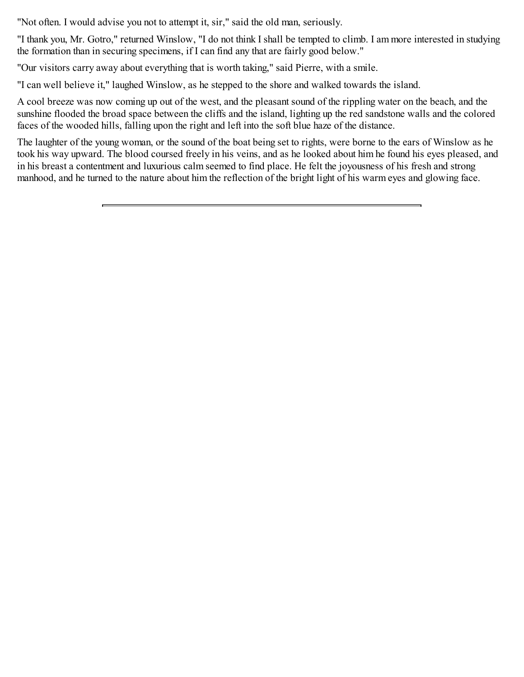"Not often. I would advise you not to attempt it, sir," said the old man, seriously.

"I thank you, Mr. Gotro," returned Winslow, "I do not think I shall be tempted to climb. I am more interested in studying the formation than in securing specimens, if I can find any that are fairly good below."

"Our visitors carry away about everything that is worth taking," said Pierre, with a smile.

"I can well believe it," laughed Winslow, as he stepped to the shore and walked towards the island.

A cool breeze was now coming up out of the west, and the pleasant sound of the rippling water on the beach, and the sunshine flooded the broad space between the cliffs and the island, lighting up the red sandstone walls and the colored faces of the wooded hills, falling upon the right and left into the soft blue haze of the distance.

The laughter of the young woman, or the sound of the boat being set to rights, were borne to the ears of Winslow as he took his way upward. The blood coursed freely in his veins, and as he looked about him he found his eyes pleased, and in his breast a contentment and luxurious calm seemed to find place. He felt the joyousness of his fresh and strong manhood, and he turned to the nature about him the reflection of the bright light of his warm eyes and glowing face.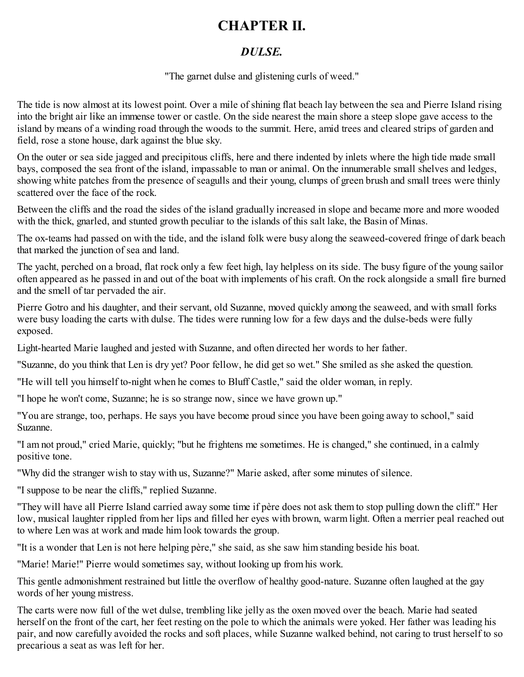### <span id="page-9-0"></span>**CHAPTER II.**

#### *DULSE.*

"The garnet dulse and glistening curls of weed."

The tide is now almost at its lowest point. Over a mile of shining flat beach lay between the sea and Pierre Island rising into the bright air like an immense tower or castle. On the side nearest the main shore a steep slope gave access to the island by means of a winding road through the woods to the summit. Here, amid trees and cleared strips of garden and field, rose a stone house, dark against the blue sky.

On the outer or sea side jagged and precipitous cliffs, here and there indented by inlets where the high tide made small bays, composed the sea front of the island, impassable to man or animal. On the innumerable small shelves and ledges, showing white patches from the presence of seagulls and their young, clumps of green brush and small trees were thinly scattered over the face of the rock.

Between the cliffs and the road the sides of the island gradually increased in slope and became more and more wooded with the thick, gnarled, and stunted growth peculiar to the islands of this salt lake, the Basin of Minas.

The ox-teams had passed on with the tide, and the island folk were busy along the seaweed-covered fringe of dark beach that marked the junction of sea and land.

The yacht, perched on a broad, flat rock only a few feet high, lay helpless on its side. The busy figure of the young sailor often appeared as he passed in and out of the boat with implements of his craft. On the rock alongside a small fire burned and the smell of tar pervaded the air.

Pierre Gotro and his daughter, and their servant, old Suzanne, moved quickly among the seaweed, and with small forks were busy loading the carts with dulse. The tides were running low for a few days and the dulse-beds were fully exposed.

Light-hearted Marie laughed and jested with Suzanne, and often directed her words to her father.

"Suzanne, do you think that Len is dry yet? Poor fellow, he did get so wet." She smiled as she asked the question.

"He will tell you himself to-night when he comes to Bluff Castle," said the older woman, in reply.

"I hope he won't come, Suzanne; he is so strange now, since we have grown up."

"You are strange, too, perhaps. He says you have become proud since you have been going away to school," said Suzanne.

"I am not proud," cried Marie, quickly; "but he frightens me sometimes. He is changed," she continued, in a calmly positive tone.

"Why did the stranger wish to stay with us, Suzanne?" Marie asked, after some minutes of silence.

"I suppose to be near the cliffs," replied Suzanne.

"They will have all Pierre Island carried away some time if père does not ask them to stop pulling down the cliff." Her low, musical laughter rippled from her lips and filled her eyes with brown, warm light. Often a merrier peal reached out to where Len was at work and made him look towards the group.

"It is a wonder that Len is not here helping père," she said, as she saw him standing beside his boat.

"Marie! Marie!" Pierre would sometimes say, without looking up from his work.

This gentle admonishment restrained but little the overflow of healthy good-nature. Suzanne often laughed at the gay words of her young mistress.

The carts were now full of the wet dulse, trembling like jelly as the oxen moved over the beach. Marie had seated herself on the front of the cart, her feet resting on the pole to which the animals were yoked. Her father was leading his pair, and now carefully avoided the rocks and soft places, while Suzanne walked behind, not caring to trust herself to so precarious a seat as was left for her.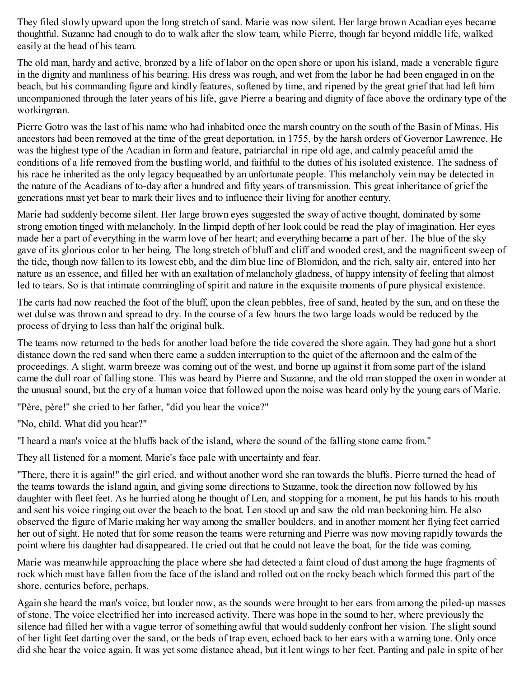They filed slowly upward upon the long stretch of sand. Marie was now silent. Her large brown Acadian eyes became thoughtful. Suzanne had enough to do to walk after the slow team, while Pierre, though far beyond middle life, walked easily at the head of his team.

The old man, hardy and active, bronzed by a life of labor on the open shore or upon his island, made a venerable figure in the dignity and manliness of his bearing. His dress was rough, and wet from the labor he had been engaged in on the beach, but his commanding figure and kindly features, softened by time, and ripened by the great grief that had left him uncompanioned through the later years of his life, gave Pierre a bearing and dignity of face above the ordinary type of the workingman.

Pierre Gotro was the last of his name who had inhabited once the marsh country on the south of the Basin of Minas. His ancestors had been removed at the time of the great deportation, in 1755, by the harsh orders of Governor Lawrence. He was the highest type of the Acadian in form and feature, patriarchal in ripe old age, and calmly peaceful amid the conditions of a life removed from the bustling world, and faithful to the duties of his isolated existence. The sadness of his race he inherited as the only legacy bequeathed by an unfortunate people. This melancholy vein may be detected in the nature of the Acadians of to-day after a hundred and fifty years of transmission. This great inheritance of grief the generations must yet bear to mark their lives and to influence their living for another century.

Marie had suddenly become silent. Her large brown eyes suggested the sway of active thought, dominated by some strong emotion tinged with melancholy. In the limpid depth of her look could be read the play of imagination. Her eyes made her a part of everything in the warm love of her heart; and everything became a part of her. The blue of the sky gave of its glorious color to her being. The long stretch of bluff and cliff and wooded crest, and the magnificent sweep of the tide, though now fallen to its lowest ebb, and the dim blue line of Blomidon, and the rich, salty air, entered into her nature as an essence, and filled her with an exaltation of melancholy gladness, of happy intensity of feeling that almost led to tears. So is that intimate commingling of spirit and nature in the exquisite moments of pure physical existence.

The carts had now reached the foot of the bluff, upon the clean pebbles, free of sand, heated by the sun, and on these the wet dulse was thrown and spread to dry. In the course of a few hours the two large loads would be reduced by the process of drying to less than half the original bulk.

The teams now returned to the beds for another load before the tide covered the shore again. They had gone but a short distance down the red sand when there came a sudden interruption to the quiet of the afternoon and the calm of the proceedings. A slight, warm breeze was coming out of the west, and borne up against it from some part of the island came the dull roar of falling stone. This was heard by Pierre and Suzanne, and the old man stopped the oxen in wonder at the unusual sound, but the cry of a human voice that followed upon the noise was heard only by the young ears of Marie.

"Père, père!" she cried to her father, "did you hear the voice?"

"No, child. What did you hear?"

"I heard a man's voice at the bluffs back of the island, where the sound of the falling stone came from."

They all listened for a moment, Marie's face pale with uncertainty and fear.

"There, there it is again!" the girl cried, and without another word she ran towards the bluffs. Pierre turned the head of the teams towards the island again, and giving some directions to Suzanne, took the direction now followed by his daughter with fleet feet. As he hurried along he thought of Len, and stopping for a moment, he put his hands to his mouth and sent his voice ringing out over the beach to the boat. Len stood up and saw the old man beckoning him. He also observed the figure of Marie making her way among the smaller boulders, and in another moment her flying feet carried her out of sight. He noted that for some reason the teams were returning and Pierre was now moving rapidly towards the point where his daughter had disappeared. He cried out that he could not leave the boat, for the tide was coming.

Marie was meanwhile approaching the place where she had detected a faint cloud of dust among the huge fragments of rock which must have fallen from the face of the island and rolled out on the rocky beach which formed this part of the shore, centuries before, perhaps.

Again she heard the man's voice, but louder now, as the sounds were brought to her ears from among the piled-up masses of stone. The voice electrified her into increased activity. There was hope in the sound to her, where previously the silence had filled her with a vague terror of something awful that would suddenly confront her vision. The slight sound of her light feet darting over the sand, or the beds of trap even, echoed back to her ears with a warning tone. Only once did she hear the voice again. It was yet some distance ahead, but it lent wings to her feet. Panting and pale in spite of her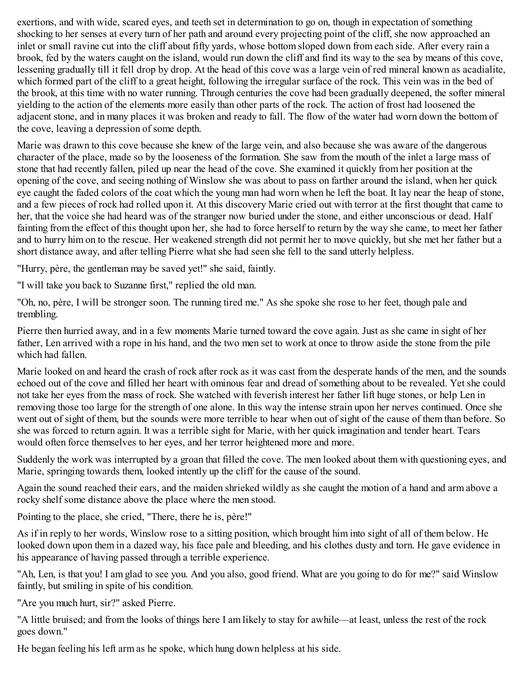exertions, and with wide, scared eyes, and teeth set in determination to go on, though in expectation of something shocking to her senses at every turn of her path and around every projecting point of the cliff, she now approached an inlet or small ravine cut into the cliff about fifty yards, whose bottom sloped down from each side. After every rain a brook, fed by the waters caught on the island, would run down the cliff and find its way to the sea by means of this cove, lessening gradually till it fell drop by drop. At the head of this cove was a large vein of red mineral known as acadialite, which formed part of the cliff to a great height, following the irregular surface of the rock. This vein was in the bed of the brook, at this time with no water running. Through centuries the cove had been gradually deepened, the softer mineral yielding to the action of the elements more easily than other parts of the rock. The action of frost had loosened the adjacent stone, and in many places it was broken and ready to fall. The flow of the water had worn down the bottom of the cove, leaving a depression of some depth.

Marie was drawn to this cove because she knew of the large vein, and also because she was aware of the dangerous character of the place, made so by the looseness of the formation. She saw from the mouth of the inlet a large mass of stone that had recently fallen, piled up near the head of the cove. She examined it quickly from her position at the opening of the cove, and seeing nothing of Winslow she was about to pass on farther around the island, when her quick eye caught the faded colors of the coat which the young man had worn when he left the boat. It lay near the heap of stone, and a few pieces of rock had rolled upon it. At this discovery Marie cried out with terror at the first thought that came to her, that the voice she had heard was of the stranger now buried under the stone, and either unconscious or dead. Half fainting from the effect of this thought upon her, she had to force herself to return by the way she came, to meet her father and to hurry him on to the rescue. Her weakened strength did not permit her to move quickly, but she met her father but a short distance away, and after telling Pierre what she had seen she fell to the sand utterly helpless.

"Hurry, père, the gentleman may be saved yet!" she said, faintly.

"I will take you back to Suzanne first," replied the old man.

"Oh, no, père, I will be stronger soon. The running tired me." As she spoke she rose to her feet, though pale and trembling.

Pierre then hurried away, and in a few moments Marie turned toward the cove again. Just as she came in sight of her father, Len arrived with a rope in his hand, and the two men set to work at once to throw aside the stone from the pile which had fallen.

Marie looked on and heard the crash of rock after rock as it was cast from the desperate hands of the men, and the sounds echoed out of the cove and filled her heart with ominous fear and dread of something about to be revealed. Yet she could not take her eyes from the mass of rock. She watched with feverish interest her father lift huge stones, or help Len in removing those too large for the strength of one alone. In this way the intense strain upon her nerves continued. Once she went out of sight of them, but the sounds were more terrible to hear when out of sight of the cause of them than before. So she was forced to return again. It was a terrible sight for Marie, with her quick imagination and tender heart. Tears would often force themselves to her eyes, and her terror heightened more and more.

Suddenly the work was interrupted by a groan that filled the cove. The men looked about them with questioning eyes, and Marie, springing towards them, looked intently up the cliff for the cause of the sound.

Again the sound reached their ears, and the maiden shrieked wildly as she caught the motion of a hand and arm above a rocky shelf some distance above the place where the men stood.

Pointing to the place, she cried, "There, there he is, père!"

As if in reply to her words, Winslow rose to a sitting position, which brought him into sight of all of them below. He looked down upon them in a dazed way, his face pale and bleeding, and his clothes dusty and torn. He gave evidence in his appearance of having passed through a terrible experience.

"Ah, Len, is that you! I am glad to see you. And you also, good friend. What are you going to do for me?" said Winslow faintly, but smiling in spite of his condition.

"Are you much hurt, sir?" asked Pierre.

"A little bruised; and from the looks of things here I am likely to stay for awhile—at least, unless the rest of the rock goes down."

He began feeling his left arm as he spoke, which hung down helpless at his side.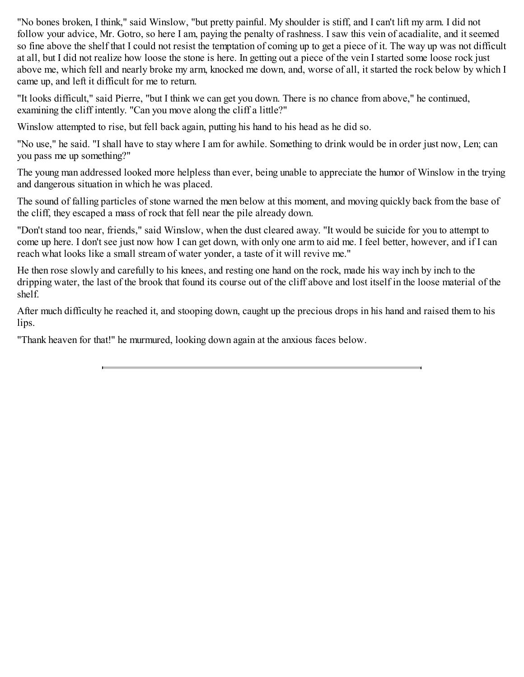"No bones broken, I think," said Winslow, "but pretty painful. My shoulder is stiff, and I can't lift my arm. I did not follow your advice, Mr. Gotro, so here I am, paying the penalty of rashness. I saw this vein of acadialite, and it seemed so fine above the shelf that I could not resist the temptation of coming up to get a piece of it. The way up was not difficult at all, but I did not realize how loose the stone is here. In getting out a piece of the vein I started some loose rock just above me, which fell and nearly broke my arm, knocked me down, and, worse of all, it started the rock below by which I came up, and left it difficult for me to return.

"It looks difficult," said Pierre, "but I think we can get you down. There is no chance from above," he continued, examining the cliff intently. "Can you move along the cliff a little?"

Winslow attempted to rise, but fell back again, putting his hand to his head as he did so.

"No use," he said. "I shall have to stay where I am for awhile. Something to drink would be in order just now, Len; can you pass me up something?"

The young man addressed looked more helpless than ever, being unable to appreciate the humor of Winslow in the trying and dangerous situation in which he was placed.

The sound of falling particles of stone warned the men below at this moment, and moving quickly back from the base of the cliff, they escaped a mass of rock that fell near the pile already down.

"Don't stand too near, friends," said Winslow, when the dust cleared away. "It would be suicide for you to attempt to come up here. I don't see just now how I can get down, with only one arm to aid me. I feel better, however, and if I can reach what looks like a small stream of water yonder, a taste of it will revive me."

He then rose slowly and carefully to his knees, and resting one hand on the rock, made his way inch by inch to the dripping water, the last of the brook that found its course out of the cliff above and lost itself in the loose material of the shelf.

After much difficulty he reached it, and stooping down, caught up the precious drops in his hand and raised them to his lips.

"Thank heaven for that!" he murmured, looking down again at the anxious faces below.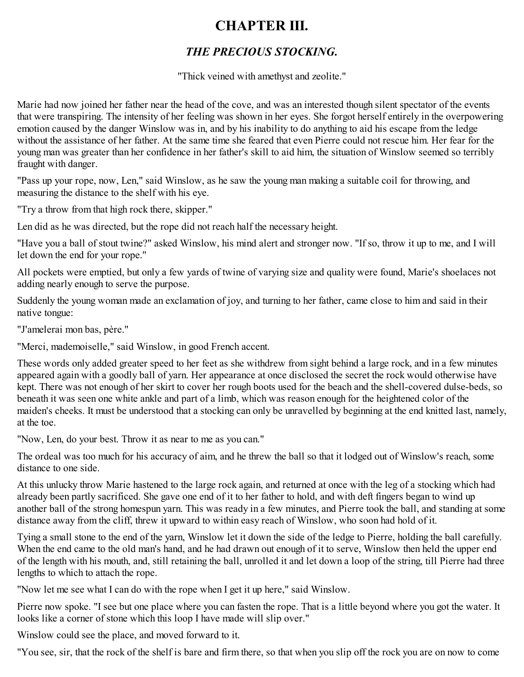### <span id="page-13-0"></span>**CHAPTER III.**

### *THE PRECIOUS STOCKING.*

"Thick veined with amethyst and zeolite."

Marie had now joined her father near the head of the cove, and was an interested though silent spectator of the events that were transpiring. The intensity of her feeling was shown in her eyes. She forgot herself entirely in the overpowering emotion caused by the danger Winslow was in, and by his inability to do anything to aid his escape from the ledge without the assistance of her father. At the same time she feared that even Pierre could not rescue him. Her fear for the young man was greater than her confidence in her father's skill to aid him, the situation of Winslow seemed so terribly fraught with danger.

"Pass up your rope, now, Len," said Winslow, as he saw the young man making a suitable coil for throwing, and measuring the distance to the shelf with his eye.

"Try a throw from that high rock there, skipper."

Len did as he was directed, but the rope did not reach half the necessary height.

"Have you a ball of stout twine?" asked Winslow, his mind alert and stronger now. "If so, throw it up to me, and I will let down the end for your rope."

All pockets were emptied, but only a few yards of twine of varying size and quality were found, Marie's shoelaces not adding nearly enough to serve the purpose.

Suddenly the young woman made an exclamation of joy, and turning to her father, came close to him and said in their native tongue:

"J'amelerai mon bas, père."

"Merci, mademoiselle," said Winslow, in good French accent.

These words only added greater speed to her feet as she withdrew from sight behind a large rock, and in a few minutes appeared again with a goodly ball of yarn. Her appearance at once disclosed the secret the rock would otherwise have kept. There was not enough of her skirt to cover her rough boots used for the beach and the shell-covered dulse-beds, so beneath it was seen one white ankle and part of a limb, which was reason enough for the heightened color of the maiden's cheeks. It must be understood that a stocking can only be unravelled by beginning at the end knitted last, namely, at the toe.

"Now, Len, do your best. Throw it as near to me as you can."

The ordeal was too much for his accuracy of aim, and he threw the ball so that it lodged out of Winslow's reach, some distance to one side.

At this unlucky throw Marie hastened to the large rock again, and returned at once with the leg of a stocking which had already been partly sacrificed. She gave one end of it to her father to hold, and with deft fingers began to wind up another ball of the strong homespun yarn. This was ready in a few minutes, and Pierre took the ball, and standing at some distance away from the cliff, threw it upward to within easy reach of Winslow, who soon had hold of it.

Tying a small stone to the end of the yarn, Winslow let it down the side of the ledge to Pierre, holding the ball carefully. When the end came to the old man's hand, and he had drawn out enough of it to serve, Winslow then held the upper end of the length with his mouth, and, still retaining the ball, unrolled it and let down a loop of the string, till Pierre had three lengths to which to attach the rope.

"Now let me see what I can do with the rope when I get it up here," said Winslow.

Pierre now spoke. "I see but one place where you can fasten the rope. That is a little beyond where you got the water. It looks like a corner of stone which this loop I have made will slip over."

Winslow could see the place, and moved forward to it.

"You see, sir, that the rock of the shelf is bare and firm there, so that when you slip off the rock you are on now to come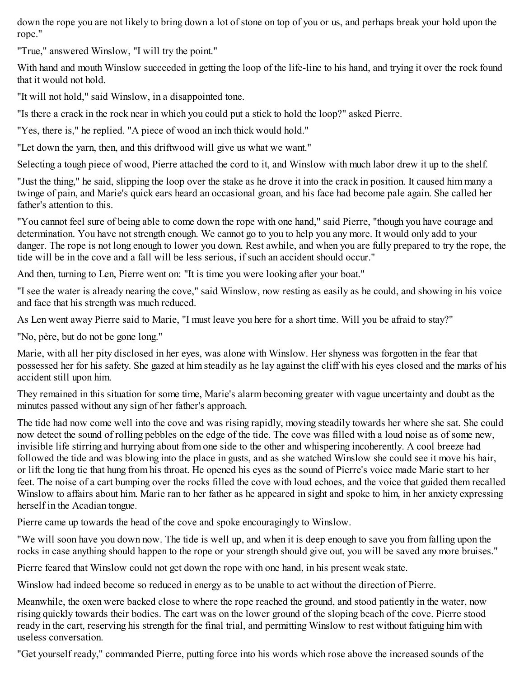down the rope you are not likely to bring down a lot of stone on top of you or us, and perhaps break your hold upon the rope."

"True," answered Winslow, "I will try the point."

With hand and mouth Winslow succeeded in getting the loop of the life-line to his hand, and trying it over the rock found that it would not hold.

"It will not hold," said Winslow, in a disappointed tone.

"Is there a crack in the rock near in which you could put a stick to hold the loop?" asked Pierre.

"Yes, there is," he replied. "A piece of wood an inch thick would hold."

"Let down the yarn, then, and this driftwood will give us what we want."

Selecting a tough piece of wood, Pierre attached the cord to it, and Winslow with much labor drew it up to the shelf.

"Just the thing," he said, slipping the loop over the stake as he drove it into the crack in position. It caused him many a twinge of pain, and Marie's quick ears heard an occasional groan, and his face had become pale again. She called her father's attention to this.

"You cannot feel sure of being able to come down the rope with one hand," said Pierre, "though you have courage and determination. You have not strength enough. We cannot go to you to help you any more. It would only add to your danger. The rope is not long enough to lower you down. Rest awhile, and when you are fully prepared to try the rope, the tide will be in the cove and a fall will be less serious, if such an accident should occur."

And then, turning to Len, Pierre went on: "It is time you were looking after your boat."

"I see the water is already nearing the cove," said Winslow, now resting as easily as he could, and showing in his voice and face that his strength was much reduced.

As Len went away Pierre said to Marie, "I must leave you here for a short time. Will you be afraid to stay?"

"No, père, but do not be gone long."

Marie, with all her pity disclosed in her eyes, was alone with Winslow. Her shyness was forgotten in the fear that possessed her for his safety. She gazed at him steadily as he lay against the cliff with his eyes closed and the marks of his accident still upon him.

They remained in this situation for some time, Marie's alarm becoming greater with vague uncertainty and doubt as the minutes passed without any sign of her father's approach.

The tide had now come well into the cove and was rising rapidly, moving steadily towards her where she sat. She could now detect the sound of rolling pebbles on the edge of the tide. The cove was filled with a loud noise as of some new, invisible life stirring and hurrying about from one side to the other and whispering incoherently. A cool breeze had followed the tide and was blowing into the place in gusts, and as she watched Winslow she could see it move his hair, or lift the long tie that hung from his throat. He opened his eyes as the sound of Pierre's voice made Marie start to her feet. The noise of a cart bumping over the rocks filled the cove with loud echoes, and the voice that guided them recalled Winslow to affairs about him. Marie ran to her father as he appeared in sight and spoke to him, in her anxiety expressing herself in the Acadian tongue.

Pierre came up towards the head of the cove and spoke encouragingly to Winslow.

"We will soon have you down now. The tide is well up, and when it is deep enough to save you from falling upon the rocks in case anything should happen to the rope or your strength should give out, you will be saved any more bruises."

Pierre feared that Winslow could not get down the rope with one hand, in his present weak state.

Winslow had indeed become so reduced in energy as to be unable to act without the direction of Pierre.

Meanwhile, the oxen were backed close to where the rope reached the ground, and stood patiently in the water, now rising quickly towards their bodies. The cart was on the lower ground of the sloping beach of the cove. Pierre stood ready in the cart, reserving his strength for the final trial, and permitting Winslow to rest without fatiguing him with useless conversation.

"Get yourself ready," commanded Pierre, putting force into his words which rose above the increased sounds of the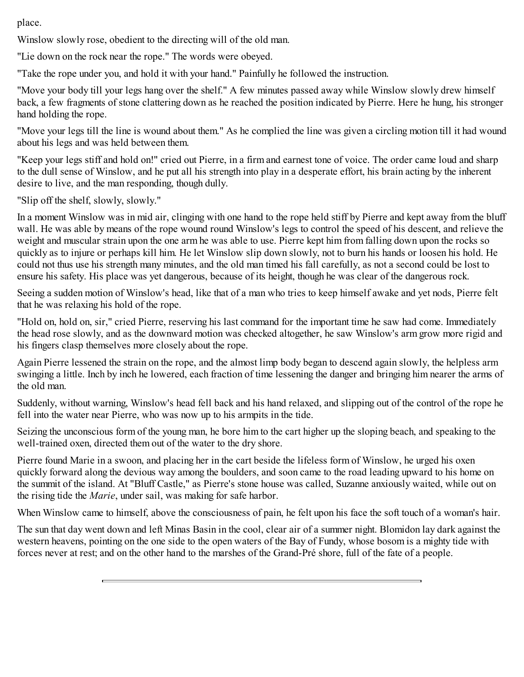place.

Winslow slowly rose, obedient to the directing will of the old man.

"Lie down on the rock near the rope." The words were obeyed.

"Take the rope under you, and hold it with your hand." Painfully he followed the instruction.

"Move your body till your legs hang over the shelf." A few minutes passed away while Winslow slowly drew himself back, a few fragments of stone clattering down as he reached the position indicated by Pierre. Here he hung, his stronger hand holding the rope.

"Move your legs till the line is wound about them." As he complied the line was given a circling motion till it had wound about his legs and was held between them.

"Keep your legs stiff and hold on!" cried out Pierre, in a firm and earnest tone of voice. The order came loud and sharp to the dull sense of Winslow, and he put all his strength into play in a desperate effort, his brain acting by the inherent desire to live, and the man responding, though dully.

"Slip off the shelf, slowly, slowly."

In a moment Winslow was in mid air, clinging with one hand to the rope held stiff by Pierre and kept away from the bluff wall. He was able by means of the rope wound round Winslow's legs to control the speed of his descent, and relieve the weight and muscular strain upon the one arm he was able to use. Pierre kept him from falling down upon the rocks so quickly as to injure or perhaps kill him. He let Winslow slip down slowly, not to burn his hands or loosen his hold. He could not thus use his strength many minutes, and the old man timed his fall carefully, as not a second could be lost to ensure his safety. His place was yet dangerous, because of its height, though he was clear of the dangerous rock.

Seeing a sudden motion of Winslow's head, like that of a man who tries to keep himself awake and yet nods, Pierre felt that he was relaxing his hold of the rope.

"Hold on, hold on, sir," cried Pierre, reserving his last command for the important time he saw had come. Immediately the head rose slowly, and as the downward motion was checked altogether, he saw Winslow's arm grow more rigid and his fingers clasp themselves more closely about the rope.

Again Pierre lessened the strain on the rope, and the almost limp body began to descend again slowly, the helpless arm swinging a little. Inch by inch he lowered, each fraction of time lessening the danger and bringing him nearer the arms of the old man.

Suddenly, without warning, Winslow's head fell back and his hand relaxed, and slipping out of the control of the rope he fell into the water near Pierre, who was now up to his armpits in the tide.

Seizing the unconscious form of the young man, he bore him to the cart higher up the sloping beach, and speaking to the well-trained oxen, directed them out of the water to the dry shore.

Pierre found Marie in a swoon, and placing her in the cart beside the lifeless form of Winslow, he urged his oxen quickly forward along the devious way among the boulders, and soon came to the road leading upward to his home on the summit of the island. At "Bluff Castle," as Pierre's stone house was called, Suzanne anxiously waited, while out on the rising tide the *Marie*, under sail, was making for safe harbor.

When Winslow came to himself, above the consciousness of pain, he felt upon his face the soft touch of a woman's hair.

The sun that day went down and left Minas Basin in the cool, clear air of a summer night. Blomidon lay dark against the western heavens, pointing on the one side to the open waters of the Bay of Fundy, whose bosom is a mighty tide with forces never at rest; and on the other hand to the marshes of the Grand-Pré shore, full of the fate of a people.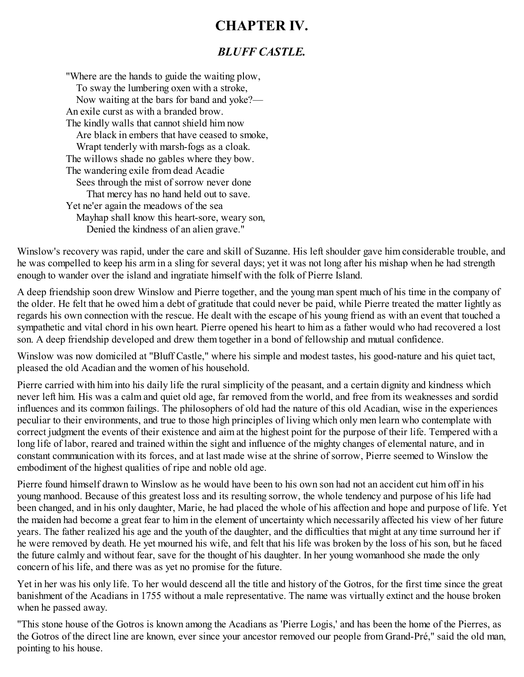### <span id="page-16-0"></span>**CHAPTER IV.**

#### *BLUFF CASTLE.*

"Where are the hands to guide the waiting plow, To sway the lumbering oxen with a stroke, Now waiting at the bars for band and yoke?— An exile curst as with a branded brow. The kindly walls that cannot shield him now Are black in embers that have ceased to smoke, Wrapt tenderly with marsh-fogs as a cloak. The willows shade no gables where they bow. The wandering exile from dead Acadie Sees through the mist of sorrow never done That mercy has no hand held out to save. Yet ne'er again the meadows of the sea Mayhap shall know this heart-sore, weary son, Denied the kindness of an alien grave."

Winslow's recovery was rapid, under the care and skill of Suzanne. His left shoulder gave him considerable trouble, and he was compelled to keep his arm in a sling for several days; yet it was not long after his mishap when he had strength enough to wander over the island and ingratiate himself with the folk of Pierre Island.

A deep friendship soon drew Winslow and Pierre together, and the young man spent much of his time in the company of the older. He felt that he owed him a debt of gratitude that could never be paid, while Pierre treated the matter lightly as regards his own connection with the rescue. He dealt with the escape of his young friend as with an event that touched a sympathetic and vital chord in his own heart. Pierre opened his heart to him as a father would who had recovered a lost son. A deep friendship developed and drew them together in a bond of fellowship and mutual confidence.

Winslow was now domiciled at "Bluff Castle," where his simple and modest tastes, his good-nature and his quiet tact, pleased the old Acadian and the women of his household.

Pierre carried with him into his daily life the rural simplicity of the peasant, and a certain dignity and kindness which never left him. His was a calm and quiet old age, far removed from the world, and free from its weaknesses and sordid influences and its common failings. The philosophers of old had the nature of this old Acadian, wise in the experiences peculiar to their environments, and true to those high principles of living which only men learn who contemplate with correct judgment the events of their existence and aim at the highest point for the purpose of their life. Tempered with a long life of labor, reared and trained within the sight and influence of the mighty changes of elemental nature, and in constant communication with its forces, and at last made wise at the shrine of sorrow, Pierre seemed to Winslow the embodiment of the highest qualities of ripe and noble old age.

Pierre found himself drawn to Winslow as he would have been to his own son had not an accident cut him off in his young manhood. Because of this greatest loss and its resulting sorrow, the whole tendency and purpose of his life had been changed, and in his only daughter, Marie, he had placed the whole of his affection and hope and purpose of life. Yet the maiden had become a great fear to him in the element of uncertainty which necessarily affected his view of her future years. The father realized his age and the youth of the daughter, and the difficulties that might at any time surround her if he were removed by death. He yet mourned his wife, and felt that his life was broken by the loss of his son, but he faced the future calmly and without fear, save for the thought of his daughter. In her young womanhood she made the only concern of his life, and there was as yet no promise for the future.

Yet in her was his only life. To her would descend all the title and history of the Gotros, for the first time since the great banishment of the Acadians in 1755 without a male representative. The name was virtually extinct and the house broken when he passed away.

"This stone house of the Gotros is known among the Acadians as 'Pierre Logis,' and has been the home of the Pierres, as the Gotros of the direct line are known, ever since your ancestor removed our people from Grand-Pré," said the old man, pointing to his house.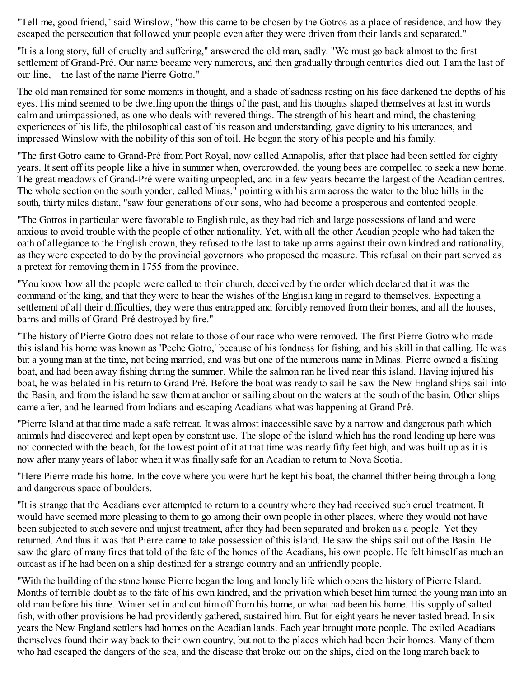"Tell me, good friend," said Winslow, "how this came to be chosen by the Gotros as a place of residence, and how they escaped the persecution that followed your people even after they were driven from their lands and separated."

"It is a long story, full of cruelty and suffering," answered the old man, sadly. "We must go back almost to the first settlement of Grand-Pré. Our name became very numerous, and then gradually through centuries died out. I am the last of our line,—the last of the name Pierre Gotro."

The old man remained for some moments in thought, and a shade of sadness resting on his face darkened the depths of his eyes. His mind seemed to be dwelling upon the things of the past, and his thoughts shaped themselves at last in words calm and unimpassioned, as one who deals with revered things. The strength of his heart and mind, the chastening experiences of his life, the philosophical cast of his reason and understanding, gave dignity to his utterances, and impressed Winslow with the nobility of this son of toil. He began the story of his people and his family.

"The first Gotro came to Grand-Pré from Port Royal, now called Annapolis, after that place had been settled for eighty years. It sent off its people like a hive in summer when, overcrowded, the young bees are compelled to seek a new home. The great meadows of Grand-Pré were waiting unpeopled, and in a few years became the largest of the Acadian centres. The whole section on the south yonder, called Minas," pointing with his arm across the water to the blue hills in the south, thirty miles distant, "saw four generations of our sons, who had become a prosperous and contented people.

"The Gotros in particular were favorable to English rule, as they had rich and large possessions of land and were anxious to avoid trouble with the people of other nationality. Yet, with all the other Acadian people who had taken the oath of allegiance to the English crown, they refused to the last to take up arms against their own kindred and nationality, as they were expected to do by the provincial governors who proposed the measure. This refusal on their part served as a pretext for removing them in 1755 from the province.

"You know how all the people were called to their church, deceived by the order which declared that it was the command of the king, and that they were to hear the wishes of the English king in regard to themselves. Expecting a settlement of all their difficulties, they were thus entrapped and forcibly removed from their homes, and all the houses, barns and mills of Grand-Pré destroyed by fire."

"The history of Pierre Gotro does not relate to those of our race who were removed. The first Pierre Gotro who made this island his home was known as 'Peche Gotro,' because of his fondness for fishing, and his skill in that calling. He was but a young man at the time, not being married, and was but one of the numerous name in Minas. Pierre owned a fishing boat, and had been away fishing during the summer. While the salmon ran he lived near this island. Having injured his boat, he was belated in his return to Grand Pré. Before the boat was ready to sail he saw the New England ships sail into the Basin, and from the island he saw them at anchor or sailing about on the waters at the south of the basin. Other ships came after, and he learned from Indians and escaping Acadians what was happening at Grand Pré.

"Pierre Island at that time made a safe retreat. It was almost inaccessible save by a narrow and dangerous path which animals had discovered and kept open by constant use. The slope of the island which has the road leading up here was not connected with the beach, for the lowest point of it at that time was nearly fifty feet high, and was built up as it is now after many years of labor when it was finally safe for an Acadian to return to Nova Scotia.

"Here Pierre made his home. In the cove where you were hurt he kept his boat, the channel thither being through a long and dangerous space of boulders.

"It is strange that the Acadians ever attempted to return to a country where they had received such cruel treatment. It would have seemed more pleasing to them to go among their own people in other places, where they would not have been subjected to such severe and unjust treatment, after they had been separated and broken as a people. Yet they returned. And thus it was that Pierre came to take possession of this island. He saw the ships sail out of the Basin. He saw the glare of many fires that told of the fate of the homes of the Acadians, his own people. He felt himself as much an outcast as if he had been on a ship destined for a strange country and an unfriendly people.

"With the building of the stone house Pierre began the long and lonely life which opens the history of Pierre Island. Months of terrible doubt as to the fate of his own kindred, and the privation which beset him turned the young man into an old man before his time. Winter set in and cut him off from his home, or what had been his home. His supply of salted fish, with other provisions he had providently gathered, sustained him. But for eight years he never tasted bread. In six years the New England settlers had homes on the Acadian lands. Each year brought more people. The exiled Acadians themselves found their way back to their own country, but not to the places which had been their homes. Many of them who had escaped the dangers of the sea, and the disease that broke out on the ships, died on the long march back to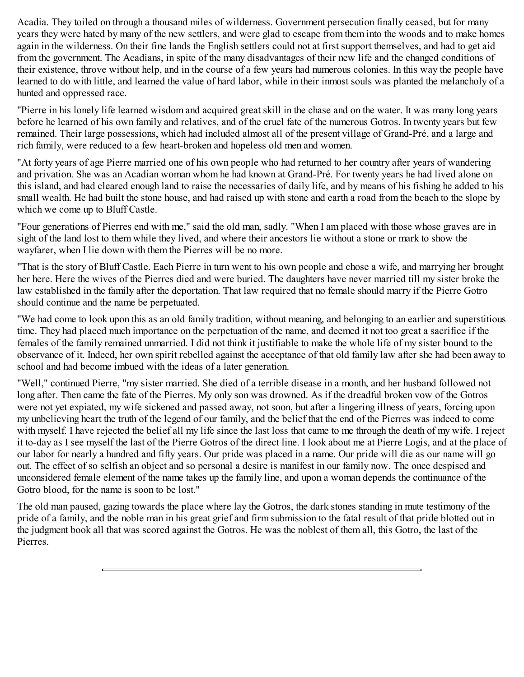Acadia. They toiled on through a thousand miles of wilderness. Government persecution finally ceased, but for many years they were hated by many of the new settlers, and were glad to escape from them into the woods and to make homes again in the wilderness. On their fine lands the English settlers could not at first support themselves, and had to get aid from the government. The Acadians, in spite of the many disadvantages of their new life and the changed conditions of their existence, throve without help, and in the course of a few years had numerous colonies. In this way the people have learned to do with little, and learned the value of hard labor, while in their inmost souls was planted the melancholy of a hunted and oppressed race.

"Pierre in his lonely life learned wisdom and acquired great skill in the chase and on the water. It was many long years before he learned of his own family and relatives, and of the cruel fate of the numerous Gotros. In twenty years but few remained. Their large possessions, which had included almost all of the present village of Grand-Pré, and a large and rich family, were reduced to a few heart-broken and hopeless old men and women.

"At forty years of age Pierre married one of his own people who had returned to her country after years of wandering and privation. She was an Acadian woman whom he had known at Grand-Pré. For twenty years he had lived alone on this island, and had cleared enough land to raise the necessaries of daily life, and by means of his fishing he added to his small wealth. He had built the stone house, and had raised up with stone and earth a road from the beach to the slope by which we come up to Bluff Castle.

"Four generations of Pierres end with me," said the old man, sadly. "When I am placed with those whose graves are in sight of the land lost to them while they lived, and where their ancestors lie without a stone or mark to show the wayfarer, when I lie down with them the Pierres will be no more.

"That is the story of Bluff Castle. Each Pierre in turn went to his own people and chose a wife, and marrying her brought her here. Here the wives of the Pierres died and were buried. The daughters have never married till my sister broke the law established in the family after the deportation. That law required that no female should marry if the Pierre Gotro should continue and the name be perpetuated.

"We had come to look upon this as an old family tradition, without meaning, and belonging to an earlier and superstitious time. They had placed much importance on the perpetuation of the name, and deemed it not too great a sacrifice if the females of the family remained unmarried. I did not think it justifiable to make the whole life of my sister bound to the observance of it. Indeed, her own spirit rebelled against the acceptance of that old family law after she had been away to school and had become imbued with the ideas of a later generation.

"Well," continued Pierre, "my sister married. She died of a terrible disease in a month, and her husband followed not long after. Then came the fate of the Pierres. My only son was drowned. As if the dreadful broken vow of the Gotros were not yet expiated, my wife sickened and passed away, not soon, but after a lingering illness of years, forcing upon my unbelieving heart the truth of the legend of our family, and the belief that the end of the Pierres was indeed to come with myself. I have rejected the belief all my life since the last loss that came to me through the death of my wife. I reject it to-day as I see myself the last of the Pierre Gotros of the direct line. I look about me at Pierre Logis, and at the place of our labor for nearly a hundred and fifty years. Our pride was placed in a name. Our pride will die as our name will go out. The effect of so selfish an object and so personal a desire is manifest in our family now. The once despised and unconsidered female element of the name takes up the family line, and upon a woman depends the continuance of the Gotro blood, for the name is soon to be lost."

The old man paused, gazing towards the place where lay the Gotros, the dark stones standing in mute testimony of the pride of a family, and the noble man in his great grief and firm submission to the fatal result of that pride blotted out in the judgment book all that was scored against the Gotros. He was the noblest of them all, this Gotro, the last of the Pierres.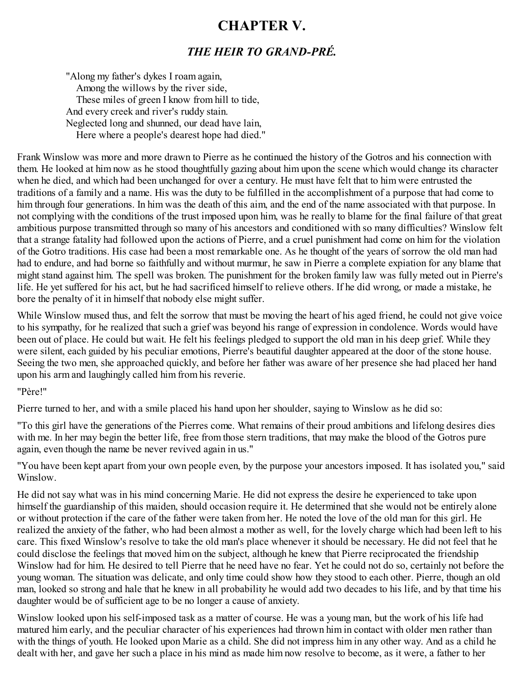### <span id="page-19-0"></span>**CHAPTER V.**

#### *THE HEIR TO GRAND-PRÉ.*

"Along my father's dykes I roam again, Among the willows by the river side, These miles of green I know from hill to tide, And every creek and river's ruddy stain. Neglected long and shunned, our dead have lain, Here where a people's dearest hope had died."

Frank Winslow was more and more drawn to Pierre as he continued the history of the Gotros and his connection with them. He looked at him now as he stood thoughtfully gazing about him upon the scene which would change its character when he died, and which had been unchanged for over a century. He must have felt that to him were entrusted the traditions of a family and a name. His was the duty to be fulfilled in the accomplishment of a purpose that had come to him through four generations. In him was the death of this aim, and the end of the name associated with that purpose. In not complying with the conditions of the trust imposed upon him, was he really to blame for the final failure of that great ambitious purpose transmitted through so many of his ancestors and conditioned with so many difficulties? Winslow felt that a strange fatality had followed upon the actions of Pierre, and a cruel punishment had come on him for the violation of the Gotro traditions. His case had been a most remarkable one. As he thought of the years of sorrow the old man had had to endure, and had borne so faithfully and without murmur, he saw in Pierre a complete expiation for any blame that might stand against him. The spell was broken. The punishment for the broken family law was fully meted out in Pierre's life. He yet suffered for his act, but he had sacrificed himself to relieve others. If he did wrong, or made a mistake, he bore the penalty of it in himself that nobody else might suffer.

While Winslow mused thus, and felt the sorrow that must be moving the heart of his aged friend, he could not give voice to his sympathy, for he realized that such a grief was beyond his range of expression in condolence. Words would have been out of place. He could but wait. He felt his feelings pledged to support the old man in his deep grief. While they were silent, each guided by his peculiar emotions, Pierre's beautiful daughter appeared at the door of the stone house. Seeing the two men, she approached quickly, and before her father was aware of her presence she had placed her hand upon his arm and laughingly called him from his reverie.

#### "Père!"

Pierre turned to her, and with a smile placed his hand upon her shoulder, saying to Winslow as he did so:

"To this girl have the generations of the Pierres come. What remains of their proud ambitions and lifelong desires dies with me. In her may begin the better life, free from those stern traditions, that may make the blood of the Gotros pure again, even though the name be never revived again in us."

"You have been kept apart from your own people even, by the purpose your ancestors imposed. It has isolated you," said Winslow.

He did not say what was in his mind concerning Marie. He did not express the desire he experienced to take upon himself the guardianship of this maiden, should occasion require it. He determined that she would not be entirely alone or without protection if the care of the father were taken from her. He noted the love of the old man for this girl. He realized the anxiety of the father, who had been almost a mother as well, for the lovely charge which had been left to his care. This fixed Winslow's resolve to take the old man's place whenever it should be necessary. He did not feel that he could disclose the feelings that moved him on the subject, although he knew that Pierre reciprocated the friendship Winslow had for him. He desired to tell Pierre that he need have no fear. Yet he could not do so, certainly not before the young woman. The situation was delicate, and only time could show how they stood to each other. Pierre, though an old man, looked so strong and hale that he knew in all probability he would add two decades to his life, and by that time his daughter would be of sufficient age to be no longer a cause of anxiety.

Winslow looked upon his self-imposed task as a matter of course. He was a young man, but the work of his life had matured him early, and the peculiar character of his experiences had thrown him in contact with older men rather than with the things of youth. He looked upon Marie as a child. She did not impress him in any other way. And as a child he dealt with her, and gave her such a place in his mind as made him now resolve to become, as it were, a father to her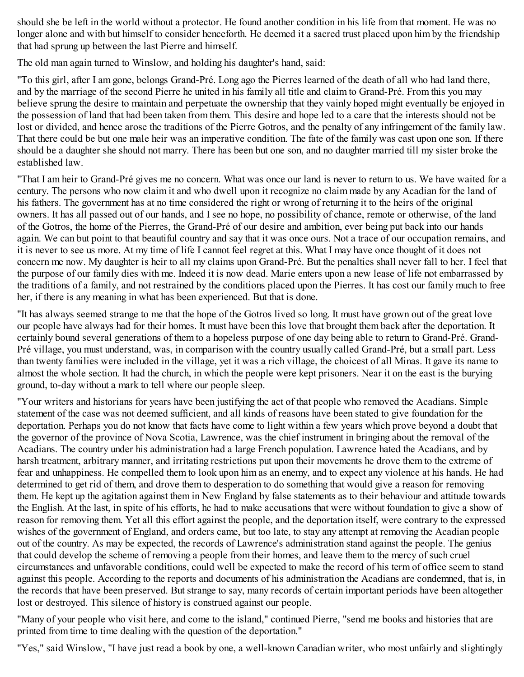should she be left in the world without a protector. He found another condition in his life from that moment. He was no longer alone and with but himself to consider henceforth. He deemed it a sacred trust placed upon him by the friendship that had sprung up between the last Pierre and himself.

The old man again turned to Winslow, and holding his daughter's hand, said:

"To this girl, after I am gone, belongs Grand-Pré. Long ago the Pierres learned of the death of all who had land there, and by the marriage of the second Pierre he united in his family all title and claim to Grand-Pré. From this you may believe sprung the desire to maintain and perpetuate the ownership that they vainly hoped might eventually be enjoyed in the possession of land that had been taken from them. This desire and hope led to a care that the interests should not be lost or divided, and hence arose the traditions of the Pierre Gotros, and the penalty of any infringement of the family law. That there could be but one male heir was an imperative condition. The fate of the family was cast upon one son. If there should be a daughter she should not marry. There has been but one son, and no daughter married till my sister broke the established law.

"That I am heir to Grand-Pré gives me no concern. What was once our land is never to return to us. We have waited for a century. The persons who now claim it and who dwell upon it recognize no claim made by any Acadian for the land of his fathers. The government has at no time considered the right or wrong of returning it to the heirs of the original owners. It has all passed out of our hands, and I see no hope, no possibility of chance, remote or otherwise, of the land of the Gotros, the home of the Pierres, the Grand-Pré of our desire and ambition, ever being put back into our hands again. We can but point to that beautiful country and say that it was once ours. Not a trace of our occupation remains, and it is never to see us more. At my time of life I cannot feel regret at this. What I may have once thought of it does not concern me now. My daughter is heir to all my claims upon Grand-Pré. But the penalties shall never fall to her. I feel that the purpose of our family dies with me. Indeed it is now dead. Marie enters upon a new lease of life not embarrassed by the traditions of a family, and not restrained by the conditions placed upon the Pierres. It has cost our family much to free her, if there is any meaning in what has been experienced. But that is done.

"It has always seemed strange to me that the hope of the Gotros lived so long. It must have grown out of the great love our people have always had for their homes. It must have been this love that brought them back after the deportation. It certainly bound several generations of them to a hopeless purpose of one day being able to return to Grand-Pré. Grand-Pré village, you must understand, was, in comparison with the country usually called Grand-Pré, but a small part. Less than twenty families were included in the village, yet it was a rich village, the choicest of all Minas. It gave its name to almost the whole section. It had the church, in which the people were kept prisoners. Near it on the east is the burying ground, to-day without a mark to tell where our people sleep.

"Your writers and historians for years have been justifying the act of that people who removed the Acadians. Simple statement of the case was not deemed sufficient, and all kinds of reasons have been stated to give foundation for the deportation. Perhaps you do not know that facts have come to light within a few years which prove beyond a doubt that the governor of the province of Nova Scotia, Lawrence, was the chief instrument in bringing about the removal of the Acadians. The country under his administration had a large French population. Lawrence hated the Acadians, and by harsh treatment, arbitrary manner, and irritating restrictions put upon their movements he drove them to the extreme of fear and unhappiness. He compelled them to look upon him as an enemy, and to expect any violence at his hands. He had determined to get rid of them, and drove them to desperation to do something that would give a reason for removing them. He kept up the agitation against them in New England by false statements as to their behaviour and attitude towards the English. At the last, in spite of his efforts, he had to make accusations that were without foundation to give a show of reason for removing them. Yet all this effort against the people, and the deportation itself, were contrary to the expressed wishes of the government of England, and orders came, but too late, to stay any attempt at removing the Acadian people out of the country. As may be expected, the records of Lawrence's administration stand against the people. The genius that could develop the scheme of removing a people from their homes, and leave them to the mercy of such cruel circumstances and unfavorable conditions, could well be expected to make the record of his term of office seem to stand against this people. According to the reports and documents of his administration the Acadians are condemned, that is, in the records that have been preserved. But strange to say, many records of certain important periods have been altogether lost or destroyed. This silence of history is construed against our people.

"Many of your people who visit here, and come to the island," continued Pierre, "send me books and histories that are printed from time to time dealing with the question of the deportation."

"Yes," said Winslow, "I have just read a book by one, a well-known Canadian writer, who most unfairly and slightingly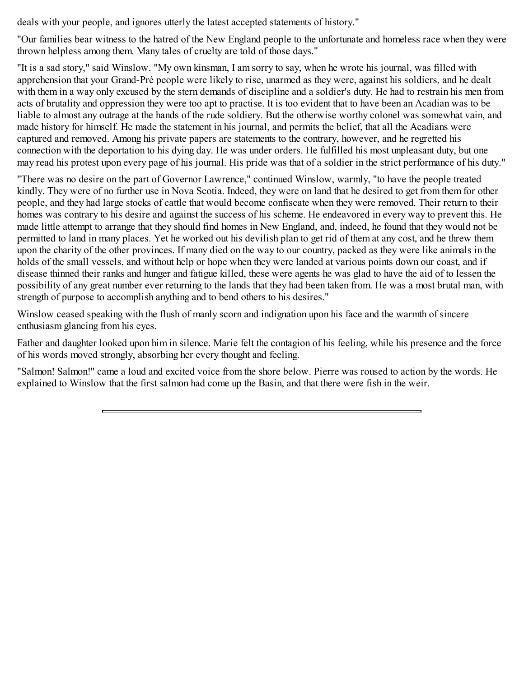deals with your people, and ignores utterly the latest accepted statements of history."

"Our families bear witness to the hatred of the New England people to the unfortunate and homeless race when they were thrown helpless among them. Many tales of cruelty are told of those days."

"It is a sad story," said Winslow. "My own kinsman, I am sorry to say, when he wrote his journal, was filled with apprehension that your Grand-Pré people were likely to rise, unarmed as they were, against his soldiers, and he dealt with them in a way only excused by the stern demands of discipline and a soldier's duty. He had to restrain his men from acts of brutality and oppression they were too apt to practise. It is too evident that to have been an Acadian was to be liable to almost any outrage at the hands of the rude soldiery. But the otherwise worthy colonel was somewhat vain, and made history for himself. He made the statement in his journal, and permits the belief, that all the Acadians were captured and removed. Among his private papers are statements to the contrary, however, and he regretted his connection with the deportation to his dying day. He was under orders. He fulfilled his most unpleasant duty, but one may read his protest upon every page of his journal. His pride was that of a soldier in the strict performance of his duty."

"There was no desire on the part of Governor Lawrence," continued Winslow, warmly, "to have the people treated kindly. They were of no further use in Nova Scotia. Indeed, they were on land that he desired to get from them for other people, and they had large stocks of cattle that would become confiscate when they were removed. Their return to their homes was contrary to his desire and against the success of his scheme. He endeavored in every way to prevent this. He made little attempt to arrange that they should find homes in New England, and, indeed, he found that they would not be permitted to land in many places. Yet he worked out his devilish plan to get rid of them at any cost, and he threw them upon the charity of the other provinces. If many died on the way to our country, packed as they were like animals in the holds of the small vessels, and without help or hope when they were landed at various points down our coast, and if disease thinned their ranks and hunger and fatigue killed, these were agents he was glad to have the aid of to lessen the possibility of any great number ever returning to the lands that they had been taken from. He was a most brutal man, with strength of purpose to accomplish anything and to bend others to his desires."

Winslow ceased speaking with the flush of manly scorn and indignation upon his face and the warmth of sincere enthusiasm glancing from his eyes.

Father and daughter looked upon him in silence. Marie felt the contagion of his feeling, while his presence and the force of his words moved strongly, absorbing her every thought and feeling.

"Salmon! Salmon!" came a loud and excited voice from the shore below. Pierre was roused to action by the words. He explained to Winslow that the first salmon had come up the Basin, and that there were fish in the weir.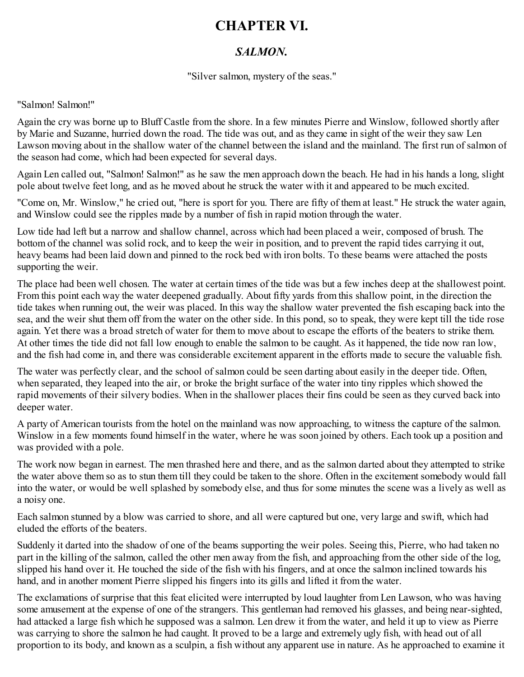### <span id="page-22-0"></span>**CHAPTER VI.**

#### *SALMON.*

"Silver salmon, mystery of the seas."

#### "Salmon! Salmon!"

Again the cry was borne up to Bluff Castle from the shore. In a few minutes Pierre and Winslow, followed shortly after by Marie and Suzanne, hurried down the road. The tide was out, and as they came in sight of the weir they saw Len Lawson moving about in the shallow water of the channel between the island and the mainland. The first run of salmon of the season had come, which had been expected for several days.

Again Len called out, "Salmon! Salmon!" as he saw the men approach down the beach. He had in his hands a long, slight pole about twelve feet long, and as he moved about he struck the water with it and appeared to be much excited.

"Come on, Mr. Winslow," he cried out, "here is sport for you. There are fifty of them at least." He struck the water again, and Winslow could see the ripples made by a number of fish in rapid motion through the water.

Low tide had left but a narrow and shallow channel, across which had been placed a weir, composed of brush. The bottom of the channel was solid rock, and to keep the weir in position, and to prevent the rapid tides carrying it out, heavy beams had been laid down and pinned to the rock bed with iron bolts. To these beams were attached the posts supporting the weir.

The place had been well chosen. The water at certain times of the tide was but a few inches deep at the shallowest point. From this point each way the water deepened gradually. About fifty yards from this shallow point, in the direction the tide takes when running out, the weir was placed. In this way the shallow water prevented the fish escaping back into the sea, and the weir shut them off from the water on the other side. In this pond, so to speak, they were kept till the tide rose again. Yet there was a broad stretch of water for them to move about to escape the efforts of the beaters to strike them. At other times the tide did not fall low enough to enable the salmon to be caught. As it happened, the tide now ran low, and the fish had come in, and there was considerable excitement apparent in the efforts made to secure the valuable fish.

The water was perfectly clear, and the school of salmon could be seen darting about easily in the deeper tide. Often, when separated, they leaped into the air, or broke the bright surface of the water into tiny ripples which showed the rapid movements of their silvery bodies. When in the shallower places their fins could be seen as they curved back into deeper water.

A party of American tourists from the hotel on the mainland was now approaching, to witness the capture of the salmon. Winslow in a few moments found himself in the water, where he was soon joined by others. Each took up a position and was provided with a pole.

The work now began in earnest. The men thrashed here and there, and as the salmon darted about they attempted to strike the water above them so as to stun them till they could be taken to the shore. Often in the excitement somebody would fall into the water, or would be well splashed by somebody else, and thus for some minutes the scene was a lively as well as a noisy one.

Each salmon stunned by a blow was carried to shore, and all were captured but one, very large and swift, which had eluded the efforts of the beaters.

Suddenly it darted into the shadow of one of the beams supporting the weir poles. Seeing this, Pierre, who had taken no part in the killing of the salmon, called the other men away from the fish, and approaching from the other side of the log, slipped his hand over it. He touched the side of the fish with his fingers, and at once the salmon inclined towards his hand, and in another moment Pierre slipped his fingers into its gills and lifted it from the water.

The exclamations of surprise that this feat elicited were interrupted by loud laughter from Len Lawson, who was having some amusement at the expense of one of the strangers. This gentleman had removed his glasses, and being near-sighted, had attacked a large fish which he supposed was a salmon. Len drew it from the water, and held it up to view as Pierre was carrying to shore the salmon he had caught. It proved to be a large and extremely ugly fish, with head out of all proportion to its body, and known as a sculpin, a fish without any apparent use in nature. As he approached to examine it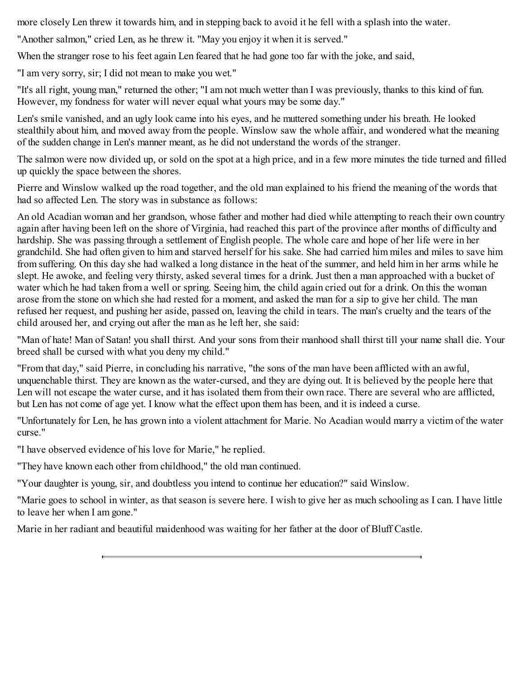more closely Len threw it towards him, and in stepping back to avoid it he fell with a splash into the water.

"Another salmon," cried Len, as he threw it. "May you enjoy it when it is served."

When the stranger rose to his feet again Len feared that he had gone too far with the joke, and said,

"I am very sorry, sir; I did not mean to make you wet."

"It's all right, young man," returned the other; "I am not much wetter than I was previously, thanks to this kind of fun. However, my fondness for water will never equal what yours may be some day."

Len's smile vanished, and an ugly look came into his eyes, and he muttered something under his breath. He looked stealthily about him, and moved away from the people. Winslow saw the whole affair, and wondered what the meaning of the sudden change in Len's manner meant, as he did not understand the words of the stranger.

The salmon were now divided up, or sold on the spot at a high price, and in a few more minutes the tide turned and filled up quickly the space between the shores.

Pierre and Winslow walked up the road together, and the old man explained to his friend the meaning of the words that had so affected Len. The story was in substance as follows:

An old Acadian woman and her grandson, whose father and mother had died while attempting to reach their own country again after having been left on the shore of Virginia, had reached this part of the province after months of difficulty and hardship. She was passing through a settlement of English people. The whole care and hope of her life were in her grandchild. She had often given to him and starved herself for his sake. She had carried him miles and miles to save him from suffering. On this day she had walked a long distance in the heat of the summer, and held him in her arms while he slept. He awoke, and feeling very thirsty, asked several times for a drink. Just then a man approached with a bucket of water which he had taken from a well or spring. Seeing him, the child again cried out for a drink. On this the woman arose from the stone on which she had rested for a moment, and asked the man for a sip to give her child. The man refused her request, and pushing her aside, passed on, leaving the child in tears. The man's cruelty and the tears of the child aroused her, and crying out after the man as he left her, she said:

"Man of hate! Man of Satan! you shall thirst. And your sons from their manhood shall thirst till your name shall die. Your breed shall be cursed with what you deny my child."

"From that day," said Pierre, in concluding his narrative, "the sons of the man have been afflicted with an awful, unquenchable thirst. They are known as the water-cursed, and they are dying out. It is believed by the people here that Len will not escape the water curse, and it has isolated them from their own race. There are several who are afflicted, but Len has not come of age yet. I know what the effect upon them has been, and it is indeed a curse.

"Unfortunately for Len, he has grown into a violent attachment for Marie. No Acadian would marry a victim of the water curse."

"I have observed evidence of his love for Marie," he replied.

"They have known each other from childhood," the old man continued.

"Your daughter is young, sir, and doubtless you intend to continue her education?" said Winslow.

"Marie goes to school in winter, as that season is severe here. I wish to give her as much schooling as I can. I have little to leave her when I am gone."

Marie in her radiant and beautiful maidenhood was waiting for her father at the door of Bluff Castle.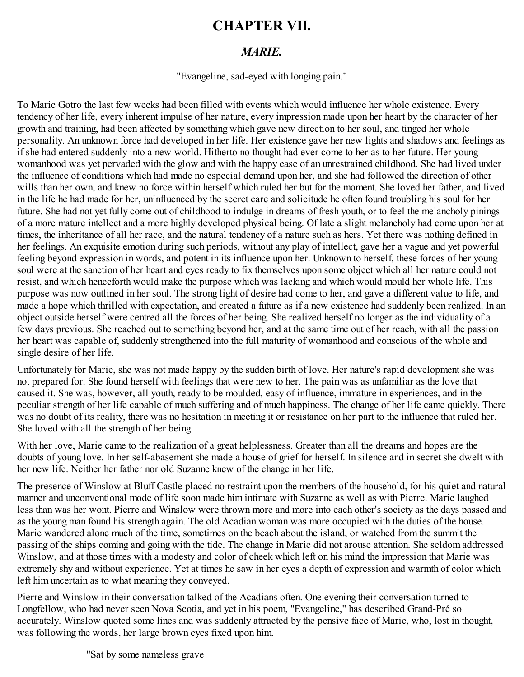### <span id="page-24-0"></span>**CHAPTER VII.**

#### *MARIE.*

"Evangeline, sad-eyed with longing pain."

To Marie Gotro the last few weeks had been filled with events which would influence her whole existence. Every tendency of her life, every inherent impulse of her nature, every impression made upon her heart by the character of her growth and training, had been affected by something which gave new direction to her soul, and tinged her whole personality. An unknown force had developed in her life. Her existence gave her new lights and shadows and feelings as if she had entered suddenly into a new world. Hitherto no thought had ever come to her as to her future. Her young womanhood was yet pervaded with the glow and with the happy ease of an unrestrained childhood. She had lived under the influence of conditions which had made no especial demand upon her, and she had followed the direction of other wills than her own, and knew no force within herself which ruled her but for the moment. She loved her father, and lived in the life he had made for her, uninfluenced by the secret care and solicitude he often found troubling his soul for her future. She had not yet fully come out of childhood to indulge in dreams of fresh youth, or to feel the melancholy pinings of a more mature intellect and a more highly developed physical being. Of late a slight melancholy had come upon her at times, the inheritance of all her race, and the natural tendency of a nature such as hers. Yet there was nothing defined in her feelings. An exquisite emotion during such periods, without any play of intellect, gave her a vague and yet powerful feeling beyond expression in words, and potent in its influence upon her. Unknown to herself, these forces of her young soul were at the sanction of her heart and eyes ready to fix themselves upon some object which all her nature could not resist, and which henceforth would make the purpose which was lacking and which would mould her whole life. This purpose was now outlined in her soul. The strong light of desire had come to her, and gave a different value to life, and made a hope which thrilled with expectation, and created a future as if a new existence had suddenly been realized. In an object outside herself were centred all the forces of her being. She realized herself no longer as the individuality of a few days previous. She reached out to something beyond her, and at the same time out of her reach, with all the passion her heart was capable of, suddenly strengthened into the full maturity of womanhood and conscious of the whole and single desire of her life.

Unfortunately for Marie, she was not made happy by the sudden birth of love. Her nature's rapid development she was not prepared for. She found herself with feelings that were new to her. The pain was as unfamiliar as the love that caused it. She was, however, all youth, ready to be moulded, easy of influence, immature in experiences, and in the peculiar strength of her life capable of much suffering and of much happiness. The change of her life came quickly. There was no doubt of its reality, there was no hesitation in meeting it or resistance on her part to the influence that ruled her. She loved with all the strength of her being.

With her love, Marie came to the realization of a great helplessness. Greater than all the dreams and hopes are the doubts of young love. In her self-abasement she made a house of grief for herself. In silence and in secret she dwelt with her new life. Neither her father nor old Suzanne knew of the change in her life.

The presence of Winslow at Bluff Castle placed no restraint upon the members of the household, for his quiet and natural manner and unconventional mode of life soon made him intimate with Suzanne as well as with Pierre. Marie laughed less than was her wont. Pierre and Winslow were thrown more and more into each other's society as the days passed and as the young man found his strength again. The old Acadian woman was more occupied with the duties of the house. Marie wandered alone much of the time, sometimes on the beach about the island, or watched from the summit the passing of the ships coming and going with the tide. The change in Marie did not arouse attention. She seldom addressed Winslow, and at those times with a modesty and color of cheek which left on his mind the impression that Marie was extremely shy and without experience. Yet at times he saw in her eyes a depth of expression and warmth of color which left him uncertain as to what meaning they conveyed.

Pierre and Winslow in their conversation talked of the Acadians often. One evening their conversation turned to Longfellow, who had never seen Nova Scotia, and yet in his poem, "Evangeline," has described Grand-Pré so accurately. Winslow quoted some lines and was suddenly attracted by the pensive face of Marie, who, lost in thought, was following the words, her large brown eyes fixed upon him.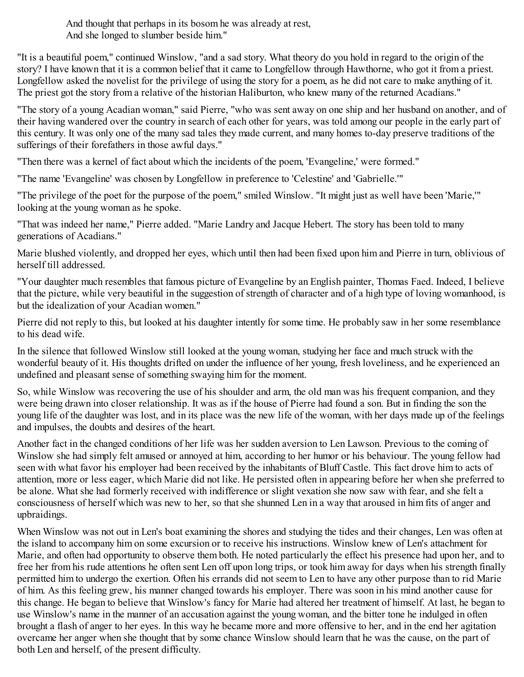"Sat by some nameless grave And thought that perhaps in its bosom he was already at rest, And she longed to slumber beside him."

"It is a beautiful poem," continued Winslow, "and a sad story. What theory do you hold in regard to the origin of the story? I have known that it is a common belief that it came to Longfellow through Hawthorne, who got it from a priest. Longfellow asked the novelist for the privilege of using the story for a poem, as he did not care to make anything of it. The priest got the story from a relative of the historian Haliburton, who knew many of the returned Acadians."

"The story of a young Acadian woman," said Pierre, "who was sent away on one ship and her husband on another, and of their having wandered over the country in search of each other for years, was told among our people in the early part of this century. It was only one of the many sad tales they made current, and many homes to-day preserve traditions of the sufferings of their forefathers in those awful days."

"Then there was a kernel of fact about which the incidents of the poem, 'Evangeline,' were formed."

"The name 'Evangeline' was chosen by Longfellow in preference to 'Celestine' and 'Gabrielle.'"

"The privilege of the poet for the purpose of the poem," smiled Winslow. "It might just as well have been 'Marie,'" looking at the young woman as he spoke.

"That was indeed her name," Pierre added. "Marie Landry and Jacque Hebert. The story has been told to many generations of Acadians."

Marie blushed violently, and dropped her eyes, which until then had been fixed upon him and Pierre in turn, oblivious of herself till addressed.

"Your daughter much resembles that famous picture of Evangeline by an English painter, Thomas Faed. Indeed, I believe that the picture, while very beautiful in the suggestion of strength of character and of a high type of loving womanhood, is but the idealization of your Acadian women."

Pierre did not reply to this, but looked at his daughter intently for some time. He probably saw in her some resemblance to his dead wife.

In the silence that followed Winslow still looked at the young woman, studying her face and much struck with the wonderful beauty of it. His thoughts drifted on under the influence of her young, fresh loveliness, and he experienced an undefined and pleasant sense of something swaying him for the moment.

So, while Winslow was recovering the use of his shoulder and arm, the old man was his frequent companion, and they were being drawn into closer relationship. It was as if the house of Pierre had found a son. But in finding the son the young life of the daughter was lost, and in its place was the new life of the woman, with her days made up of the feelings and impulses, the doubts and desires of the heart.

Another fact in the changed conditions of her life was her sudden aversion to Len Lawson. Previous to the coming of Winslow she had simply felt amused or annoyed at him, according to her humor or his behaviour. The young fellow had seen with what favor his employer had been received by the inhabitants of Bluff Castle. This fact drove him to acts of attention, more or less eager, which Marie did not like. He persisted often in appearing before her when she preferred to be alone. What she had formerly received with indifference or slight vexation she now saw with fear, and she felt a consciousness of herself which was new to her, so that she shunned Len in a way that aroused in him fits of anger and upbraidings.

When Winslow was not out in Len's boat examining the shores and studying the tides and their changes, Len was often at the island to accompany him on some excursion or to receive his instructions. Winslow knew of Len's attachment for Marie, and often had opportunity to observe them both. He noted particularly the effect his presence had upon her, and to free her from his rude attentions he often sent Len off upon long trips, or took him away for days when his strength finally permitted him to undergo the exertion. Often his errands did not seem to Len to have any other purpose than to rid Marie of him. As this feeling grew, his manner changed towards his employer. There was soon in his mind another cause for this change. He began to believe that Winslow's fancy for Marie had altered her treatment of himself. At last, he began to use Winslow's name in the manner of an accusation against the young woman, and the bitter tone he indulged in often brought a flash of anger to her eyes. In this way he became more and more offensive to her, and in the end her agitation overcame her anger when she thought that by some chance Winslow should learn that he was the cause, on the part of both Len and herself, of the present difficulty.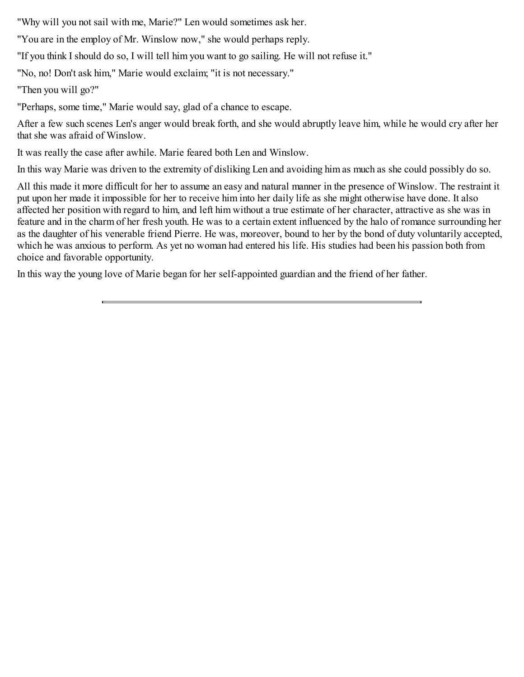"Why will you not sail with me, Marie?" Len would sometimes ask her.

"You are in the employ of Mr. Winslow now," she would perhaps reply.

"If you think I should do so, I will tell him you want to go sailing. He will not refuse it."

"No, no! Don't ask him," Marie would exclaim; "it is not necessary."

"Then you will go?"

"Perhaps, some time," Marie would say, glad of a chance to escape.

After a few such scenes Len's anger would break forth, and she would abruptly leave him, while he would cry after her that she was afraid of Winslow.

It was really the case after awhile. Marie feared both Len and Winslow.

In this way Marie was driven to the extremity of disliking Len and avoiding him as much as she could possibly do so.

All this made it more difficult for her to assume an easy and natural manner in the presence of Winslow. The restraint it put upon her made it impossible for her to receive him into her daily life as she might otherwise have done. It also affected her position with regard to him, and left him without a true estimate of her character, attractive as she was in feature and in the charm of her fresh youth. He was to a certain extent influenced by the halo of romance surrounding her as the daughter of his venerable friend Pierre. He was, moreover, bound to her by the bond of duty voluntarily accepted, which he was anxious to perform. As yet no woman had entered his life. His studies had been his passion both from choice and favorable opportunity.

In this way the young love of Marie began for her self-appointed guardian and the friend of her father.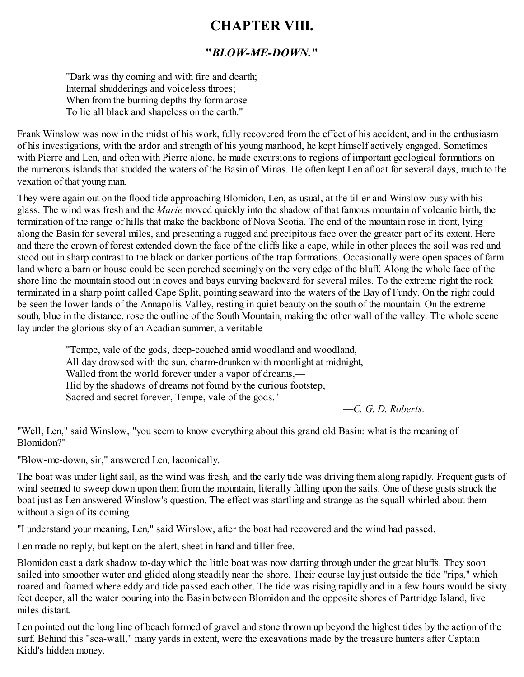### <span id="page-27-0"></span>**CHAPTER VIII.**

#### **"***BLOW-ME-DOWN.***"**

"Dark was thy coming and with fire and dearth; Internal shudderings and voiceless throes; When from the burning depths thy form arose To lie all black and shapeless on the earth."

Frank Winslow was now in the midst of his work, fully recovered from the effect of his accident, and in the enthusiasm of his investigations, with the ardor and strength of his young manhood, he kept himself actively engaged. Sometimes with Pierre and Len, and often with Pierre alone, he made excursions to regions of important geological formations on the numerous islands that studded the waters of the Basin of Minas. He often kept Len afloat for several days, much to the vexation of that young man.

They were again out on the flood tide approaching Blomidon, Len, as usual, at the tiller and Winslow busy with his glass. The wind was fresh and the *Marie* moved quickly into the shadow of that famous mountain of volcanic birth, the termination of the range of hills that make the backbone of Nova Scotia. The end of the mountain rose in front, lying along the Basin for several miles, and presenting a rugged and precipitous face over the greater part of its extent. Here and there the crown of forest extended down the face of the cliffs like a cape, while in other places the soil was red and stood out in sharp contrast to the black or darker portions of the trap formations. Occasionally were open spaces of farm land where a barn or house could be seen perched seemingly on the very edge of the bluff. Along the whole face of the shore line the mountain stood out in coves and bays curving backward for several miles. To the extreme right the rock terminated in a sharp point called Cape Split, pointing seaward into the waters of the Bay of Fundy. On the right could be seen the lower lands of the Annapolis Valley, resting in quiet beauty on the south of the mountain. On the extreme south, blue in the distance, rose the outline of the South Mountain, making the other wall of the valley. The whole scene lay under the glorious sky of an Acadian summer, a veritable—

"Tempe, vale of the gods, deep-couched amid woodland and woodland, All day drowsed with the sun, charm-drunken with moonlight at midnight, Walled from the world forever under a vapor of dreams,— Hid by the shadows of dreams not found by the curious footstep, Sacred and secret forever, Tempe, vale of the gods."

—*C. G. D. Roberts.*

"Well, Len," said Winslow, "you seem to know everything about this grand old Basin: what is the meaning of Blomidon?"

"Blow-me-down, sir," answered Len, laconically.

The boat was under light sail, as the wind was fresh, and the early tide was driving them along rapidly. Frequent gusts of wind seemed to sweep down upon them from the mountain, literally falling upon the sails. One of these gusts struck the boat just as Len answered Winslow's question. The effect was startling and strange as the squall whirled about them without a sign of its coming.

"I understand your meaning, Len," said Winslow, after the boat had recovered and the wind had passed.

Len made no reply, but kept on the alert, sheet in hand and tiller free.

Blomidon cast a dark shadow to-day which the little boat was now darting through under the great bluffs. They soon sailed into smoother water and glided along steadily near the shore. Their course lay just outside the tide "rips," which roared and foamed where eddy and tide passed each other. The tide was rising rapidly and in a few hours would be sixty feet deeper, all the water pouring into the Basin between Blomidon and the opposite shores of Partridge Island, five miles distant.

Len pointed out the long line of beach formed of gravel and stone thrown up beyond the highest tides by the action of the surf. Behind this "sea-wall," many yards in extent, were the excavations made by the treasure hunters after Captain Kidd's hidden money.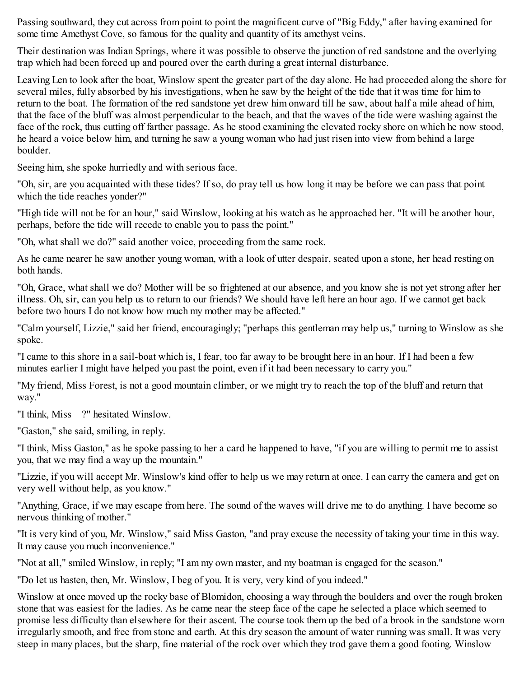Passing southward, they cut across from point to point the magnificent curve of "Big Eddy," after having examined for some time Amethyst Cove, so famous for the quality and quantity of its amethyst veins.

Their destination was Indian Springs, where it was possible to observe the junction of red sandstone and the overlying trap which had been forced up and poured over the earth during a great internal disturbance.

Leaving Len to look after the boat, Winslow spent the greater part of the day alone. He had proceeded along the shore for several miles, fully absorbed by his investigations, when he saw by the height of the tide that it was time for him to return to the boat. The formation of the red sandstone yet drew him onward till he saw, about half a mile ahead of him, that the face of the bluff was almost perpendicular to the beach, and that the waves of the tide were washing against the face of the rock, thus cutting off farther passage. As he stood examining the elevated rocky shore on which he now stood, he heard a voice below him, and turning he saw a young woman who had just risen into view from behind a large boulder.

Seeing him, she spoke hurriedly and with serious face.

"Oh, sir, are you acquainted with these tides? If so, do pray tell us how long it may be before we can pass that point which the tide reaches yonder?"

"High tide will not be for an hour," said Winslow, looking at his watch as he approached her. "It will be another hour, perhaps, before the tide will recede to enable you to pass the point."

"Oh, what shall we do?" said another voice, proceeding from the same rock.

As he came nearer he saw another young woman, with a look of utter despair, seated upon a stone, her head resting on both hands.

"Oh, Grace, what shall we do? Mother will be so frightened at our absence, and you know she is not yet strong after her illness. Oh, sir, can you help us to return to our friends? We should have left here an hour ago. If we cannot get back before two hours I do not know how much my mother may be affected."

"Calm yourself, Lizzie," said her friend, encouragingly; "perhaps this gentleman may help us," turning to Winslow as she spoke.

"I came to this shore in a sail-boat which is, I fear, too far away to be brought here in an hour. If I had been a few minutes earlier I might have helped you past the point, even if it had been necessary to carry you."

"My friend, Miss Forest, is not a good mountain climber, or we might try to reach the top of the bluff and return that way."

"I think, Miss—?" hesitated Winslow.

"Gaston," she said, smiling, in reply.

"I think, Miss Gaston," as he spoke passing to her a card he happened to have, "if you are willing to permit me to assist you, that we may find a way up the mountain."

"Lizzie, if you will accept Mr. Winslow's kind offer to help us we may return at once. I can carry the camera and get on very well without help, as you know."

"Anything, Grace, if we may escape from here. The sound of the waves will drive me to do anything. I have become so nervous thinking of mother."

"It is very kind of you, Mr. Winslow," said Miss Gaston, "and pray excuse the necessity of taking your time in this way. It may cause you much inconvenience."

"Not at all," smiled Winslow, in reply; "I am my own master, and my boatman is engaged for the season."

"Do let us hasten, then, Mr. Winslow, I beg of you. It is very, very kind of you indeed."

Winslow at once moved up the rocky base of Blomidon, choosing a way through the boulders and over the rough broken stone that was easiest for the ladies. As he came near the steep face of the cape he selected a place which seemed to promise less difficulty than elsewhere for their ascent. The course took them up the bed of a brook in the sandstone worn irregularly smooth, and free from stone and earth. At this dry season the amount of water running was small. It was very steep in many places, but the sharp, fine material of the rock over which they trod gave them a good footing. Winslow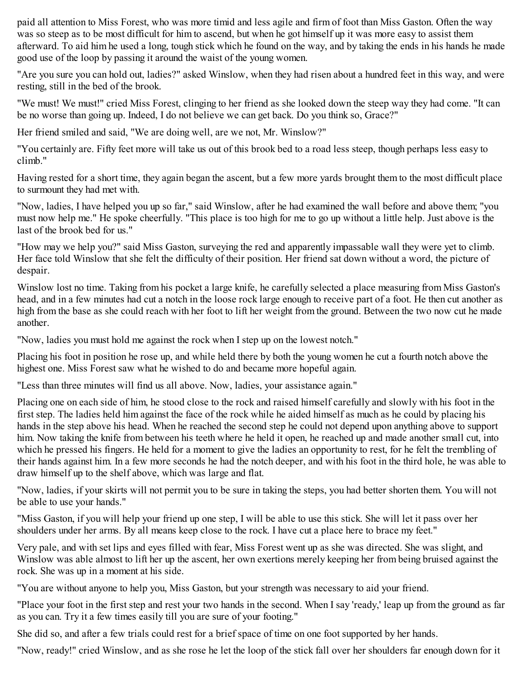paid all attention to Miss Forest, who was more timid and less agile and firm of foot than Miss Gaston. Often the way was so steep as to be most difficult for him to ascend, but when he got himself up it was more easy to assist them afterward. To aid him he used a long, tough stick which he found on the way, and by taking the ends in his hands he made good use of the loop by passing it around the waist of the young women.

"Are you sure you can hold out, ladies?" asked Winslow, when they had risen about a hundred feet in this way, and were resting, still in the bed of the brook.

"We must! We must!" cried Miss Forest, clinging to her friend as she looked down the steep way they had come. "It can be no worse than going up. Indeed, I do not believe we can get back. Do you think so, Grace?"

Her friend smiled and said, "We are doing well, are we not, Mr. Winslow?"

"You certainly are. Fifty feet more will take us out of this brook bed to a road less steep, though perhaps less easy to climb."

Having rested for a short time, they again began the ascent, but a few more yards brought them to the most difficult place to surmount they had met with.

"Now, ladies, I have helped you up so far," said Winslow, after he had examined the wall before and above them; "you must now help me." He spoke cheerfully. "This place is too high for me to go up without a little help. Just above is the last of the brook bed for us."

"How may we help you?" said Miss Gaston, surveying the red and apparently impassable wall they were yet to climb. Her face told Winslow that she felt the difficulty of their position. Her friend sat down without a word, the picture of despair.

Winslow lost no time. Taking from his pocket a large knife, he carefully selected a place measuring from Miss Gaston's head, and in a few minutes had cut a notch in the loose rock large enough to receive part of a foot. He then cut another as high from the base as she could reach with her foot to lift her weight from the ground. Between the two now cut he made another.

"Now, ladies you must hold me against the rock when I step up on the lowest notch."

Placing his foot in position he rose up, and while held there by both the young women he cut a fourth notch above the highest one. Miss Forest saw what he wished to do and became more hopeful again.

"Less than three minutes will find us all above. Now, ladies, your assistance again."

Placing one on each side of him, he stood close to the rock and raised himself carefully and slowly with his foot in the first step. The ladies held him against the face of the rock while he aided himself as much as he could by placing his hands in the step above his head. When he reached the second step he could not depend upon anything above to support him. Now taking the knife from between his teeth where he held it open, he reached up and made another small cut, into which he pressed his fingers. He held for a moment to give the ladies an opportunity to rest, for he felt the trembling of their hands against him. In a few more seconds he had the notch deeper, and with his foot in the third hole, he was able to draw himself up to the shelf above, which was large and flat.

"Now, ladies, if your skirts will not permit you to be sure in taking the steps, you had better shorten them. You will not be able to use your hands."

"Miss Gaston, if you will help your friend up one step, I will be able to use this stick. She will let it pass over her shoulders under her arms. By all means keep close to the rock. I have cut a place here to brace my feet."

Very pale, and with set lips and eyes filled with fear, Miss Forest went up as she was directed. She was slight, and Winslow was able almost to lift her up the ascent, her own exertions merely keeping her from being bruised against the rock. She was up in a moment at his side.

"You are without anyone to help you, Miss Gaston, but your strength was necessary to aid your friend.

"Place your foot in the first step and rest your two hands in the second. When I say 'ready,' leap up from the ground as far as you can. Try it a few times easily till you are sure of your footing."

She did so, and after a few trials could rest for a brief space of time on one foot supported by her hands.

"Now, ready!" cried Winslow, and as she rose he let the loop of the stick fall over her shoulders far enough down for it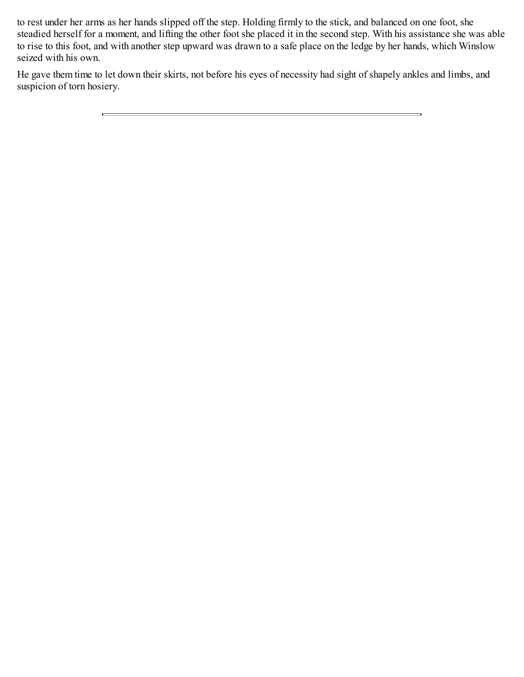to rest under her arms as her hands slipped off the step. Holding firmly to the stick, and balanced on one foot, she steadied herself for a moment, and lifting the other foot she placed it in the second step. With his assistance she was able to rise to this foot, and with another step upward was drawn to a safe place on the ledge by her hands, which Winslow seized with his own.

He gave them time to let down their skirts, not before his eyes of necessity had sight of shapely ankles and limbs, and suspicion of torn hosiery.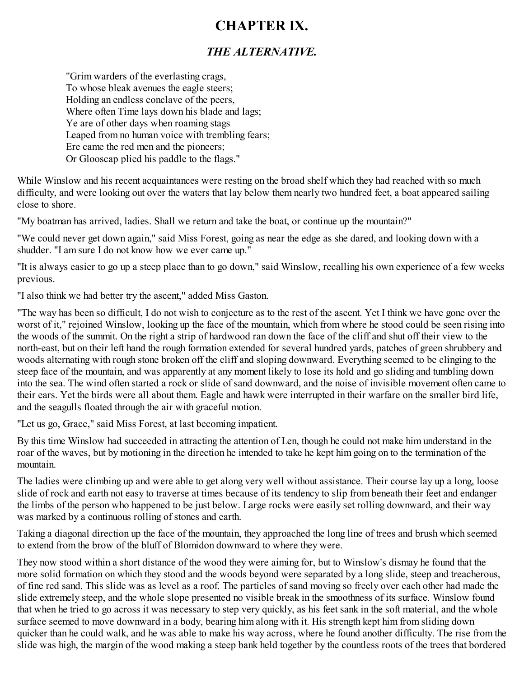### <span id="page-31-0"></span>**CHAPTER IX.**

### *THE ALTERNATIVE.*

"Grim warders of the everlasting crags, To whose bleak avenues the eagle steers; Holding an endless conclave of the peers, Where often Time lays down his blade and lags; Ye are of other days when roaming stags Leaped from no human voice with trembling fears; Ere came the red men and the pioneers; Or Glooscap plied his paddle to the flags."

While Winslow and his recent acquaintances were resting on the broad shelf which they had reached with so much difficulty, and were looking out over the waters that lay below them nearly two hundred feet, a boat appeared sailing close to shore.

"My boatman has arrived, ladies. Shall we return and take the boat, or continue up the mountain?"

"We could never get down again," said Miss Forest, going as near the edge as she dared, and looking down with a shudder. "I am sure I do not know how we ever came up."

"It is always easier to go up a steep place than to go down," said Winslow, recalling his own experience of a few weeks previous.

"I also think we had better try the ascent," added Miss Gaston.

"The way has been so difficult, I do not wish to conjecture as to the rest of the ascent. Yet I think we have gone over the worst of it," rejoined Winslow, looking up the face of the mountain, which from where he stood could be seen rising into the woods of the summit. On the right a strip of hardwood ran down the face of the cliff and shut off their view to the north-east, but on their left hand the rough formation extended for several hundred yards, patches of green shrubbery and woods alternating with rough stone broken off the cliff and sloping downward. Everything seemed to be clinging to the steep face of the mountain, and was apparently at any moment likely to lose its hold and go sliding and tumbling down into the sea. The wind often started a rock or slide of sand downward, and the noise of invisible movement often came to their ears. Yet the birds were all about them. Eagle and hawk were interrupted in their warfare on the smaller bird life, and the seagulls floated through the air with graceful motion.

"Let us go, Grace," said Miss Forest, at last becoming impatient.

By this time Winslow had succeeded in attracting the attention of Len, though he could not make him understand in the roar of the waves, but by motioning in the direction he intended to take he kept him going on to the termination of the mountain.

The ladies were climbing up and were able to get along very well without assistance. Their course lay up a long, loose slide of rock and earth not easy to traverse at times because of its tendency to slip from beneath their feet and endanger the limbs of the person who happened to be just below. Large rocks were easily set rolling downward, and their way was marked by a continuous rolling of stones and earth.

Taking a diagonal direction up the face of the mountain, they approached the long line of trees and brush which seemed to extend from the brow of the bluff of Blomidon downward to where they were.

They now stood within a short distance of the wood they were aiming for, but to Winslow's dismay he found that the more solid formation on which they stood and the woods beyond were separated by a long slide, steep and treacherous, of fine red sand. This slide was as level as a roof. The particles of sand moving so freely over each other had made the slide extremely steep, and the whole slope presented no visible break in the smoothness of its surface. Winslow found that when he tried to go across it was necessary to step very quickly, as his feet sank in the soft material, and the whole surface seemed to move downward in a body, bearing him along with it. His strength kept him from sliding down quicker than he could walk, and he was able to make his way across, where he found another difficulty. The rise from the slide was high, the margin of the wood making a steep bank held together by the countless roots of the trees that bordered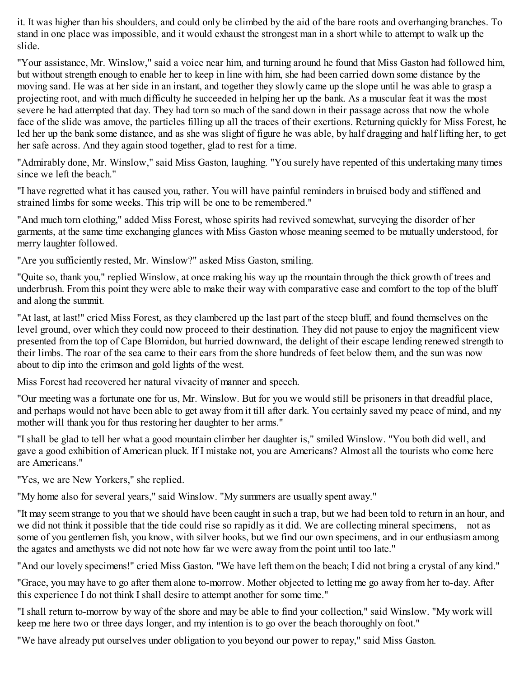it. It was higher than his shoulders, and could only be climbed by the aid of the bare roots and overhanging branches. To stand in one place was impossible, and it would exhaust the strongest man in a short while to attempt to walk up the slide.

"Your assistance, Mr. Winslow," said a voice near him, and turning around he found that Miss Gaston had followed him, but without strength enough to enable her to keep in line with him, she had been carried down some distance by the moving sand. He was at her side in an instant, and together they slowly came up the slope until he was able to grasp a projecting root, and with much difficulty he succeeded in helping her up the bank. As a muscular feat it was the most severe he had attempted that day. They had torn so much of the sand down in their passage across that now the whole face of the slide was amove, the particles filling up all the traces of their exertions. Returning quickly for Miss Forest, he led her up the bank some distance, and as she was slight of figure he was able, by half dragging and half lifting her, to get her safe across. And they again stood together, glad to rest for a time.

"Admirably done, Mr. Winslow," said Miss Gaston, laughing. "You surely have repented of this undertaking many times since we left the beach."

"I have regretted what it has caused you, rather. You will have painful reminders in bruised body and stiffened and strained limbs for some weeks. This trip will be one to be remembered."

"And much torn clothing," added Miss Forest, whose spirits had revived somewhat, surveying the disorder of her garments, at the same time exchanging glances with Miss Gaston whose meaning seemed to be mutually understood, for merry laughter followed.

"Are you sufficiently rested, Mr. Winslow?" asked Miss Gaston, smiling.

"Quite so, thank you," replied Winslow, at once making his way up the mountain through the thick growth of trees and underbrush. From this point they were able to make their way with comparative ease and comfort to the top of the bluff and along the summit.

"At last, at last!" cried Miss Forest, as they clambered up the last part of the steep bluff, and found themselves on the level ground, over which they could now proceed to their destination. They did not pause to enjoy the magnificent view presented from the top of Cape Blomidon, but hurried downward, the delight of their escape lending renewed strength to their limbs. The roar of the sea came to their ears from the shore hundreds of feet below them, and the sun was now about to dip into the crimson and gold lights of the west.

Miss Forest had recovered her natural vivacity of manner and speech.

"Our meeting was a fortunate one for us, Mr. Winslow. But for you we would still be prisoners in that dreadful place, and perhaps would not have been able to get away from it till after dark. You certainly saved my peace of mind, and my mother will thank you for thus restoring her daughter to her arms."

"I shall be glad to tell her what a good mountain climber her daughter is," smiled Winslow. "You both did well, and gave a good exhibition of American pluck. If I mistake not, you are Americans? Almost all the tourists who come here are Americans."

"Yes, we are New Yorkers," she replied.

"My home also for several years," said Winslow. "My summers are usually spent away."

"It may seem strange to you that we should have been caught in such a trap, but we had been told to return in an hour, and we did not think it possible that the tide could rise so rapidly as it did. We are collecting mineral specimens,—not as some of you gentlemen fish, you know, with silver hooks, but we find our own specimens, and in our enthusiasm among the agates and amethysts we did not note how far we were away from the point until too late."

"And our lovely specimens!" cried Miss Gaston. "We have left them on the beach; I did not bring a crystal of any kind."

"Grace, you may have to go after them alone to-morrow. Mother objected to letting me go away from her to-day. After this experience I do not think I shall desire to attempt another for some time."

"I shall return to-morrow by way of the shore and may be able to find your collection," said Winslow. "My work will keep me here two or three days longer, and my intention is to go over the beach thoroughly on foot."

"We have already put ourselves under obligation to you beyond our power to repay," said Miss Gaston.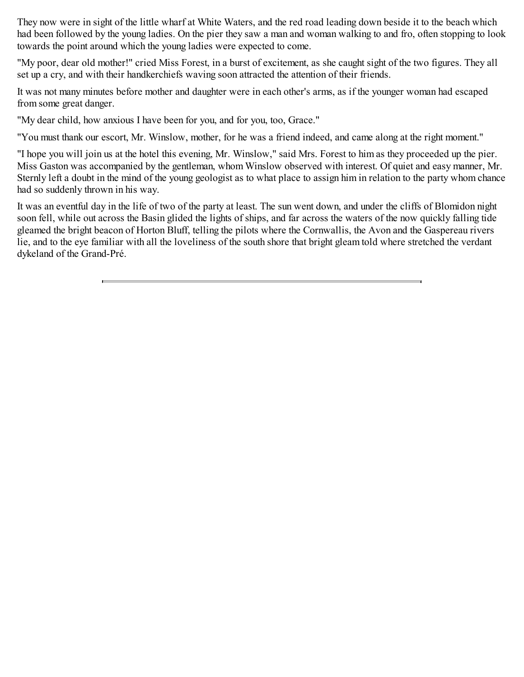They now were in sight of the little wharf at White Waters, and the red road leading down beside it to the beach which had been followed by the young ladies. On the pier they saw a man and woman walking to and fro, often stopping to look towards the point around which the young ladies were expected to come.

"My poor, dear old mother!" cried Miss Forest, in a burst of excitement, as she caught sight of the two figures. They all set up a cry, and with their handkerchiefs waving soon attracted the attention of their friends.

It was not many minutes before mother and daughter were in each other's arms, as if the younger woman had escaped from some great danger.

"My dear child, how anxious I have been for you, and for you, too, Grace."

"You must thank our escort, Mr. Winslow, mother, for he was a friend indeed, and came along at the right moment."

"I hope you will join us at the hotel this evening, Mr. Winslow," said Mrs. Forest to him as they proceeded up the pier. Miss Gaston was accompanied by the gentleman, whom Winslow observed with interest. Of quiet and easy manner, Mr. Sternly left a doubt in the mind of the young geologist as to what place to assign him in relation to the party whom chance had so suddenly thrown in his way.

It was an eventful day in the life of two of the party at least. The sun went down, and under the cliffs of Blomidon night soon fell, while out across the Basin glided the lights of ships, and far across the waters of the now quickly falling tide gleamed the bright beacon of Horton Bluff, telling the pilots where the Cornwallis, the Avon and the Gaspereau rivers lie, and to the eye familiar with all the loveliness of the south shore that bright gleam told where stretched the verdant dykeland of the Grand-Pré.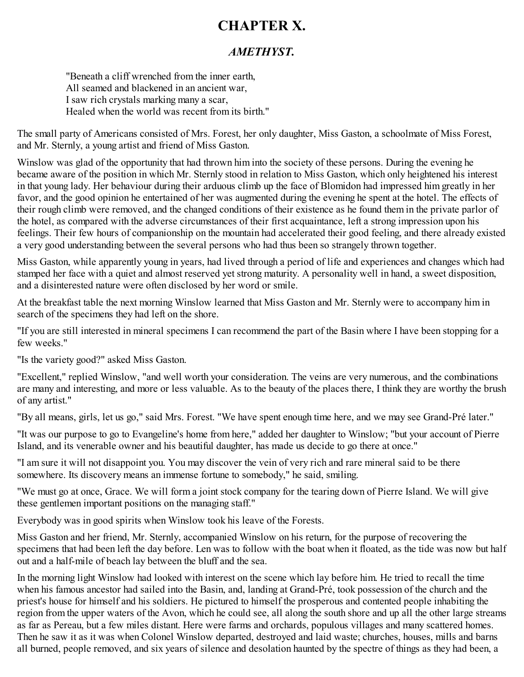### <span id="page-34-0"></span>**CHAPTER X.**

#### *AMETHYST.*

"Beneath a cliff wrenched from the inner earth, All seamed and blackened in an ancient war, I saw rich crystals marking many a scar, Healed when the world was recent from its birth."

The small party of Americans consisted of Mrs. Forest, her only daughter, Miss Gaston, a schoolmate of Miss Forest, and Mr. Sternly, a young artist and friend of Miss Gaston.

Winslow was glad of the opportunity that had thrown him into the society of these persons. During the evening he became aware of the position in which Mr. Sternly stood in relation to Miss Gaston, which only heightened his interest in that young lady. Her behaviour during their arduous climb up the face of Blomidon had impressed him greatly in her favor, and the good opinion he entertained of her was augmented during the evening he spent at the hotel. The effects of their rough climb were removed, and the changed conditions of their existence as he found them in the private parlor of the hotel, as compared with the adverse circumstances of their first acquaintance, left a strong impression upon his feelings. Their few hours of companionship on the mountain had accelerated their good feeling, and there already existed a very good understanding between the several persons who had thus been so strangely thrown together.

Miss Gaston, while apparently young in years, had lived through a period of life and experiences and changes which had stamped her face with a quiet and almost reserved yet strong maturity. A personality well in hand, a sweet disposition, and a disinterested nature were often disclosed by her word or smile.

At the breakfast table the next morning Winslow learned that Miss Gaston and Mr. Sternly were to accompany him in search of the specimens they had left on the shore.

"If you are still interested in mineral specimens I can recommend the part of the Basin where I have been stopping for a few weeks."

"Is the variety good?" asked Miss Gaston.

"Excellent," replied Winslow, "and well worth your consideration. The veins are very numerous, and the combinations are many and interesting, and more or less valuable. As to the beauty of the places there, I think they are worthy the brush of any artist."

"By all means, girls, let us go," said Mrs. Forest. "We have spent enough time here, and we may see Grand-Pré later."

"It was our purpose to go to Evangeline's home from here," added her daughter to Winslow; "but your account of Pierre Island, and its venerable owner and his beautiful daughter, has made us decide to go there at once."

"I am sure it will not disappoint you. You may discover the vein of very rich and rare mineral said to be there somewhere. Its discovery means an immense fortune to somebody," he said, smiling.

"We must go at once, Grace. We will form a joint stock company for the tearing down of Pierre Island. We will give these gentlemen important positions on the managing staff."

Everybody was in good spirits when Winslow took his leave of the Forests.

Miss Gaston and her friend, Mr. Sternly, accompanied Winslow on his return, for the purpose of recovering the specimens that had been left the day before. Len was to follow with the boat when it floated, as the tide was now but half out and a half-mile of beach lay between the bluff and the sea.

In the morning light Winslow had looked with interest on the scene which lay before him. He tried to recall the time when his famous ancestor had sailed into the Basin, and, landing at Grand-Pré, took possession of the church and the priest's house for himself and his soldiers. He pictured to himself the prosperous and contented people inhabiting the region from the upper waters of the Avon, which he could see, all along the south shore and up all the other large streams as far as Pereau, but a few miles distant. Here were farms and orchards, populous villages and many scattered homes. Then he saw it as it was when Colonel Winslow departed, destroyed and laid waste; churches, houses, mills and barns all burned, people removed, and six years of silence and desolation haunted by the spectre of things as they had been, a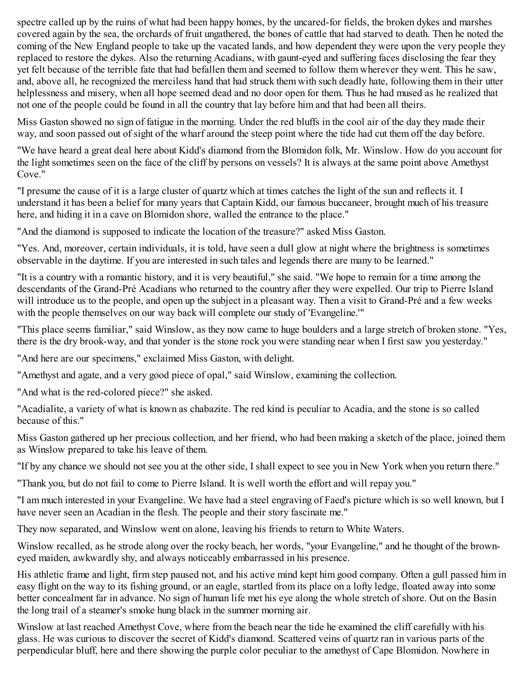spectre called up by the ruins of what had been happy homes, by the uncared-for fields, the broken dykes and marshes covered again by the sea, the orchards of fruit ungathered, the bones of cattle that had starved to death. Then he noted the coming of the New England people to take up the vacated lands, and how dependent they were upon the very people they replaced to restore the dykes. Also the returning Acadians, with gaunt-eyed and suffering faces disclosing the fear they yet felt because of the terrible fate that had befallen them and seemed to follow them wherever they went. This he saw, and, above all, he recognized the merciless hand that had struck them with such deadly hate, following them in their utter helplessness and misery, when all hope seemed dead and no door open for them. Thus he had mused as he realized that not one of the people could be found in all the country that lay before him and that had been all theirs.

Miss Gaston showed no sign of fatigue in the morning. Under the red bluffs in the cool air of the day they made their way, and soon passed out of sight of the wharf around the steep point where the tide had cut them off the day before.

"We have heard a great deal here about Kidd's diamond from the Blomidon folk, Mr. Winslow. How do you account for the light sometimes seen on the face of the cliff by persons on vessels? It is always at the same point above Amethyst Cove."

"I presume the cause of it is a large cluster of quartz which at times catches the light of the sun and reflects it. I understand it has been a belief for many years that Captain Kidd, our famous buccaneer, brought much of his treasure here, and hiding it in a cave on Blomidon shore, walled the entrance to the place."

"And the diamond is supposed to indicate the location of the treasure?" asked Miss Gaston.

"Yes. And, moreover, certain individuals, it is told, have seen a dull glow at night where the brightness is sometimes observable in the daytime. If you are interested in such tales and legends there are many to be learned."

"It is a country with a romantic history, and it is very beautiful," she said. "We hope to remain for a time among the descendants of the Grand-Pré Acadians who returned to the country after they were expelled. Our trip to Pierre Island will introduce us to the people, and open up the subject in a pleasant way. Then a visit to Grand-Pré and a few weeks with the people themselves on our way back will complete our study of 'Evangeline.'"

"This place seems familiar," said Winslow, as they now came to huge boulders and a large stretch of broken stone. "Yes, there is the dry brook-way, and that yonder is the stone rock you were standing near when I first saw you yesterday."

"And here are our specimens," exclaimed Miss Gaston, with delight.

"Amethyst and agate, and a very good piece of opal," said Winslow, examining the collection.

"And what is the red-colored piece?" she asked.

"Acadialite, a variety of what is known as chabazite. The red kind is peculiar to Acadia, and the stone is so called because of this."

Miss Gaston gathered up her precious collection, and her friend, who had been making a sketch of the place, joined them as Winslow prepared to take his leave of them.

"If by any chance we should not see you at the other side, I shall expect to see you in New York when you return there."

"Thank you, but do not fail to come to Pierre Island. It is well worth the effort and will repay you."

"I am much interested in your Evangeline. We have had a steel engraving of Faed's picture which is so well known, but I have never seen an Acadian in the flesh. The people and their story fascinate me."

They now separated, and Winslow went on alone, leaving his friends to return to White Waters.

Winslow recalled, as he strode along over the rocky beach, her words, "your Evangeline," and he thought of the browneyed maiden, awkwardly shy, and always noticeably embarrassed in his presence.

His athletic frame and light, firm step paused not, and his active mind kept him good company. Often a gull passed him in easy flight on the way to its fishing ground, or an eagle, startled from its place on a lofty ledge, floated away into some better concealment far in advance. No sign of human life met his eye along the whole stretch of shore. Out on the Basin the long trail of a steamer's smoke hung black in the summer morning air.

Winslow at last reached Amethyst Cove, where from the beach near the tide he examined the cliff carefully with his glass. He was curious to discover the secret of Kidd's diamond. Scattered veins of quartz ran in various parts of the perpendicular bluff, here and there showing the purple color peculiar to the amethyst of Cape Blomidon. Nowhere in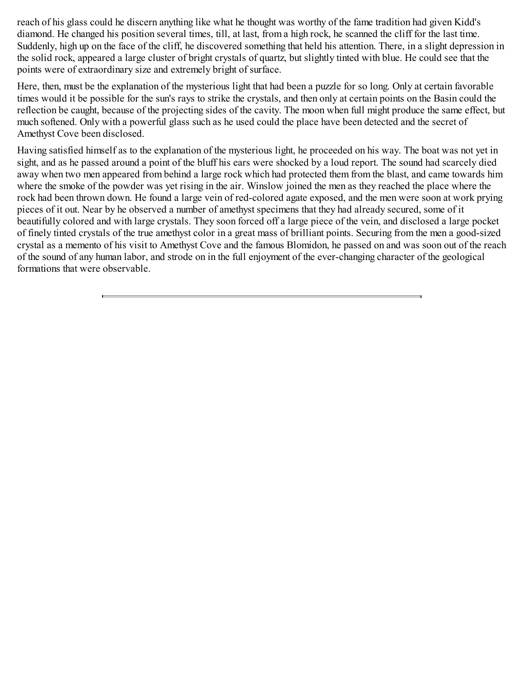reach of his glass could he discern anything like what he thought was worthy of the fame tradition had given Kidd's diamond. He changed his position several times, till, at last, from a high rock, he scanned the cliff for the last time. Suddenly, high up on the face of the cliff, he discovered something that held his attention. There, in a slight depression in the solid rock, appeared a large cluster of bright crystals of quartz, but slightly tinted with blue. He could see that the points were of extraordinary size and extremely bright of surface.

Here, then, must be the explanation of the mysterious light that had been a puzzle for so long. Only at certain favorable times would it be possible for the sun's rays to strike the crystals, and then only at certain points on the Basin could the reflection be caught, because of the projecting sides of the cavity. The moon when full might produce the same effect, but much softened. Only with a powerful glass such as he used could the place have been detected and the secret of Amethyst Cove been disclosed.

Having satisfied himself as to the explanation of the mysterious light, he proceeded on his way. The boat was not yet in sight, and as he passed around a point of the bluff his ears were shocked by a loud report. The sound had scarcely died away when two men appeared from behind a large rock which had protected them from the blast, and came towards him where the smoke of the powder was yet rising in the air. Winslow joined the men as they reached the place where the rock had been thrown down. He found a large vein of red-colored agate exposed, and the men were soon at work prying pieces of it out. Near by he observed a number of amethyst specimens that they had already secured, some of it beautifully colored and with large crystals. They soon forced off a large piece of the vein, and disclosed a large pocket of finely tinted crystals of the true amethyst color in a great mass of brilliant points. Securing from the men a good-sized crystal as a memento of his visit to Amethyst Cove and the famous Blomidon, he passed on and was soon out of the reach of the sound of any human labor, and strode on in the full enjoyment of the ever-changing character of the geological formations that were observable.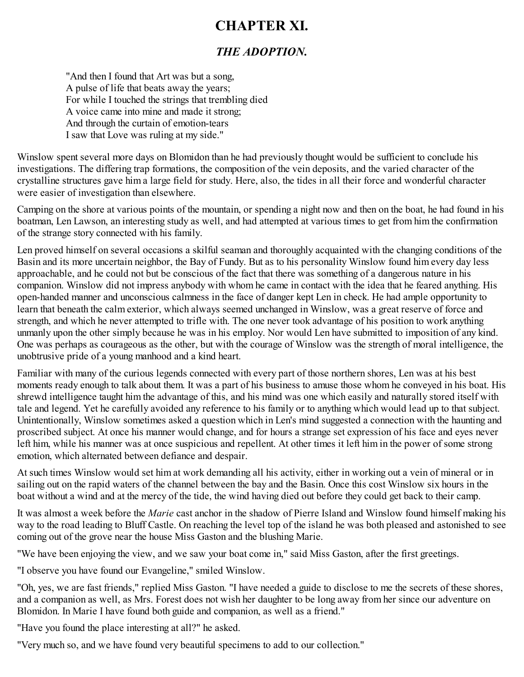### <span id="page-37-0"></span>**CHAPTER XI.**

#### *THE ADOPTION.*

"And then I found that Art was but a song, A pulse of life that beats away the years; For while I touched the strings that trembling died A voice came into mine and made it strong; And through the curtain of emotion-tears I saw that Love was ruling at my side."

Winslow spent several more days on Blomidon than he had previously thought would be sufficient to conclude his investigations. The differing trap formations, the composition of the vein deposits, and the varied character of the crystalline structures gave him a large field for study. Here, also, the tides in all their force and wonderful character were easier of investigation than elsewhere.

Camping on the shore at various points of the mountain, or spending a night now and then on the boat, he had found in his boatman, Len Lawson, an interesting study as well, and had attempted at various times to get from him the confirmation of the strange story connected with his family.

Len proved himself on several occasions a skilful seaman and thoroughly acquainted with the changing conditions of the Basin and its more uncertain neighbor, the Bay of Fundy. But as to his personality Winslow found him every day less approachable, and he could not but be conscious of the fact that there was something of a dangerous nature in his companion. Winslow did not impress anybody with whom he came in contact with the idea that he feared anything. His open-handed manner and unconscious calmness in the face of danger kept Len in check. He had ample opportunity to learn that beneath the calm exterior, which always seemed unchanged in Winslow, was a great reserve of force and strength, and which he never attempted to trifle with. The one never took advantage of his position to work anything unmanly upon the other simply because he was in his employ. Nor would Len have submitted to imposition of any kind. One was perhaps as courageous as the other, but with the courage of Winslow was the strength of moral intelligence, the unobtrusive pride of a young manhood and a kind heart.

Familiar with many of the curious legends connected with every part of those northern shores, Len was at his best moments ready enough to talk about them. It was a part of his business to amuse those whom he conveyed in his boat. His shrewd intelligence taught him the advantage of this, and his mind was one which easily and naturally stored itself with tale and legend. Yet he carefully avoided any reference to his family or to anything which would lead up to that subject. Unintentionally, Winslow sometimes asked a question which in Len's mind suggested a connection with the haunting and proscribed subject. At once his manner would change, and for hours a strange set expression of his face and eyes never left him, while his manner was at once suspicious and repellent. At other times it left him in the power of some strong emotion, which alternated between defiance and despair.

At such times Winslow would set him at work demanding all his activity, either in working out a vein of mineral or in sailing out on the rapid waters of the channel between the bay and the Basin. Once this cost Winslow six hours in the boat without a wind and at the mercy of the tide, the wind having died out before they could get back to their camp.

It was almost a week before the *Marie* cast anchor in the shadow of Pierre Island and Winslow found himself making his way to the road leading to Bluff Castle. On reaching the level top of the island he was both pleased and astonished to see coming out of the grove near the house Miss Gaston and the blushing Marie.

"We have been enjoying the view, and we saw your boat come in," said Miss Gaston, after the first greetings.

"I observe you have found our Evangeline," smiled Winslow.

"Oh, yes, we are fast friends," replied Miss Gaston. "I have needed a guide to disclose to me the secrets of these shores, and a companion as well, as Mrs. Forest does not wish her daughter to be long away from her since our adventure on Blomidon. In Marie I have found both guide and companion, as well as a friend."

"Have you found the place interesting at all?" he asked.

"Very much so, and we have found very beautiful specimens to add to our collection."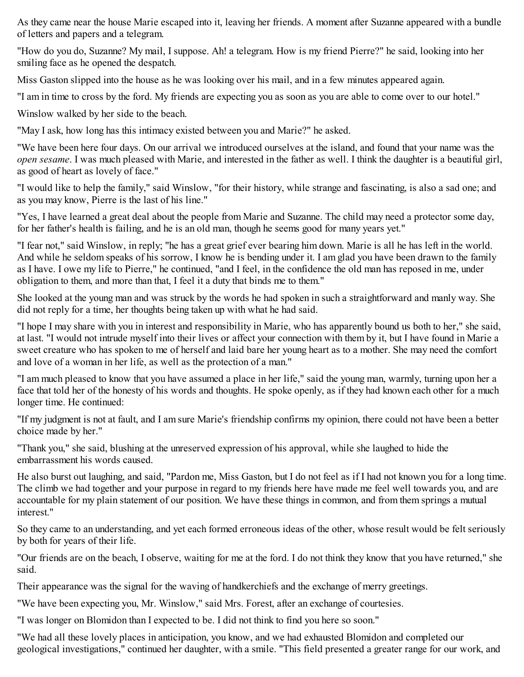As they came near the house Marie escaped into it, leaving her friends. A moment after Suzanne appeared with a bundle of letters and papers and a telegram.

"How do you do, Suzanne? My mail, I suppose. Ah! a telegram. How is my friend Pierre?" he said, looking into her smiling face as he opened the despatch.

Miss Gaston slipped into the house as he was looking over his mail, and in a few minutes appeared again.

"I am in time to cross by the ford. My friends are expecting you as soon as you are able to come over to our hotel."

Winslow walked by her side to the beach.

"May I ask, how long has this intimacy existed between you and Marie?" he asked.

"We have been here four days. On our arrival we introduced ourselves at the island, and found that your name was the *open sesame*. I was much pleased with Marie, and interested in the father as well. I think the daughter is a beautiful girl, as good of heart as lovely of face."

"I would like to help the family," said Winslow, "for their history, while strange and fascinating, is also a sad one; and as you may know, Pierre is the last of his line."

"Yes, I have learned a great deal about the people from Marie and Suzanne. The child may need a protector some day, for her father's health is failing, and he is an old man, though he seems good for many years yet."

"I fear not," said Winslow, in reply; "he has a great grief ever bearing him down. Marie is all he has left in the world. And while he seldom speaks of his sorrow, I know he is bending under it. I am glad you have been drawn to the family as I have. I owe my life to Pierre," he continued, "and I feel, in the confidence the old man has reposed in me, under obligation to them, and more than that, I feel it a duty that binds me to them."

She looked at the young man and was struck by the words he had spoken in such a straightforward and manly way. She did not reply for a time, her thoughts being taken up with what he had said.

"I hope I may share with you in interest and responsibility in Marie, who has apparently bound us both to her," she said, at last. "I would not intrude myself into their lives or affect your connection with them by it, but I have found in Marie a sweet creature who has spoken to me of herself and laid bare her young heart as to a mother. She may need the comfort and love of a woman in her life, as well as the protection of a man."

"I am much pleased to know that you have assumed a place in her life," said the young man, warmly, turning upon her a face that told her of the honesty of his words and thoughts. He spoke openly, as if they had known each other for a much longer time. He continued:

"If my judgment is not at fault, and I am sure Marie's friendship confirms my opinion, there could not have been a better choice made by her."

"Thank you," she said, blushing at the unreserved expression of his approval, while she laughed to hide the embarrassment his words caused.

He also burst out laughing, and said, "Pardon me, Miss Gaston, but I do not feel as if I had not known you for a long time. The climb we had together and your purpose in regard to my friends here have made me feel well towards you, and are accountable for my plain statement of our position. We have these things in common, and from them springs a mutual interest."

So they came to an understanding, and yet each formed erroneous ideas of the other, whose result would be felt seriously by both for years of their life.

"Our friends are on the beach, I observe, waiting for me at the ford. I do not think they know that you have returned," she said.

Their appearance was the signal for the waving of handkerchiefs and the exchange of merry greetings.

"We have been expecting you, Mr. Winslow," said Mrs. Forest, after an exchange of courtesies.

"I was longer on Blomidon than I expected to be. I did not think to find you here so soon."

"We had all these lovely places in anticipation, you know, and we had exhausted Blomidon and completed our geological investigations," continued her daughter, with a smile. "This field presented a greater range for our work, and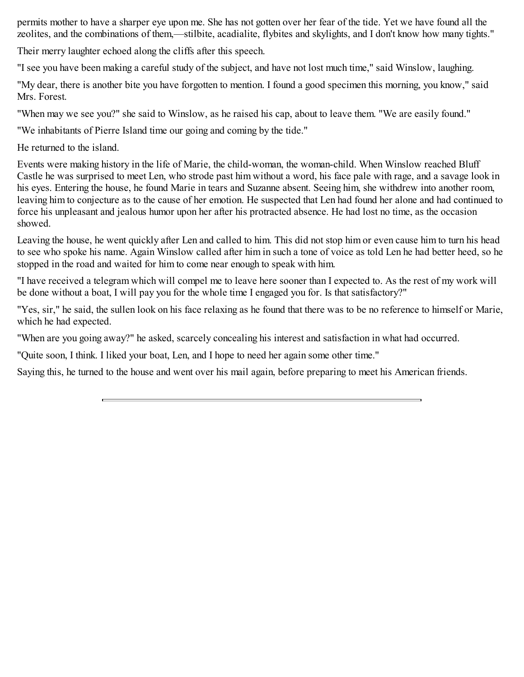permits mother to have a sharper eye upon me. She has not gotten over her fear of the tide. Yet we have found all the zeolites, and the combinations of them,—stilbite, acadialite, flybites and skylights, and I don't know how many tights."

Their merry laughter echoed along the cliffs after this speech.

"I see you have been making a careful study of the subject, and have not lost much time," said Winslow, laughing.

"My dear, there is another bite you have forgotten to mention. I found a good specimen this morning, you know," said Mrs. Forest.

"When may we see you?" she said to Winslow, as he raised his cap, about to leave them. "We are easily found."

"We inhabitants of Pierre Island time our going and coming by the tide."

He returned to the island.

Events were making history in the life of Marie, the child-woman, the woman-child. When Winslow reached Bluff Castle he was surprised to meet Len, who strode past him without a word, his face pale with rage, and a savage look in his eyes. Entering the house, he found Marie in tears and Suzanne absent. Seeing him, she withdrew into another room, leaving him to conjecture as to the cause of her emotion. He suspected that Len had found her alone and had continued to force his unpleasant and jealous humor upon her after his protracted absence. He had lost no time, as the occasion showed.

Leaving the house, he went quickly after Len and called to him. This did not stop him or even cause him to turn his head to see who spoke his name. Again Winslow called after him in such a tone of voice as told Len he had better heed, so he stopped in the road and waited for him to come near enough to speak with him.

"I have received a telegram which will compel me to leave here sooner than I expected to. As the rest of my work will be done without a boat, I will pay you for the whole time I engaged you for. Is that satisfactory?"

"Yes, sir," he said, the sullen look on his face relaxing as he found that there was to be no reference to himself or Marie, which he had expected.

"When are you going away?" he asked, scarcely concealing his interest and satisfaction in what had occurred.

"Quite soon, I think. I liked your boat, Len, and I hope to need her again some other time."

Saying this, he turned to the house and went over his mail again, before preparing to meet his American friends.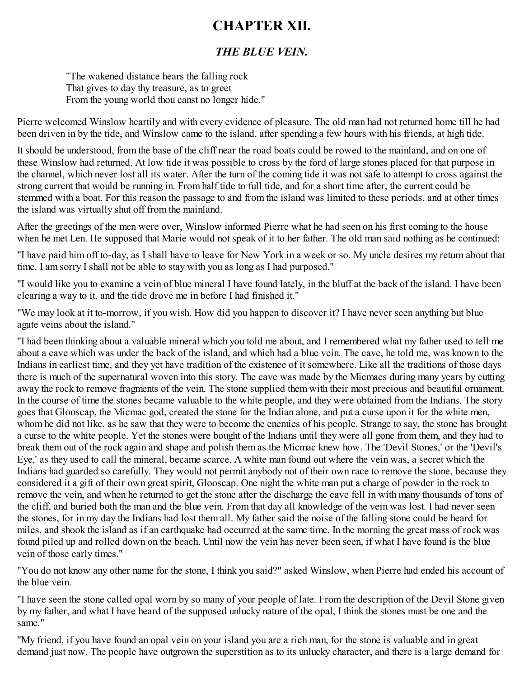### <span id="page-40-0"></span>**CHAPTER XII.**

#### *THE BLUE VEIN.*

"The wakened distance hears the falling rock That gives to day thy treasure, as to greet From the young world thou canst no longer hide."

Pierre welcomed Winslow heartily and with every evidence of pleasure. The old man had not returned home till he had been driven in by the tide, and Winslow came to the island, after spending a few hours with his friends, at high tide.

It should be understood, from the base of the cliff near the road boats could be rowed to the mainland, and on one of these Winslow had returned. At low tide it was possible to cross by the ford of large stones placed for that purpose in the channel, which never lost all its water. After the turn of the coming tide it was not safe to attempt to cross against the strong current that would be running in. From half tide to full tide, and for a short time after, the current could be stemmed with a boat. For this reason the passage to and from the island was limited to these periods, and at other times the island was virtually shut off from the mainland.

After the greetings of the men were over, Winslow informed Pierre what he had seen on his first coming to the house when he met Len. He supposed that Marie would not speak of it to her father. The old man said nothing as he continued:

"I have paid him off to-day, as I shall have to leave for New York in a week or so. My uncle desires my return about that time. I am sorry I shall not be able to stay with you as long as I had purposed."

"I would like you to examine a vein of blue mineral I have found lately, in the bluff at the back of the island. I have been clearing a way to it, and the tide drove me in before I had finished it."

"We may look at it to-morrow, if you wish. How did you happen to discover it? I have never seen anything but blue agate veins about the island."

"I had been thinking about a valuable mineral which you told me about, and I remembered what my father used to tell me about a cave which was under the back of the island, and which had a blue vein. The cave, he told me, was known to the Indians in earliest time, and they yet have tradition of the existence of it somewhere. Like all the traditions of those days there is much of the supernatural woven into this story. The cave was made by the Micmacs during many years by cutting away the rock to remove fragments of the vein. The stone supplied them with their most precious and beautiful ornament. In the course of time the stones became valuable to the white people, and they were obtained from the Indians. The story goes that Glooscap, the Micmac god, created the stone for the Indian alone, and put a curse upon it for the white men, whom he did not like, as he saw that they were to become the enemies of his people. Strange to say, the stone has brought a curse to the white people. Yet the stones were bought of the Indians until they were all gone from them, and they had to break them out of the rock again and shape and polish them as the Micmac knew how. The 'Devil Stones,' or the 'Devil's Eye,' as they used to call the mineral, became scarce. A white man found out where the vein was, a secret which the Indians had guarded so carefully. They would not permit anybody not of their own race to remove the stone, because they considered it a gift of their own great spirit, Glooscap. One night the white man put a charge of powder in the rock to remove the vein, and when he returned to get the stone after the discharge the cave fell in with many thousands of tons of the cliff, and buried both the man and the blue vein. From that day all knowledge of the vein was lost. I had never seen the stones, for in my day the Indians had lost them all. My father said the noise of the falling stone could be heard for miles, and shook the island as if an earthquake had occurred at the same time. In the morning the great mass of rock was found piled up and rolled down on the beach. Until now the vein has never been seen, if what I have found is the blue vein of those early times."

"You do not know any other name for the stone, I think you said?" asked Winslow, when Pierre had ended his account of the blue vein.

"I have seen the stone called opal worn by so many of your people of late. From the description of the Devil Stone given by my father, and what I have heard of the supposed unlucky nature of the opal, I think the stones must be one and the same<sup>"</sup>

"My friend, if you have found an opal vein on your island you are a rich man, for the stone is valuable and in great demand just now. The people have outgrown the superstition as to its unlucky character, and there is a large demand for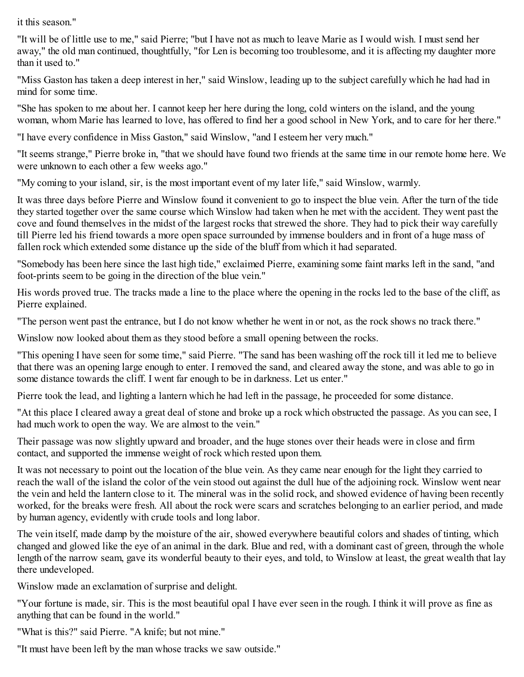it this season."

"It will be of little use to me," said Pierre; "but I have not as much to leave Marie as I would wish. I must send her away," the old man continued, thoughtfully, "for Len is becoming too troublesome, and it is affecting my daughter more than it used to."

"Miss Gaston has taken a deep interest in her," said Winslow, leading up to the subject carefully which he had had in mind for some time.

"She has spoken to me about her. I cannot keep her here during the long, cold winters on the island, and the young woman, whom Marie has learned to love, has offered to find her a good school in New York, and to care for her there."

"I have every confidence in Miss Gaston," said Winslow, "and I esteem her very much."

"It seems strange," Pierre broke in, "that we should have found two friends at the same time in our remote home here. We were unknown to each other a few weeks ago."

"My coming to your island, sir, is the most important event of my later life," said Winslow, warmly.

It was three days before Pierre and Winslow found it convenient to go to inspect the blue vein. After the turn of the tide they started together over the same course which Winslow had taken when he met with the accident. They went past the cove and found themselves in the midst of the largest rocks that strewed the shore. They had to pick their way carefully till Pierre led his friend towards a more open space surrounded by immense boulders and in front of a huge mass of fallen rock which extended some distance up the side of the bluff from which it had separated.

"Somebody has been here since the last high tide," exclaimed Pierre, examining some faint marks left in the sand, "and foot-prints seem to be going in the direction of the blue vein."

His words proved true. The tracks made a line to the place where the opening in the rocks led to the base of the cliff, as Pierre explained.

"The person went past the entrance, but I do not know whether he went in or not, as the rock shows no track there."

Winslow now looked about them as they stood before a small opening between the rocks.

"This opening I have seen for some time," said Pierre. "The sand has been washing off the rock till it led me to believe that there was an opening large enough to enter. I removed the sand, and cleared away the stone, and was able to go in some distance towards the cliff. I went far enough to be in darkness. Let us enter."

Pierre took the lead, and lighting a lantern which he had left in the passage, he proceeded for some distance.

"At this place I cleared away a great deal of stone and broke up a rock which obstructed the passage. As you can see, I had much work to open the way. We are almost to the vein."

Their passage was now slightly upward and broader, and the huge stones over their heads were in close and firm contact, and supported the immense weight of rock which rested upon them.

It was not necessary to point out the location of the blue vein. As they came near enough for the light they carried to reach the wall of the island the color of the vein stood out against the dull hue of the adjoining rock. Winslow went near the vein and held the lantern close to it. The mineral was in the solid rock, and showed evidence of having been recently worked, for the breaks were fresh. All about the rock were scars and scratches belonging to an earlier period, and made by human agency, evidently with crude tools and long labor.

The vein itself, made damp by the moisture of the air, showed everywhere beautiful colors and shades of tinting, which changed and glowed like the eye of an animal in the dark. Blue and red, with a dominant cast of green, through the whole length of the narrow seam, gave its wonderful beauty to their eyes, and told, to Winslow at least, the great wealth that lay there undeveloped.

Winslow made an exclamation of surprise and delight.

"Your fortune is made, sir. This is the most beautiful opal I have ever seen in the rough. I think it will prove as fine as anything that can be found in the world."

- "What is this?" said Pierre. "A knife; but not mine."
- "It must have been left by the man whose tracks we saw outside."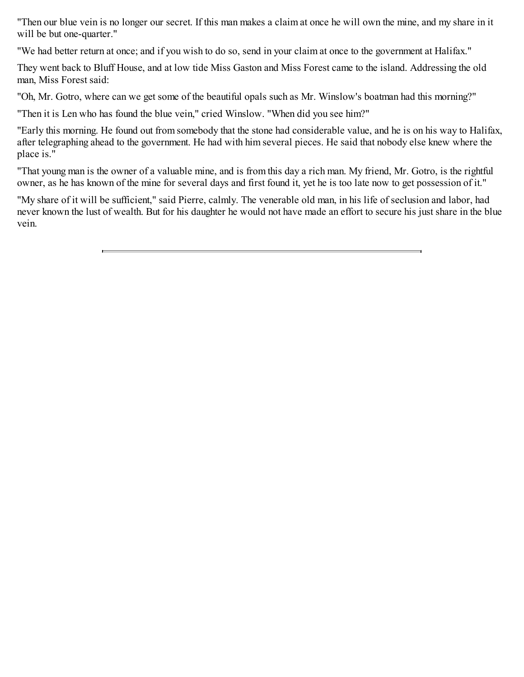"Then our blue vein is no longer our secret. If this man makes a claim at once he will own the mine, and my share in it will be but one-quarter."

"We had better return at once; and if you wish to do so, send in your claim at once to the government at Halifax."

They went back to Bluff House, and at low tide Miss Gaston and Miss Forest came to the island. Addressing the old man, Miss Forest said:

"Oh, Mr. Gotro, where can we get some of the beautiful opals such as Mr. Winslow's boatman had this morning?"

"Then it is Len who has found the blue vein," cried Winslow. "When did you see him?"

"Early this morning. He found out from somebody that the stone had considerable value, and he is on his way to Halifax, after telegraphing ahead to the government. He had with him several pieces. He said that nobody else knew where the place is."

"That young man is the owner of a valuable mine, and is from this day a rich man. My friend, Mr. Gotro, is the rightful owner, as he has known of the mine for several days and first found it, yet he is too late now to get possession of it."

"My share of it will be sufficient," said Pierre, calmly. The venerable old man, in his life of seclusion and labor, had never known the lust of wealth. But for his daughter he would not have made an effort to secure his just share in the blue vein.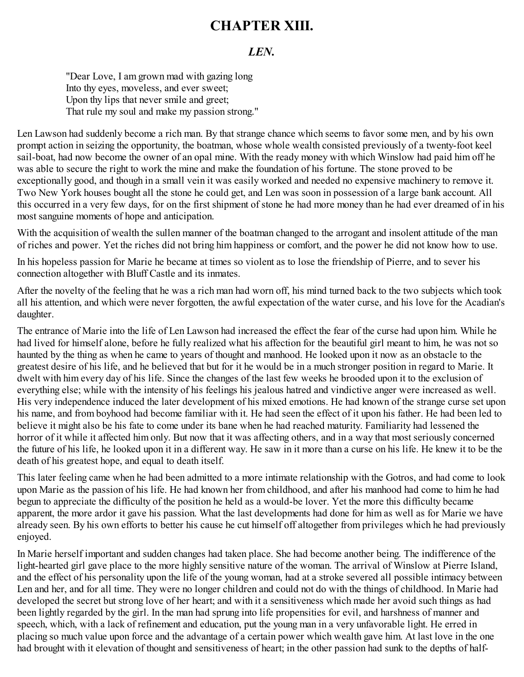### <span id="page-43-0"></span>**CHAPTER XIII.**

#### *LEN.*

"Dear Love, I am grown mad with gazing long Into thy eyes, moveless, and ever sweet; Upon thy lips that never smile and greet; That rule my soul and make my passion strong."

Len Lawson had suddenly become a rich man. By that strange chance which seems to favor some men, and by his own prompt action in seizing the opportunity, the boatman, whose whole wealth consisted previously of a twenty-foot keel sail-boat, had now become the owner of an opal mine. With the ready money with which Winslow had paid him off he was able to secure the right to work the mine and make the foundation of his fortune. The stone proved to be exceptionally good, and though in a small vein it was easily worked and needed no expensive machinery to remove it. Two New York houses bought all the stone he could get, and Len was soon in possession of a large bank account. All this occurred in a very few days, for on the first shipment of stone he had more money than he had ever dreamed of in his most sanguine moments of hope and anticipation.

With the acquisition of wealth the sullen manner of the boatman changed to the arrogant and insolent attitude of the man of riches and power. Yet the riches did not bring him happiness or comfort, and the power he did not know how to use.

In his hopeless passion for Marie he became at times so violent as to lose the friendship of Pierre, and to sever his connection altogether with Bluff Castle and its inmates.

After the novelty of the feeling that he was a rich man had worn off, his mind turned back to the two subjects which took all his attention, and which were never forgotten, the awful expectation of the water curse, and his love for the Acadian's daughter.

The entrance of Marie into the life of Len Lawson had increased the effect the fear of the curse had upon him. While he had lived for himself alone, before he fully realized what his affection for the beautiful girl meant to him, he was not so haunted by the thing as when he came to years of thought and manhood. He looked upon it now as an obstacle to the greatest desire of his life, and he believed that but for it he would be in a much stronger position in regard to Marie. It dwelt with him every day of his life. Since the changes of the last few weeks he brooded upon it to the exclusion of everything else; while with the intensity of his feelings his jealous hatred and vindictive anger were increased as well. His very independence induced the later development of his mixed emotions. He had known of the strange curse set upon his name, and from boyhood had become familiar with it. He had seen the effect of it upon his father. He had been led to believe it might also be his fate to come under its bane when he had reached maturity. Familiarity had lessened the horror of it while it affected him only. But now that it was affecting others, and in a way that most seriously concerned the future of his life, he looked upon it in a different way. He saw in it more than a curse on his life. He knew it to be the death of his greatest hope, and equal to death itself.

This later feeling came when he had been admitted to a more intimate relationship with the Gotros, and had come to look upon Marie as the passion of his life. He had known her from childhood, and after his manhood had come to him he had begun to appreciate the difficulty of the position he held as a would-be lover. Yet the more this difficulty became apparent, the more ardor it gave his passion. What the last developments had done for him as well as for Marie we have already seen. By his own efforts to better his cause he cut himself off altogether from privileges which he had previously enjoyed.

In Marie herself important and sudden changes had taken place. She had become another being. The indifference of the light-hearted girl gave place to the more highly sensitive nature of the woman. The arrival of Winslow at Pierre Island, and the effect of his personality upon the life of the young woman, had at a stroke severed all possible intimacy between Len and her, and for all time. They were no longer children and could not do with the things of childhood. In Marie had developed the secret but strong love of her heart; and with it a sensitiveness which made her avoid such things as had been lightly regarded by the girl. In the man had sprung into life propensities for evil, and harshness of manner and speech, which, with a lack of refinement and education, put the young man in a very unfavorable light. He erred in placing so much value upon force and the advantage of a certain power which wealth gave him. At last love in the one had brought with it elevation of thought and sensitiveness of heart; in the other passion had sunk to the depths of half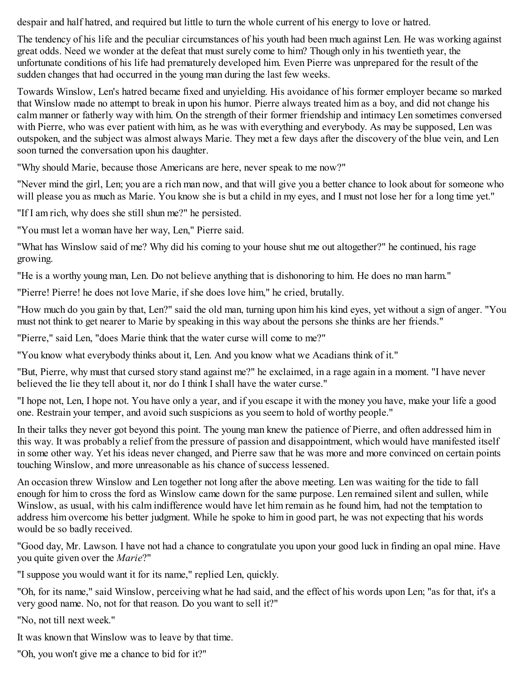despair and half hatred, and required but little to turn the whole current of his energy to love or hatred.

The tendency of his life and the peculiar circumstances of his youth had been much against Len. He was working against great odds. Need we wonder at the defeat that must surely come to him? Though only in his twentieth year, the unfortunate conditions of his life had prematurely developed him. Even Pierre was unprepared for the result of the sudden changes that had occurred in the young man during the last few weeks.

Towards Winslow, Len's hatred became fixed and unyielding. His avoidance of his former employer became so marked that Winslow made no attempt to break in upon his humor. Pierre always treated him as a boy, and did not change his calm manner or fatherly way with him. On the strength of their former friendship and intimacy Len sometimes conversed with Pierre, who was ever patient with him, as he was with everything and everybody. As may be supposed, Len was outspoken, and the subject was almost always Marie. They met a few days after the discovery of the blue vein, and Len soon turned the conversation upon his daughter.

"Why should Marie, because those Americans are here, never speak to me now?"

"Never mind the girl, Len; you are a rich man now, and that will give you a better chance to look about for someone who will please you as much as Marie. You know she is but a child in my eyes, and I must not lose her for a long time yet."

"If I am rich, why does she still shun me?" he persisted.

"You must let a woman have her way, Len," Pierre said.

"What has Winslow said of me? Why did his coming to your house shut me out altogether?" he continued, his rage growing.

"He is a worthy young man, Len. Do not believe anything that is dishonoring to him. He does no man harm."

"Pierre! Pierre! he does not love Marie, if she does love him," he cried, brutally.

"How much do you gain by that, Len?" said the old man, turning upon him his kind eyes, yet without a sign of anger. "You must not think to get nearer to Marie by speaking in this way about the persons she thinks are her friends."

"Pierre," said Len, "does Marie think that the water curse will come to me?"

"You know what everybody thinks about it, Len. And you know what we Acadians think of it."

"But, Pierre, why must that cursed story stand against me?" he exclaimed, in a rage again in a moment. "I have never believed the lie they tell about it, nor do I think I shall have the water curse."

"I hope not, Len, I hope not. You have only a year, and if you escape it with the money you have, make your life a good one. Restrain your temper, and avoid such suspicions as you seem to hold of worthy people."

In their talks they never got beyond this point. The young man knew the patience of Pierre, and often addressed him in this way. It was probably a relief from the pressure of passion and disappointment, which would have manifested itself in some other way. Yet his ideas never changed, and Pierre saw that he was more and more convinced on certain points touching Winslow, and more unreasonable as his chance of success lessened.

An occasion threw Winslow and Len together not long after the above meeting. Len was waiting for the tide to fall enough for him to cross the ford as Winslow came down for the same purpose. Len remained silent and sullen, while Winslow, as usual, with his calm indifference would have let him remain as he found him, had not the temptation to address him overcome his better judgment. While he spoke to him in good part, he was not expecting that his words would be so badly received.

"Good day, Mr. Lawson. I have not had a chance to congratulate you upon your good luck in finding an opal mine. Have you quite given over the *Marie*?"

"I suppose you would want it for its name," replied Len, quickly.

"Oh, for its name," said Winslow, perceiving what he had said, and the effect of his words upon Len; "as for that, it's a very good name. No, not for that reason. Do you want to sell it?"

"No, not till next week."

It was known that Winslow was to leave by that time.

"Oh, you won't give me a chance to bid for it?"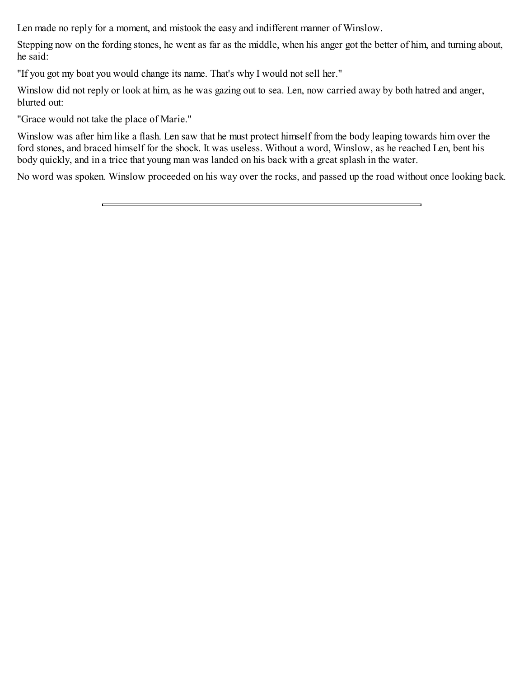Len made no reply for a moment, and mistook the easy and indifferent manner of Winslow.

Stepping now on the fording stones, he went as far as the middle, when his anger got the better of him, and turning about, he said:

"If you got my boat you would change its name. That's why I would not sell her."

Winslow did not reply or look at him, as he was gazing out to sea. Len, now carried away by both hatred and anger, blurted out:

"Grace would not take the place of Marie."

Winslow was after him like a flash. Len saw that he must protect himself from the body leaping towards him over the ford stones, and braced himself for the shock. It was useless. Without a word, Winslow, as he reached Len, bent his body quickly, and in a trice that young man was landed on his back with a great splash in the water.

No word was spoken. Winslow proceeded on his way over the rocks, and passed up the road without once looking back.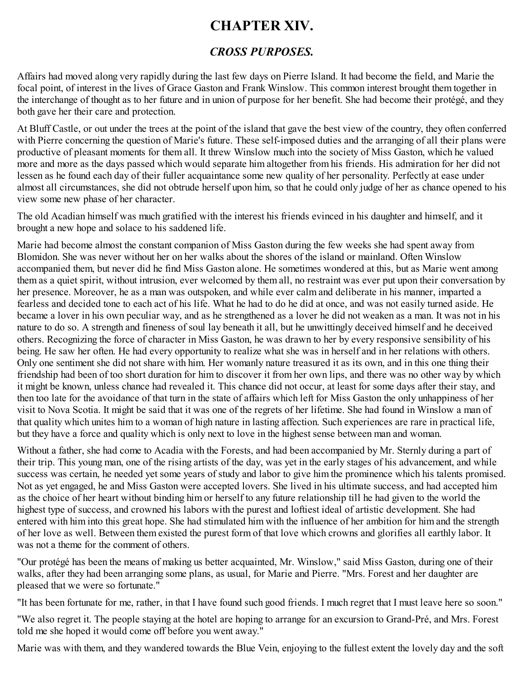### <span id="page-46-0"></span>**CHAPTER XIV.**

### *CROSS PURPOSES.*

Affairs had moved along very rapidly during the last few days on Pierre Island. It had become the field, and Marie the focal point, of interest in the lives of Grace Gaston and Frank Winslow. This common interest brought them together in the interchange of thought as to her future and in union of purpose for her benefit. She had become their protégé, and they both gave her their care and protection.

At Bluff Castle, or out under the trees at the point of the island that gave the best view of the country, they often conferred with Pierre concerning the question of Marie's future. These self-imposed duties and the arranging of all their plans were productive of pleasant moments for them all. It threw Winslow much into the society of Miss Gaston, which he valued more and more as the days passed which would separate him altogether from his friends. His admiration for her did not lessen as he found each day of their fuller acquaintance some new quality of her personality. Perfectly at ease under almost all circumstances, she did not obtrude herself upon him, so that he could only judge of her as chance opened to his view some new phase of her character.

The old Acadian himself was much gratified with the interest his friends evinced in his daughter and himself, and it brought a new hope and solace to his saddened life.

Marie had become almost the constant companion of Miss Gaston during the few weeks she had spent away from Blomidon. She was never without her on her walks about the shores of the island or mainland. Often Winslow accompanied them, but never did he find Miss Gaston alone. He sometimes wondered at this, but as Marie went among them as a quiet spirit, without intrusion, ever welcomed by them all, no restraint was ever put upon their conversation by her presence. Moreover, he as a man was outspoken, and while ever calm and deliberate in his manner, imparted a fearless and decided tone to each act of his life. What he had to do he did at once, and was not easily turned aside. He became a lover in his own peculiar way, and as he strengthened as a lover he did not weaken as a man. It was not in his nature to do so. A strength and fineness of soul lay beneath it all, but he unwittingly deceived himself and he deceived others. Recognizing the force of character in Miss Gaston, he was drawn to her by every responsive sensibility of his being. He saw her often. He had every opportunity to realize what she was in herself and in her relations with others. Only one sentiment she did not share with him. Her womanly nature treasured it as its own, and in this one thing their friendship had been of too short duration for him to discover it from her own lips, and there was no other way by which it might be known, unless chance had revealed it. This chance did not occur, at least for some days after their stay, and then too late for the avoidance of that turn in the state of affairs which left for Miss Gaston the only unhappiness of her visit to Nova Scotia. It might be said that it was one of the regrets of her lifetime. She had found in Winslow a man of that quality which unites him to a woman of high nature in lasting affection. Such experiences are rare in practical life, but they have a force and quality which is only next to love in the highest sense between man and woman.

Without a father, she had come to Acadia with the Forests, and had been accompanied by Mr. Sternly during a part of their trip. This young man, one of the rising artists of the day, was yet in the early stages of his advancement, and while success was certain, he needed yet some years of study and labor to give him the prominence which his talents promised. Not as yet engaged, he and Miss Gaston were accepted lovers. She lived in his ultimate success, and had accepted him as the choice of her heart without binding him or herself to any future relationship till he had given to the world the highest type of success, and crowned his labors with the purest and loftiest ideal of artistic development. She had entered with him into this great hope. She had stimulated him with the influence of her ambition for him and the strength of her love as well. Between them existed the purest form of that love which crowns and glorifies all earthly labor. It was not a theme for the comment of others.

"Our protégé has been the means of making us better acquainted, Mr. Winslow," said Miss Gaston, during one of their walks, after they had been arranging some plans, as usual, for Marie and Pierre. "Mrs. Forest and her daughter are pleased that we were so fortunate."

"It has been fortunate for me, rather, in that I have found such good friends. I much regret that I must leave here so soon."

"We also regret it. The people staying at the hotel are hoping to arrange for an excursion to Grand-Pré, and Mrs. Forest told me she hoped it would come off before you went away."

Marie was with them, and they wandered towards the Blue Vein, enjoying to the fullest extent the lovely day and the soft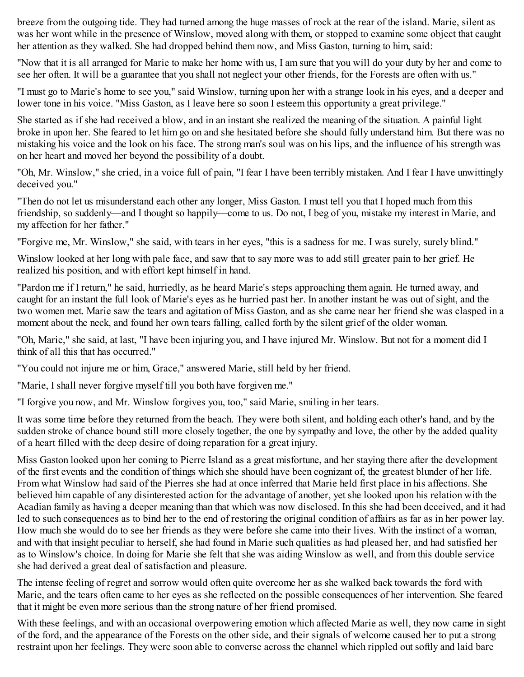breeze from the outgoing tide. They had turned among the huge masses of rock at the rear of the island. Marie, silent as was her wont while in the presence of Winslow, moved along with them, or stopped to examine some object that caught her attention as they walked. She had dropped behind them now, and Miss Gaston, turning to him, said:

"Now that it is all arranged for Marie to make her home with us, I am sure that you will do your duty by her and come to see her often. It will be a guarantee that you shall not neglect your other friends, for the Forests are often with us."

"I must go to Marie's home to see you," said Winslow, turning upon her with a strange look in his eyes, and a deeper and lower tone in his voice. "Miss Gaston, as I leave here so soon I esteem this opportunity a great privilege."

She started as if she had received a blow, and in an instant she realized the meaning of the situation. A painful light broke in upon her. She feared to let him go on and she hesitated before she should fully understand him. But there was no mistaking his voice and the look on his face. The strong man's soul was on his lips, and the influence of his strength was on her heart and moved her beyond the possibility of a doubt.

"Oh, Mr. Winslow," she cried, in a voice full of pain, "I fear I have been terribly mistaken. And I fear I have unwittingly deceived you."

"Then do not let us misunderstand each other any longer, Miss Gaston. I must tell you that I hoped much from this friendship, so suddenly—and I thought so happily—come to us. Do not, I beg of you, mistake my interest in Marie, and my affection for her father."

"Forgive me, Mr. Winslow," she said, with tears in her eyes, "this is a sadness for me. I was surely, surely blind."

Winslow looked at her long with pale face, and saw that to say more was to add still greater pain to her grief. He realized his position, and with effort kept himself in hand.

"Pardon me if I return," he said, hurriedly, as he heard Marie's steps approaching them again. He turned away, and caught for an instant the full look of Marie's eyes as he hurried past her. In another instant he was out of sight, and the two women met. Marie saw the tears and agitation of Miss Gaston, and as she came near her friend she was clasped in a moment about the neck, and found her own tears falling, called forth by the silent grief of the older woman.

"Oh, Marie," she said, at last, "I have been injuring you, and I have injured Mr. Winslow. But not for a moment did I think of all this that has occurred."

"You could not injure me or him, Grace," answered Marie, still held by her friend.

"Marie, I shall never forgive myself till you both have forgiven me."

"I forgive you now, and Mr. Winslow forgives you, too," said Marie, smiling in her tears.

It was some time before they returned from the beach. They were both silent, and holding each other's hand, and by the sudden stroke of chance bound still more closely together, the one by sympathy and love, the other by the added quality of a heart filled with the deep desire of doing reparation for a great injury.

Miss Gaston looked upon her coming to Pierre Island as a great misfortune, and her staying there after the development of the first events and the condition of things which she should have been cognizant of, the greatest blunder of her life. From what Winslow had said of the Pierres she had at once inferred that Marie held first place in his affections. She believed him capable of any disinterested action for the advantage of another, yet she looked upon his relation with the Acadian family as having a deeper meaning than that which was now disclosed. In this she had been deceived, and it had led to such consequences as to bind her to the end of restoring the original condition of affairs as far as in her power lay. How much she would do to see her friends as they were before she came into their lives. With the instinct of a woman, and with that insight peculiar to herself, she had found in Marie such qualities as had pleased her, and had satisfied her as to Winslow's choice. In doing for Marie she felt that she was aiding Winslow as well, and from this double service she had derived a great deal of satisfaction and pleasure.

The intense feeling of regret and sorrow would often quite overcome her as she walked back towards the ford with Marie, and the tears often came to her eyes as she reflected on the possible consequences of her intervention. She feared that it might be even more serious than the strong nature of her friend promised.

With these feelings, and with an occasional overpowering emotion which affected Marie as well, they now came in sight of the ford, and the appearance of the Forests on the other side, and their signals of welcome caused her to put a strong restraint upon her feelings. They were soon able to converse across the channel which rippled out softly and laid bare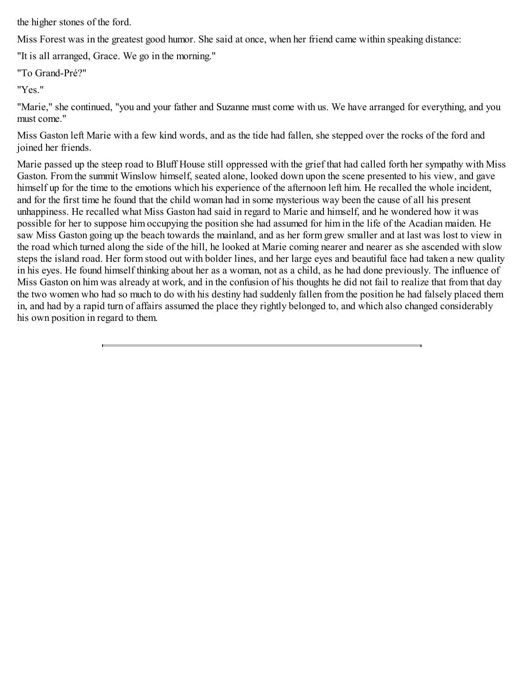the higher stones of the ford.

Miss Forest was in the greatest good humor. She said at once, when her friend came within speaking distance:

"It is all arranged, Grace. We go in the morning."

"To Grand-Pré?"

"Yes."

"Marie," she continued, "you and your father and Suzanne must come with us. We have arranged for everything, and you must come."

Miss Gaston left Marie with a few kind words, and as the tide had fallen, she stepped over the rocks of the ford and joined her friends.

Marie passed up the steep road to Bluff House still oppressed with the grief that had called forth her sympathy with Miss Gaston. From the summit Winslow himself, seated alone, looked down upon the scene presented to his view, and gave himself up for the time to the emotions which his experience of the afternoon left him. He recalled the whole incident, and for the first time he found that the child woman had in some mysterious way been the cause of all his present unhappiness. He recalled what Miss Gaston had said in regard to Marie and himself, and he wondered how it was possible for her to suppose him occupying the position she had assumed for him in the life of the Acadian maiden. He saw Miss Gaston going up the beach towards the mainland, and as her form grew smaller and at last was lost to view in the road which turned along the side of the hill, he looked at Marie coming nearer and nearer as she ascended with slow steps the island road. Her form stood out with bolder lines, and her large eyes and beautiful face had taken a new quality in his eyes. He found himself thinking about her as a woman, not as a child, as he had done previously. The influence of Miss Gaston on him was already at work, and in the confusion of his thoughts he did not fail to realize that from that day the two women who had so much to do with his destiny had suddenly fallen from the position he had falsely placed them in, and had by a rapid turn of affairs assumed the place they rightly belonged to, and which also changed considerably his own position in regard to them.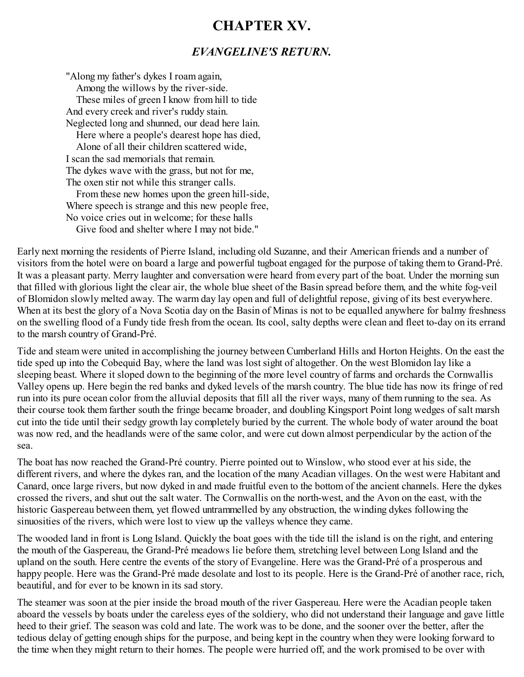### <span id="page-49-0"></span>**CHAPTER XV.**

#### *EVANGELINE'S RETURN.*

"Along my father's dykes I roam again, Among the willows by the river-side. These miles of green I know from hill to tide And every creek and river's ruddy stain. Neglected long and shunned, our dead here lain. Here where a people's dearest hope has died, Alone of all their children scattered wide, I scan the sad memorials that remain. The dykes wave with the grass, but not for me, The oxen stir not while this stranger calls. From these new homes upon the green hill-side, Where speech is strange and this new people free, No voice cries out in welcome; for these halls Give food and shelter where I may not bide."

Early next morning the residents of Pierre Island, including old Suzanne, and their American friends and a number of visitors from the hotel were on board a large and powerful tugboat engaged for the purpose of taking them to Grand-Pré. It was a pleasant party. Merry laughter and conversation were heard from every part of the boat. Under the morning sun that filled with glorious light the clear air, the whole blue sheet of the Basin spread before them, and the white fog-veil of Blomidon slowly melted away. The warm day lay open and full of delightful repose, giving of its best everywhere. When at its best the glory of a Nova Scotia day on the Basin of Minas is not to be equalled anywhere for balmy freshness on the swelling flood of a Fundy tide fresh from the ocean. Its cool, salty depths were clean and fleet to-day on its errand to the marsh country of Grand-Pré.

Tide and steam were united in accomplishing the journey between Cumberland Hills and Horton Heights. On the east the tide sped up into the Cobequid Bay, where the land was lost sight of altogether. On the west Blomidon lay like a sleeping beast. Where it sloped down to the beginning of the more level country of farms and orchards the Cornwallis Valley opens up. Here begin the red banks and dyked levels of the marsh country. The blue tide has now its fringe of red run into its pure ocean color from the alluvial deposits that fill all the river ways, many of them running to the sea. As their course took them farther south the fringe became broader, and doubling Kingsport Point long wedges of salt marsh cut into the tide until their sedgy growth lay completely buried by the current. The whole body of water around the boat was now red, and the headlands were of the same color, and were cut down almost perpendicular by the action of the sea.

The boat has now reached the Grand-Pré country. Pierre pointed out to Winslow, who stood ever at his side, the different rivers, and where the dykes ran, and the location of the many Acadian villages. On the west were Habitant and Canard, once large rivers, but now dyked in and made fruitful even to the bottom of the ancient channels. Here the dykes crossed the rivers, and shut out the salt water. The Cornwallis on the north-west, and the Avon on the east, with the historic Gaspereau between them, yet flowed untrammelled by any obstruction, the winding dykes following the sinuosities of the rivers, which were lost to view up the valleys whence they came.

The wooded land in front is Long Island. Quickly the boat goes with the tide till the island is on the right, and entering the mouth of the Gaspereau, the Grand-Pré meadows lie before them, stretching level between Long Island and the upland on the south. Here centre the events of the story of Evangeline. Here was the Grand-Pré of a prosperous and happy people. Here was the Grand-Pré made desolate and lost to its people. Here is the Grand-Pré of another race, rich, beautiful, and for ever to be known in its sad story.

The steamer was soon at the pier inside the broad mouth of the river Gaspereau. Here were the Acadian people taken aboard the vessels by boats under the careless eyes of the soldiery, who did not understand their language and gave little heed to their grief. The season was cold and late. The work was to be done, and the sooner over the better, after the tedious delay of getting enough ships for the purpose, and being kept in the country when they were looking forward to the time when they might return to their homes. The people were hurried off, and the work promised to be over with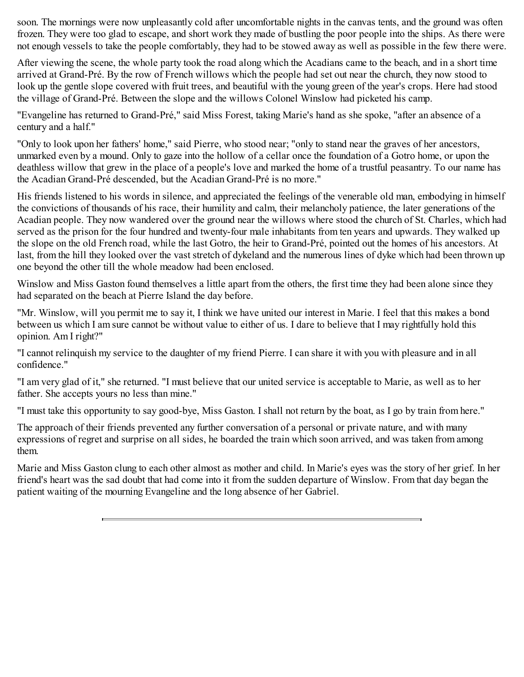soon. The mornings were now unpleasantly cold after uncomfortable nights in the canvas tents, and the ground was often frozen. They were too glad to escape, and short work they made of bustling the poor people into the ships. As there were not enough vessels to take the people comfortably, they had to be stowed away as well as possible in the few there were.

After viewing the scene, the whole party took the road along which the Acadians came to the beach, and in a short time arrived at Grand-Pré. By the row of French willows which the people had set out near the church, they now stood to look up the gentle slope covered with fruit trees, and beautiful with the young green of the year's crops. Here had stood the village of Grand-Pré. Between the slope and the willows Colonel Winslow had picketed his camp.

"Evangeline has returned to Grand-Pré," said Miss Forest, taking Marie's hand as she spoke, "after an absence of a century and a half."

"Only to look upon her fathers' home," said Pierre, who stood near; "only to stand near the graves of her ancestors, unmarked even by a mound. Only to gaze into the hollow of a cellar once the foundation of a Gotro home, or upon the deathless willow that grew in the place of a people's love and marked the home of a trustful peasantry. To our name has the Acadian Grand-Pré descended, but the Acadian Grand-Pré is no more."

His friends listened to his words in silence, and appreciated the feelings of the venerable old man, embodying in himself the convictions of thousands of his race, their humility and calm, their melancholy patience, the later generations of the Acadian people. They now wandered over the ground near the willows where stood the church of St. Charles, which had served as the prison for the four hundred and twenty-four male inhabitants from ten years and upwards. They walked up the slope on the old French road, while the last Gotro, the heir to Grand-Pré, pointed out the homes of his ancestors. At last, from the hill they looked over the vast stretch of dykeland and the numerous lines of dyke which had been thrown up one beyond the other till the whole meadow had been enclosed.

Winslow and Miss Gaston found themselves a little apart from the others, the first time they had been alone since they had separated on the beach at Pierre Island the day before.

"Mr. Winslow, will you permit me to say it, I think we have united our interest in Marie. I feel that this makes a bond between us which I am sure cannot be without value to either of us. I dare to believe that I may rightfully hold this opinion. Am I right?"

"I cannot relinquish my service to the daughter of my friend Pierre. I can share it with you with pleasure and in all confidence."

"I am very glad of it," she returned. "I must believe that our united service is acceptable to Marie, as well as to her father. She accepts yours no less than mine."

"I must take this opportunity to say good-bye, Miss Gaston. I shall not return by the boat, as I go by train from here."

The approach of their friends prevented any further conversation of a personal or private nature, and with many expressions of regret and surprise on all sides, he boarded the train which soon arrived, and was taken from among them.

Marie and Miss Gaston clung to each other almost as mother and child. In Marie's eyes was the story of her grief. In her friend's heart was the sad doubt that had come into it from the sudden departure of Winslow. From that day began the patient waiting of the mourning Evangeline and the long absence of her Gabriel.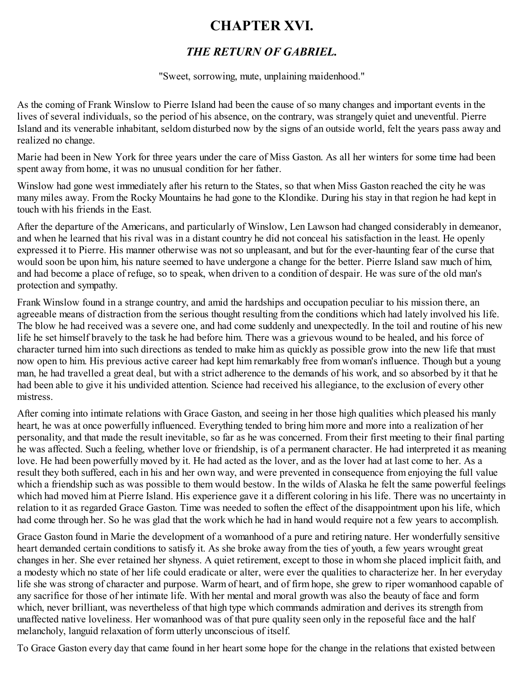### <span id="page-51-0"></span>**CHAPTER XVI.**

#### *THE RETURN OF GABRIEL.*

"Sweet, sorrowing, mute, unplaining maidenhood."

As the coming of Frank Winslow to Pierre Island had been the cause of so many changes and important events in the lives of several individuals, so the period of his absence, on the contrary, was strangely quiet and uneventful. Pierre Island and its venerable inhabitant, seldom disturbed now by the signs of an outside world, felt the years pass away and realized no change.

Marie had been in New York for three years under the care of Miss Gaston. As all her winters for some time had been spent away from home, it was no unusual condition for her father.

Winslow had gone west immediately after his return to the States, so that when Miss Gaston reached the city he was many miles away. From the Rocky Mountains he had gone to the Klondike. During his stay in that region he had kept in touch with his friends in the East.

After the departure of the Americans, and particularly of Winslow, Len Lawson had changed considerably in demeanor, and when he learned that his rival was in a distant country he did not conceal his satisfaction in the least. He openly expressed it to Pierre. His manner otherwise was not so unpleasant, and but for the ever-haunting fear of the curse that would soon be upon him, his nature seemed to have undergone a change for the better. Pierre Island saw much of him, and had become a place of refuge, so to speak, when driven to a condition of despair. He was sure of the old man's protection and sympathy.

Frank Winslow found in a strange country, and amid the hardships and occupation peculiar to his mission there, an agreeable means of distraction from the serious thought resulting from the conditions which had lately involved his life. The blow he had received was a severe one, and had come suddenly and unexpectedly. In the toil and routine of his new life he set himself bravely to the task he had before him. There was a grievous wound to be healed, and his force of character turned him into such directions as tended to make him as quickly as possible grow into the new life that must now open to him. His previous active career had kept him remarkably free from woman's influence. Though but a young man, he had travelled a great deal, but with a strict adherence to the demands of his work, and so absorbed by it that he had been able to give it his undivided attention. Science had received his allegiance, to the exclusion of every other mistress.

After coming into intimate relations with Grace Gaston, and seeing in her those high qualities which pleased his manly heart, he was at once powerfully influenced. Everything tended to bring him more and more into a realization of her personality, and that made the result inevitable, so far as he was concerned. From their first meeting to their final parting he was affected. Such a feeling, whether love or friendship, is of a permanent character. He had interpreted it as meaning love. He had been powerfully moved by it. He had acted as the lover, and as the lover had at last come to her. As a result they both suffered, each in his and her own way, and were prevented in consequence from enjoying the full value which a friendship such as was possible to them would bestow. In the wilds of Alaska he felt the same powerful feelings which had moved him at Pierre Island. His experience gave it a different coloring in his life. There was no uncertainty in relation to it as regarded Grace Gaston. Time was needed to soften the effect of the disappointment upon his life, which had come through her. So he was glad that the work which he had in hand would require not a few years to accomplish.

Grace Gaston found in Marie the development of a womanhood of a pure and retiring nature. Her wonderfully sensitive heart demanded certain conditions to satisfy it. As she broke away from the ties of youth, a few years wrought great changes in her. She ever retained her shyness. A quiet retirement, except to those in whom she placed implicit faith, and a modesty which no state of her life could eradicate or alter, were ever the qualities to characterize her. In her everyday life she was strong of character and purpose. Warm of heart, and of firm hope, she grew to riper womanhood capable of any sacrifice for those of her intimate life. With her mental and moral growth was also the beauty of face and form which, never brilliant, was nevertheless of that high type which commands admiration and derives its strength from unaffected native loveliness. Her womanhood was of that pure quality seen only in the reposeful face and the half melancholy, languid relaxation of form utterly unconscious of itself.

To Grace Gaston every day that came found in her heart some hope for the change in the relations that existed between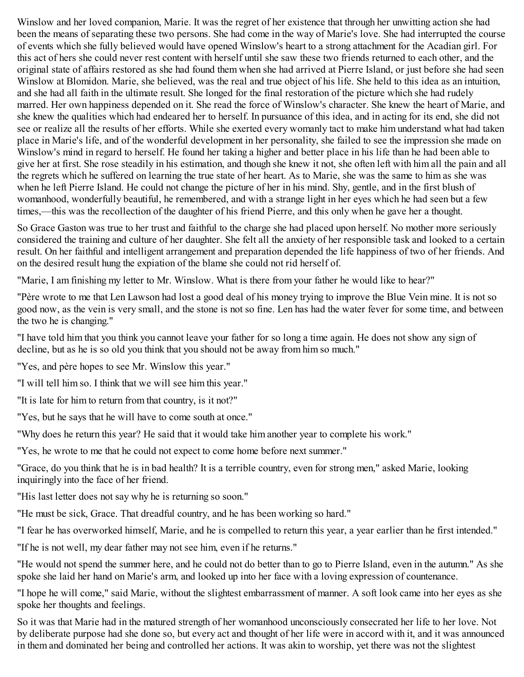Winslow and her loved companion, Marie. It was the regret of her existence that through her unwitting action she had been the means of separating these two persons. She had come in the way of Marie's love. She had interrupted the course of events which she fully believed would have opened Winslow's heart to a strong attachment for the Acadian girl. For this act of hers she could never rest content with herself until she saw these two friends returned to each other, and the original state of affairs restored as she had found them when she had arrived at Pierre Island, or just before she had seen Winslow at Blomidon. Marie, she believed, was the real and true object of his life. She held to this idea as an intuition, and she had all faith in the ultimate result. She longed for the final restoration of the picture which she had rudely marred. Her own happiness depended on it. She read the force of Winslow's character. She knew the heart of Marie, and she knew the qualities which had endeared her to herself. In pursuance of this idea, and in acting for its end, she did not see or realize all the results of her efforts. While she exerted every womanly tact to make him understand what had taken place in Marie's life, and of the wonderful development in her personality, she failed to see the impression she made on Winslow's mind in regard to herself. He found her taking a higher and better place in his life than he had been able to give her at first. She rose steadily in his estimation, and though she knew it not, she often left with him all the pain and all the regrets which he suffered on learning the true state of her heart. As to Marie, she was the same to him as she was when he left Pierre Island. He could not change the picture of her in his mind. Shy, gentle, and in the first blush of womanhood, wonderfully beautiful, he remembered, and with a strange light in her eyes which he had seen but a few times,—this was the recollection of the daughter of his friend Pierre, and this only when he gave her a thought.

So Grace Gaston was true to her trust and faithful to the charge she had placed upon herself. No mother more seriously considered the training and culture of her daughter. She felt all the anxiety of her responsible task and looked to a certain result. On her faithful and intelligent arrangement and preparation depended the life happiness of two of her friends. And on the desired result hung the expiation of the blame she could not rid herself of.

"Marie, I am finishing my letter to Mr. Winslow. What is there from your father he would like to hear?"

"Père wrote to me that Len Lawson had lost a good deal of his money trying to improve the Blue Vein mine. It is not so good now, as the vein is very small, and the stone is not so fine. Len has had the water fever for some time, and between the two he is changing."

"I have told him that you think you cannot leave your father for so long a time again. He does not show any sign of decline, but as he is so old you think that you should not be away from him so much."

"Yes, and père hopes to see Mr. Winslow this year."

"I will tell him so. I think that we will see him this year."

"It is late for him to return from that country, is it not?"

"Yes, but he says that he will have to come south at once."

"Why does he return this year? He said that it would take him another year to complete his work."

"Yes, he wrote to me that he could not expect to come home before next summer."

"Grace, do you think that he is in bad health? It is a terrible country, even for strong men," asked Marie, looking inquiringly into the face of her friend.

"His last letter does not say why he is returning so soon."

"He must be sick, Grace. That dreadful country, and he has been working so hard."

"I fear he has overworked himself, Marie, and he is compelled to return this year, a year earlier than he first intended."

"If he is not well, my dear father may not see him, even if he returns."

"He would not spend the summer here, and he could not do better than to go to Pierre Island, even in the autumn." As she spoke she laid her hand on Marie's arm, and looked up into her face with a loving expression of countenance.

"I hope he will come," said Marie, without the slightest embarrassment of manner. A soft look came into her eyes as she spoke her thoughts and feelings.

So it was that Marie had in the matured strength of her womanhood unconsciously consecrated her life to her love. Not by deliberate purpose had she done so, but every act and thought of her life were in accord with it, and it was announced in them and dominated her being and controlled her actions. It was akin to worship, yet there was not the slightest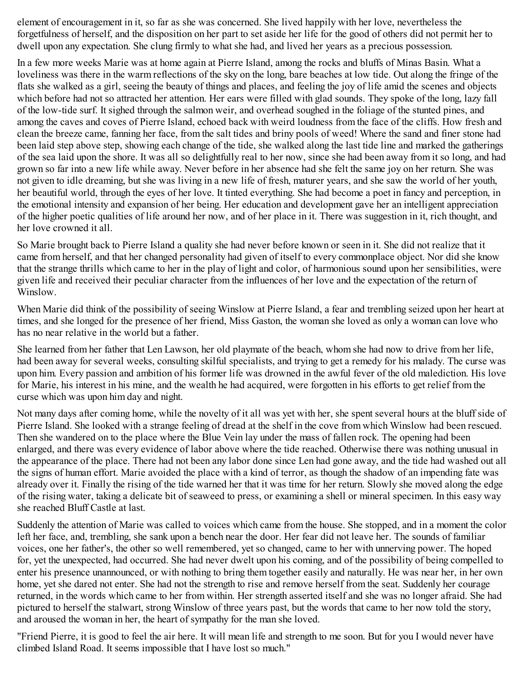element of encouragement in it, so far as she was concerned. She lived happily with her love, nevertheless the forgetfulness of herself, and the disposition on her part to set aside her life for the good of others did not permit her to dwell upon any expectation. She clung firmly to what she had, and lived her years as a precious possession.

In a few more weeks Marie was at home again at Pierre Island, among the rocks and bluffs of Minas Basin. What a loveliness was there in the warm reflections of the sky on the long, bare beaches at low tide. Out along the fringe of the flats she walked as a girl, seeing the beauty of things and places, and feeling the joy of life amid the scenes and objects which before had not so attracted her attention. Her ears were filled with glad sounds. They spoke of the long, lazy fall of the low-tide surf. It sighed through the salmon weir, and overhead soughed in the foliage of the stunted pines, and among the caves and coves of Pierre Island, echoed back with weird loudness from the face of the cliffs. How fresh and clean the breeze came, fanning her face, from the salt tides and briny pools of weed! Where the sand and finer stone had been laid step above step, showing each change of the tide, she walked along the last tide line and marked the gatherings of the sea laid upon the shore. It was all so delightfully real to her now, since she had been away from it so long, and had grown so far into a new life while away. Never before in her absence had she felt the same joy on her return. She was not given to idle dreaming, but she was living in a new life of fresh, maturer years, and she saw the world of her youth, her beautiful world, through the eyes of her love. It tinted everything. She had become a poet in fancy and perception, in the emotional intensity and expansion of her being. Her education and development gave her an intelligent appreciation of the higher poetic qualities of life around her now, and of her place in it. There was suggestion in it, rich thought, and her love crowned it all.

So Marie brought back to Pierre Island a quality she had never before known or seen in it. She did not realize that it came from herself, and that her changed personality had given of itself to every commonplace object. Nor did she know that the strange thrills which came to her in the play of light and color, of harmonious sound upon her sensibilities, were given life and received their peculiar character from the influences of her love and the expectation of the return of Winslow.

When Marie did think of the possibility of seeing Winslow at Pierre Island, a fear and trembling seized upon her heart at times, and she longed for the presence of her friend, Miss Gaston, the woman she loved as only a woman can love who has no near relative in the world but a father.

She learned from her father that Len Lawson, her old playmate of the beach, whom she had now to drive from her life, had been away for several weeks, consulting skilful specialists, and trying to get a remedy for his malady. The curse was upon him. Every passion and ambition of his former life was drowned in the awful fever of the old malediction. His love for Marie, his interest in his mine, and the wealth he had acquired, were forgotten in his efforts to get relief from the curse which was upon him day and night.

Not many days after coming home, while the novelty of it all was yet with her, she spent several hours at the bluff side of Pierre Island. She looked with a strange feeling of dread at the shelf in the cove from which Winslow had been rescued. Then she wandered on to the place where the Blue Vein lay under the mass of fallen rock. The opening had been enlarged, and there was every evidence of labor above where the tide reached. Otherwise there was nothing unusual in the appearance of the place. There had not been any labor done since Len had gone away, and the tide had washed out all the signs of human effort. Marie avoided the place with a kind of terror, as though the shadow of an impending fate was already over it. Finally the rising of the tide warned her that it was time for her return. Slowly she moved along the edge of the rising water, taking a delicate bit of seaweed to press, or examining a shell or mineral specimen. In this easy way she reached Bluff Castle at last.

Suddenly the attention of Marie was called to voices which came from the house. She stopped, and in a moment the color left her face, and, trembling, she sank upon a bench near the door. Her fear did not leave her. The sounds of familiar voices, one her father's, the other so well remembered, yet so changed, came to her with unnerving power. The hoped for, yet the unexpected, had occurred. She had never dwelt upon his coming, and of the possibility of being compelled to enter his presence unannounced, or with nothing to bring them together easily and naturally. He was near her, in her own home, yet she dared not enter. She had not the strength to rise and remove herself from the seat. Suddenly her courage returned, in the words which came to her from within. Her strength asserted itself and she was no longer afraid. She had pictured to herself the stalwart, strong Winslow of three years past, but the words that came to her now told the story, and aroused the woman in her, the heart of sympathy for the man she loved.

"Friend Pierre, it is good to feel the air here. It will mean life and strength to me soon. But for you I would never have climbed Island Road. It seems impossible that I have lost so much."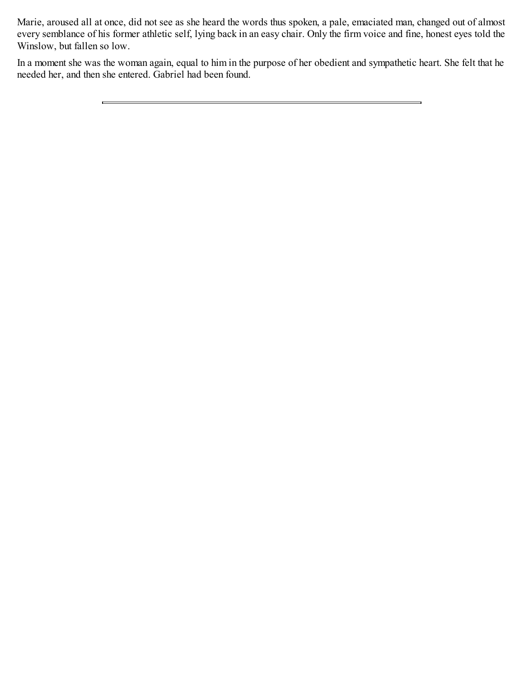Marie, aroused all at once, did not see as she heard the words thus spoken, a pale, emaciated man, changed out of almost every semblance of his former athletic self, lying back in an easy chair. Only the firm voice and fine, honest eyes told the Winslow, but fallen so low.

In a moment she was the woman again, equal to him in the purpose of her obedient and sympathetic heart. She felt that he needed her, and then she entered. Gabriel had been found.

 $\equiv$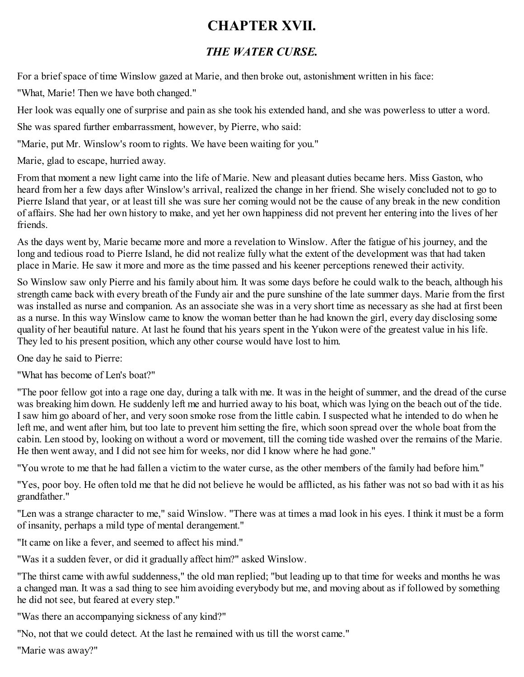### <span id="page-55-0"></span>**CHAPTER XVII.**

### *THE WATER CURSE.*

For a brief space of time Winslow gazed at Marie, and then broke out, astonishment written in his face:

"What, Marie! Then we have both changed."

Her look was equally one of surprise and pain as she took his extended hand, and she was powerless to utter a word.

She was spared further embarrassment, however, by Pierre, who said:

"Marie, put Mr. Winslow's room to rights. We have been waiting for you."

Marie, glad to escape, hurried away.

From that moment a new light came into the life of Marie. New and pleasant duties became hers. Miss Gaston, who heard from her a few days after Winslow's arrival, realized the change in her friend. She wisely concluded not to go to Pierre Island that year, or at least till she was sure her coming would not be the cause of any break in the new condition of affairs. She had her own history to make, and yet her own happiness did not prevent her entering into the lives of her friends.

As the days went by, Marie became more and more a revelation to Winslow. After the fatigue of his journey, and the long and tedious road to Pierre Island, he did not realize fully what the extent of the development was that had taken place in Marie. He saw it more and more as the time passed and his keener perceptions renewed their activity.

So Winslow saw only Pierre and his family about him. It was some days before he could walk to the beach, although his strength came back with every breath of the Fundy air and the pure sunshine of the late summer days. Marie from the first was installed as nurse and companion. As an associate she was in a very short time as necessary as she had at first been as a nurse. In this way Winslow came to know the woman better than he had known the girl, every day disclosing some quality of her beautiful nature. At last he found that his years spent in the Yukon were of the greatest value in his life. They led to his present position, which any other course would have lost to him.

One day he said to Pierre:

"What has become of Len's boat?"

"The poor fellow got into a rage one day, during a talk with me. It was in the height of summer, and the dread of the curse was breaking him down. He suddenly left me and hurried away to his boat, which was lying on the beach out of the tide. I saw him go aboard of her, and very soon smoke rose from the little cabin. I suspected what he intended to do when he left me, and went after him, but too late to prevent him setting the fire, which soon spread over the whole boat from the cabin. Len stood by, looking on without a word or movement, till the coming tide washed over the remains of the Marie. He then went away, and I did not see him for weeks, nor did I know where he had gone."

"You wrote to me that he had fallen a victim to the water curse, as the other members of the family had before him."

"Yes, poor boy. He often told me that he did not believe he would be afflicted, as his father was not so bad with it as his grandfather."

"Len was a strange character to me," said Winslow. "There was at times a mad look in his eyes. I think it must be a form of insanity, perhaps a mild type of mental derangement."

"It came on like a fever, and seemed to affect his mind."

"Was it a sudden fever, or did it gradually affect him?" asked Winslow.

"The thirst came with awful suddenness," the old man replied; "but leading up to that time for weeks and months he was a changed man. It was a sad thing to see him avoiding everybody but me, and moving about as if followed by something he did not see, but feared at every step."

"Was there an accompanying sickness of any kind?"

"No, not that we could detect. At the last he remained with us till the worst came."

"Marie was away?"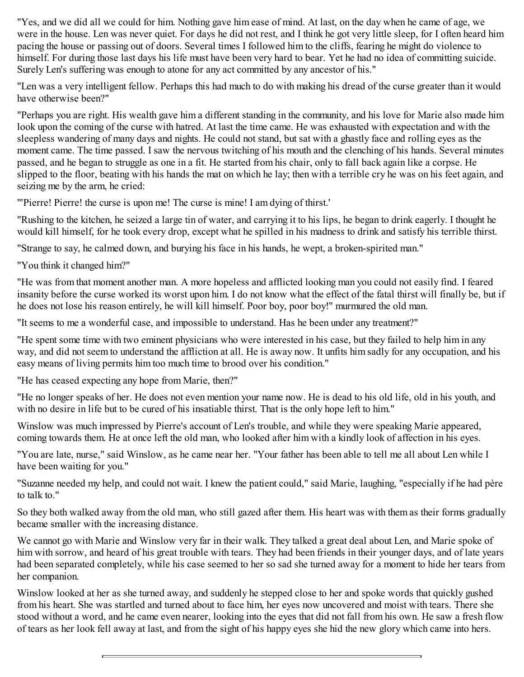"Yes, and we did all we could for him. Nothing gave him ease of mind. At last, on the day when he came of age, we were in the house. Len was never quiet. For days he did not rest, and I think he got very little sleep, for I often heard him pacing the house or passing out of doors. Several times I followed him to the cliffs, fearing he might do violence to himself. For during those last days his life must have been very hard to bear. Yet he had no idea of committing suicide. Surely Len's suffering was enough to atone for any act committed by any ancestor of his."

"Len was a very intelligent fellow. Perhaps this had much to do with making his dread of the curse greater than it would have otherwise been?"

"Perhaps you are right. His wealth gave him a different standing in the community, and his love for Marie also made him look upon the coming of the curse with hatred. At last the time came. He was exhausted with expectation and with the sleepless wandering of many days and nights. He could not stand, but sat with a ghastly face and rolling eyes as the moment came. The time passed. I saw the nervous twitching of his mouth and the clenching of his hands. Several minutes passed, and he began to struggle as one in a fit. He started from his chair, only to fall back again like a corpse. He slipped to the floor, beating with his hands the mat on which he lay; then with a terrible cry he was on his feet again, and seizing me by the arm, he cried:

"'Pierre! Pierre! the curse is upon me! The curse is mine! I am dying of thirst.'

"Rushing to the kitchen, he seized a large tin of water, and carrying it to his lips, he began to drink eagerly. I thought he would kill himself, for he took every drop, except what he spilled in his madness to drink and satisfy his terrible thirst.

"Strange to say, he calmed down, and burying his face in his hands, he wept, a broken-spirited man."

"You think it changed him?"

"He was from that moment another man. A more hopeless and afflicted looking man you could not easily find. I feared insanity before the curse worked its worst upon him. I do not know what the effect of the fatal thirst will finally be, but if he does not lose his reason entirely, he will kill himself. Poor boy, poor boy!" murmured the old man.

"It seems to me a wonderful case, and impossible to understand. Has he been under any treatment?"

"He spent some time with two eminent physicians who were interested in his case, but they failed to help him in any way, and did not seem to understand the affliction at all. He is away now. It unfits him sadly for any occupation, and his easy means of living permits him too much time to brood over his condition."

"He has ceased expecting any hope from Marie, then?"

"He no longer speaks of her. He does not even mention your name now. He is dead to his old life, old in his youth, and with no desire in life but to be cured of his insatiable thirst. That is the only hope left to him."

Winslow was much impressed by Pierre's account of Len's trouble, and while they were speaking Marie appeared, coming towards them. He at once left the old man, who looked after him with a kindly look of affection in his eyes.

"You are late, nurse," said Winslow, as he came near her. "Your father has been able to tell me all about Len while I have been waiting for you."

"Suzanne needed my help, and could not wait. I knew the patient could," said Marie, laughing, "especially if he had père to talk to."

So they both walked away from the old man, who still gazed after them. His heart was with them as their forms gradually became smaller with the increasing distance.

We cannot go with Marie and Winslow very far in their walk. They talked a great deal about Len, and Marie spoke of him with sorrow, and heard of his great trouble with tears. They had been friends in their younger days, and of late years had been separated completely, while his case seemed to her so sad she turned away for a moment to hide her tears from her companion.

Winslow looked at her as she turned away, and suddenly he stepped close to her and spoke words that quickly gushed from his heart. She was startled and turned about to face him, her eyes now uncovered and moist with tears. There she stood without a word, and he came even nearer, looking into the eyes that did not fall from his own. He saw a fresh flow of tears as her look fell away at last, and from the sight of his happy eyes she hid the new glory which came into hers.